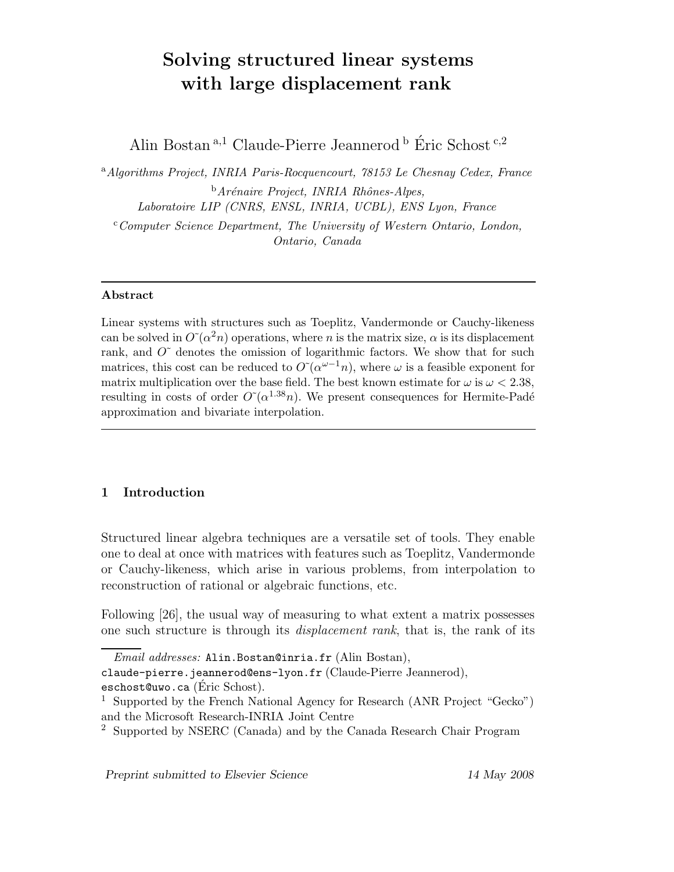# Solving structured linear systems with large displacement rank

Alin Bostan  $a,1$  Claude-Pierre Jeannerod  $b$  Éric Schost  $c,2$ 

<sup>a</sup> Algorithms Project, INRIA Paris-Rocquencourt, 78153 Le Chesnay Cedex, France  $<sup>b</sup>$ Arénaire Project, INRIA Rhônes-Alpes,</sup> Laboratoire LIP (CNRS, ENSL, INRIA, UCBL), ENS Lyon, France

 $c$ <sup>c</sup>Computer Science Department, The University of Western Ontario, London, Ontario, Canada

# Abstract

Linear systems with structures such as Toeplitz, Vandermonde or Cauchy-likeness can be solved in  $O(\alpha^2 n)$  operations, where n is the matrix size,  $\alpha$  is its displacement rank, and  $O^{\sim}$  denotes the omission of logarithmic factors. We show that for such matrices, this cost can be reduced to  $O(\alpha^{\omega-1}n)$ , where  $\omega$  is a feasible exponent for matrix multiplication over the base field. The best known estimate for  $\omega$  is  $\omega < 2.38$ , resulting in costs of order  $O^{\sim}(\alpha^{1.38}n)$ . We present consequences for Hermite-Padé approximation and bivariate interpolation.

# 1 Introduction

Structured linear algebra techniques are a versatile set of tools. They enable one to deal at once with matrices with features such as Toeplitz, Vandermonde or Cauchy-likeness, which arise in various problems, from interpolation to reconstruction of rational or algebraic functions, etc.

Following [26], the usual way of measuring to what extent a matrix possesses one such structure is through its displacement rank, that is, the rank of its

Email addresses: Alin.Bostan@inria.fr (Alin Bostan),

claude-pierre.jeannerod@ens-lyon.fr (Claude-Pierre Jeannerod), eschost@uwo.ca (Eric Schost).

<sup>&</sup>lt;sup>1</sup> Supported by the French National Agency for Research (ANR Project "Gecko") and the Microsoft Research-INRIA Joint Centre

<sup>2</sup> Supported by NSERC (Canada) and by the Canada Research Chair Program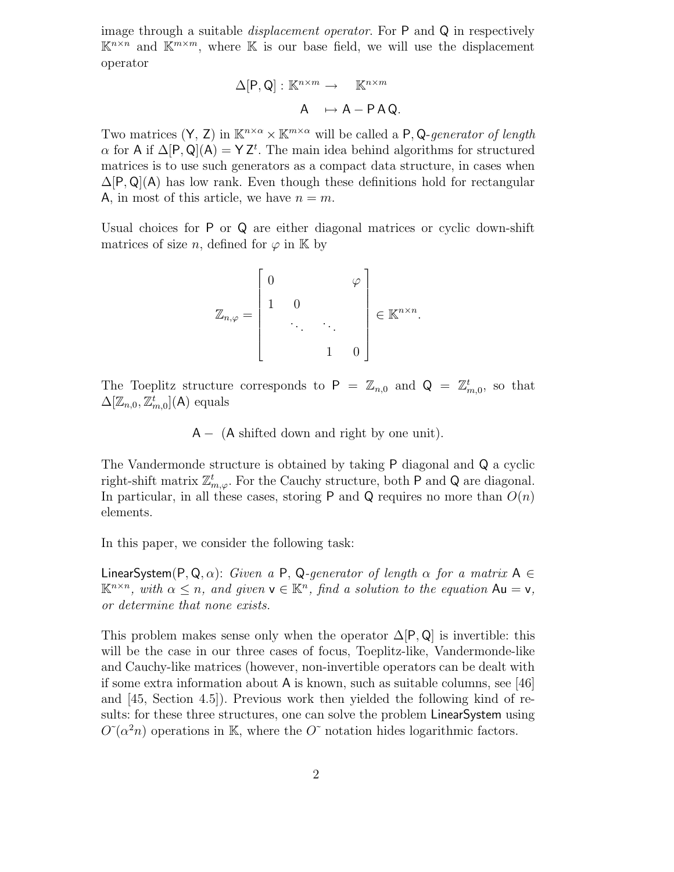image through a suitable *displacement operator*. For P and Q in respectively  $\mathbb{K}^{n\times n}$  and  $\mathbb{K}^{m\times m}$ , where  $\mathbb K$  is our base field, we will use the displacement operator

$$
\Delta[P,Q]: \mathbb{K}^{n \times m} \to \mathbb{K}^{n \times m}
$$

$$
A \mapsto A - P A Q.
$$

Two matrices  $(Y, Z)$  in  $\mathbb{K}^{n \times \alpha} \times \mathbb{K}^{m \times \alpha}$  will be called a P, Q-generator of length  $\alpha$  for A if  $\Delta[P,Q](A) = YZ^t$ . The main idea behind algorithms for structured matrices is to use such generators as a compact data structure, in cases when  $\Delta[P,Q](A)$  has low rank. Even though these definitions hold for rectangular A, in most of this article, we have  $n = m$ .

Usual choices for P or Q are either diagonal matrices or cyclic down-shift matrices of size n, defined for  $\varphi$  in K by

$$
\mathbb{Z}_{n,\varphi} = \begin{bmatrix} 0 & & & \varphi \\ & 1 & 0 & & \\ & & \ddots & \ddots & \\ & & & 1 & 0 \end{bmatrix} \in \mathbb{K}^{n \times n}.
$$

The Toeplitz structure corresponds to  $P = \mathbb{Z}_{n,0}$  and  $Q = \mathbb{Z}_{m,0}^t$ , so that  $\Delta[\mathbb{Z}_{n,0}, \mathbb{Z}_{m,0}^t](\mathsf{A})$  equals

 $A - (A)$  shifted down and right by one unit).

The Vandermonde structure is obtained by taking P diagonal and Q a cyclic right-shift matrix  $\mathbb{Z}_{m,\varphi}^t$ . For the Cauchy structure, both P and Q are diagonal. In particular, in all these cases, storing P and Q requires no more than  $O(n)$ elements.

In this paper, we consider the following task:

LinearSystem(P, Q,  $\alpha$ ): Given a P, Q-generator of length  $\alpha$  for a matrix A  $\in$  $\mathbb{K}^{n \times n}$ , with  $\alpha \leq n$ , and given  $\mathsf{v} \in \mathbb{K}^n$ , find a solution to the equation  $\mathsf{Au} = \mathsf{v}$ , or determine that none exists.

This problem makes sense only when the operator  $\Delta[P,Q]$  is invertible: this will be the case in our three cases of focus, Toeplitz-like, Vandermonde-like and Cauchy-like matrices (however, non-invertible operators can be dealt with if some extra information about A is known, such as suitable columns, see [46] and [45, Section 4.5]). Previous work then yielded the following kind of results: for these three structures, one can solve the problem LinearSystem using  $O^{\sim}(\alpha^2 n)$  operations in K, where the  $O^{\sim}$  notation hides logarithmic factors.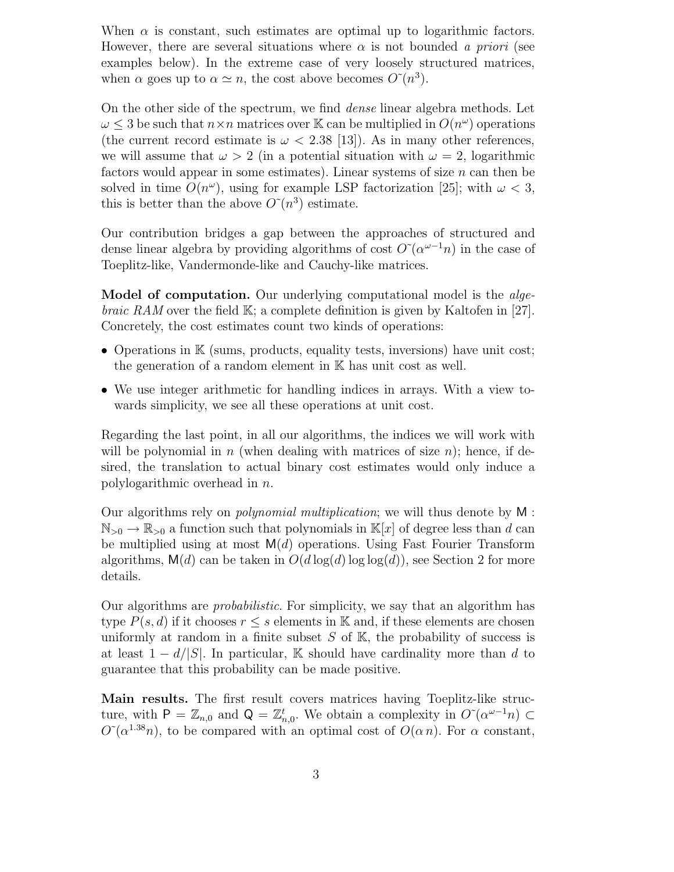When  $\alpha$  is constant, such estimates are optimal up to logarithmic factors. However, there are several situations where  $\alpha$  is not bounded a priori (see examples below). In the extreme case of very loosely structured matrices, when  $\alpha$  goes up to  $\alpha \simeq n$ , the cost above becomes  $O\tilde{n}^3$ .

On the other side of the spectrum, we find dense linear algebra methods. Let  $\omega \leq 3$  be such that  $n \times n$  matrices over K can be multiplied in  $O(n^{\omega})$  operations (the current record estimate is  $\omega < 2.38$  [13]). As in many other references, we will assume that  $\omega > 2$  (in a potential situation with  $\omega = 2$ , logarithmic factors would appear in some estimates). Linear systems of size  $n$  can then be solved in time  $O(n^{\omega})$ , using for example LSP factorization [25]; with  $\omega < 3$ , this is better than the above  $O\tilde{C}(n^3)$  estimate.

Our contribution bridges a gap between the approaches of structured and dense linear algebra by providing algorithms of cost  $O^{\sim}(\alpha^{\omega-1}n)$  in the case of Toeplitz-like, Vandermonde-like and Cauchy-like matrices.

Model of computation. Our underlying computational model is the *algebraic RAM* over the field  $\mathbb{K}$ ; a complete definition is given by Kaltofen in [27]. Concretely, the cost estimates count two kinds of operations:

- Operations in  $K$  (sums, products, equality tests, inversions) have unit cost; the generation of a random element in K has unit cost as well.
- We use integer arithmetic for handling indices in arrays. With a view towards simplicity, we see all these operations at unit cost.

Regarding the last point, in all our algorithms, the indices we will work with will be polynomial in n (when dealing with matrices of size n); hence, if desired, the translation to actual binary cost estimates would only induce a polylogarithmic overhead in n.

Our algorithms rely on polynomial multiplication; we will thus denote by M :  $\mathbb{N}_{>0} \to \mathbb{R}_{>0}$  a function such that polynomials in  $\mathbb{K}[x]$  of degree less than d can be multiplied using at most  $M(d)$  operations. Using Fast Fourier Transform algorithms,  $\mathsf{M}(d)$  can be taken in  $O(d \log(d) \log \log(d))$ , see Section 2 for more details.

Our algorithms are probabilistic. For simplicity, we say that an algorithm has type  $P(s, d)$  if it chooses  $r \leq s$  elements in K and, if these elements are chosen uniformly at random in a finite subset  $S$  of  $\mathbb{K}$ , the probability of success is at least  $1 - d/|S|$ . In particular, K should have cardinality more than d to guarantee that this probability can be made positive.

Main results. The first result covers matrices having Toeplitz-like structure, with  $P = \mathbb{Z}_{n,0}$  and  $Q = \mathbb{Z}_{n,0}^t$ . We obtain a complexity in  $O(\alpha^{\omega-1}n) \subset$  $O^{\sim}(\alpha^{1.38}n)$ , to be compared with an optimal cost of  $O(\alpha n)$ . For  $\alpha$  constant,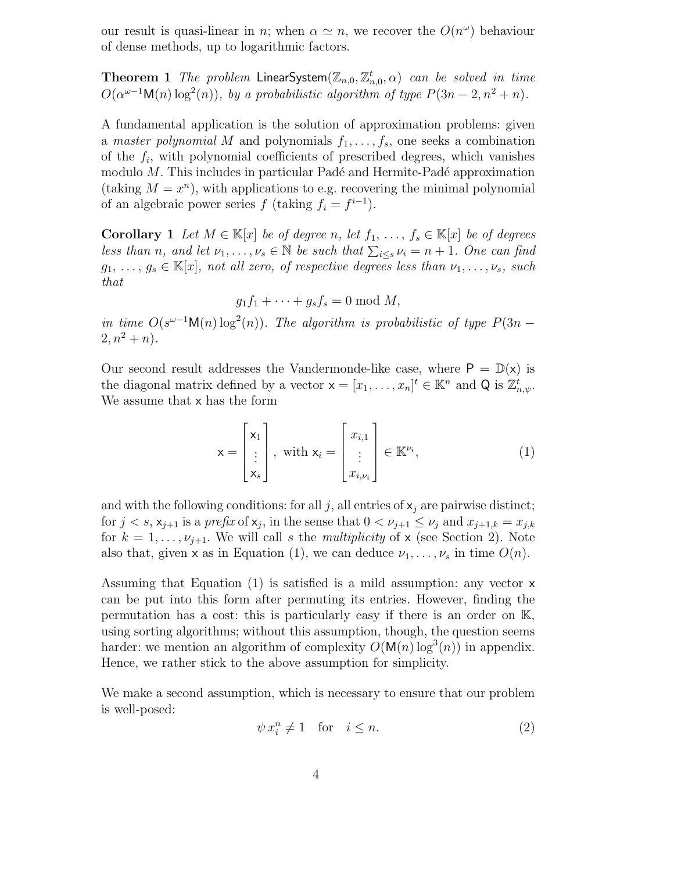our result is quasi-linear in *n*; when  $\alpha \simeq n$ , we recover the  $O(n^{\omega})$  behaviour of dense methods, up to logarithmic factors.

**Theorem 1** The problem LinearSystem $(\mathbb{Z}_{n,0}, \mathbb{Z}_{n,0}^t, \alpha)$  can be solved in time  $O(\alpha^{\omega-1} \mathsf{M}(n) \log^2(n))$ , by a probabilistic algorithm of type  $P(3n-2, n^2+n)$ .

A fundamental application is the solution of approximation problems: given a master polynomial M and polynomials  $f_1, \ldots, f_s$ , one seeks a combination of the  $f_i$ , with polynomial coefficients of prescribed degrees, which vanishes modulo  $M$ . This includes in particular Padé and Hermite-Padé approximation (taking  $M = x^n$ ), with applications to e.g. recovering the minimal polynomial of an algebraic power series  $f$  (taking  $f_i = f^{i-1}$ ).

**Corollary 1** Let  $M \in \mathbb{K}[x]$  be of degree n, let  $f_1, \ldots, f_s \in \mathbb{K}[x]$  be of degrees less than n, and let  $\nu_1, \ldots, \nu_s \in \mathbb{N}$  be such that  $\sum_{i \leq s} \nu_i = n + 1$ . One can find  $g_1, \ldots, g_s \in \mathbb{K}[x]$ , not all zero, of respective degrees less than  $\nu_1, \ldots, \nu_s$ , such that

$$
g_1f_1 + \cdots + g_sf_s = 0 \bmod M,
$$

in time  $O(s^{\omega-1} \mathsf{M}(n) \log^2(n))$ . The algorithm is probabilistic of type  $P(3n 2, n^2 + n$ .

Our second result addresses the Vandermonde-like case, where  $P = D(x)$  is the diagonal matrix defined by a vector  $\mathbf{x} = [x_1, \dots, x_n]^t \in \mathbb{K}^n$  and Q is  $\mathbb{Z}_{n,\psi}^t$ . We assume that x has the form

$$
\mathbf{x} = \begin{bmatrix} \mathbf{x}_1 \\ \vdots \\ \mathbf{x}_s \end{bmatrix}, \text{ with } \mathbf{x}_i = \begin{bmatrix} x_{i,1} \\ \vdots \\ x_{i,\nu_i} \end{bmatrix} \in \mathbb{K}^{\nu_i}, \tag{1}
$$

and with the following conditions: for all j, all entries of  $x_j$  are pairwise distinct; for  $j < s$ ,  $\mathsf{x}_{j+1}$  is a prefix of  $\mathsf{x}_j$ , in the sense that  $0 < \nu_{j+1} \leq \nu_j$  and  $x_{j+1,k} = x_{j,k}$ for  $k = 1, \ldots, \nu_{j+1}$ . We will call s the *multiplicity* of x (see Section 2). Note also that, given x as in Equation (1), we can deduce  $\nu_1, \ldots, \nu_s$  in time  $O(n)$ .

Assuming that Equation  $(1)$  is satisfied is a mild assumption: any vector  $x$ can be put into this form after permuting its entries. However, finding the permutation has a cost: this is particularly easy if there is an order on K, using sorting algorithms; without this assumption, though, the question seems harder: we mention an algorithm of complexity  $O(M(n) \log^3(n))$  in appendix. Hence, we rather stick to the above assumption for simplicity.

We make a second assumption, which is necessary to ensure that our problem is well-posed:

$$
\psi x_i^n \neq 1 \quad \text{for} \quad i \leq n. \tag{2}
$$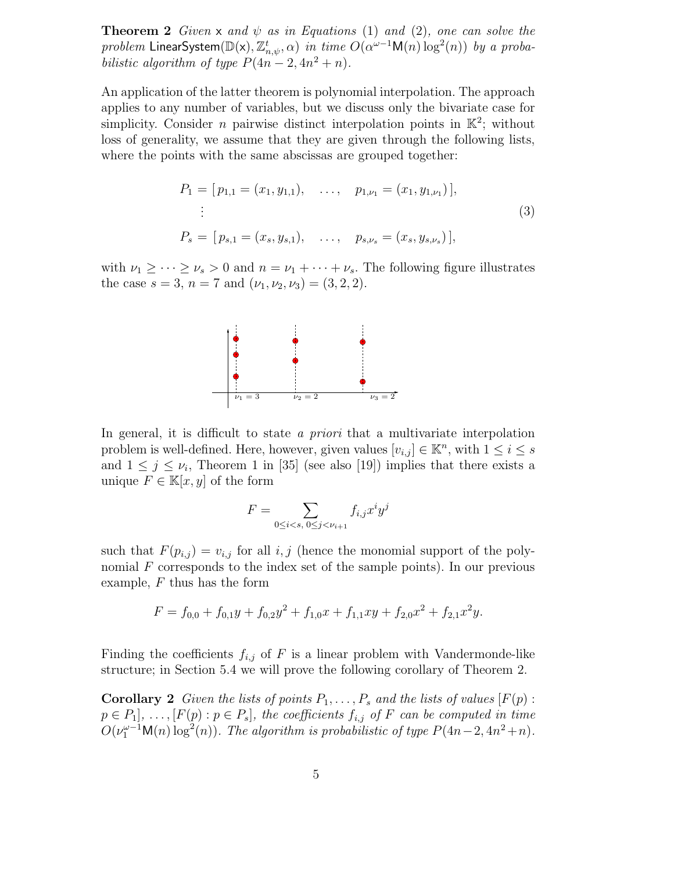**Theorem 2** Given x and  $\psi$  as in Equations (1) and (2), one can solve the  $problem$  LinearSystem $(\mathbb{D}(\mathsf{x}),\mathbb{Z}_{n,\psi}^t,\alpha)$  in time  $O(\alpha^{\omega-1}\mathsf{M}(n)\log^2(n))$  by a probabilistic algorithm of type  $P(4n-2, 4n^2 + n)$ .

An application of the latter theorem is polynomial interpolation. The approach applies to any number of variables, but we discuss only the bivariate case for simplicity. Consider *n* pairwise distinct interpolation points in  $\mathbb{K}^2$ ; without loss of generality, we assume that they are given through the following lists, where the points with the same abscissas are grouped together:

$$
P_1 = [p_{1,1} = (x_1, y_{1,1}), \dots, p_{1,\nu_1} = (x_1, y_{1,\nu_1})],
$$
  
\n
$$
\vdots
$$
  
\n
$$
P_s = [p_{s,1} = (x_s, y_{s,1}), \dots, p_{s,\nu_s} = (x_s, y_{s,\nu_s})],
$$
\n(3)

with  $\nu_1 \geq \cdots \geq \nu_s > 0$  and  $n = \nu_1 + \cdots + \nu_s$ . The following figure illustrates the case  $s = 3$ ,  $n = 7$  and  $(\nu_1, \nu_2, \nu_3) = (3, 2, 2)$ .



In general, it is difficult to state a *priori* that a multivariate interpolation problem is well-defined. Here, however, given values  $[v_{i,j}] \in \mathbb{K}^n$ , with  $1 \leq i \leq s$ and  $1 \leq j \leq \nu_i$ , Theorem 1 in [35] (see also [19]) implies that there exists a unique  $F \in \mathbb{K}[x, y]$  of the form

$$
F = \sum_{0 \le i < s, \ 0 \le j < \nu_{i+1}} f_{i,j} x^i y^j
$$

such that  $F(p_{i,j}) = v_{i,j}$  for all  $i, j$  (hence the monomial support of the polynomial  $F$  corresponds to the index set of the sample points). In our previous example,  $F$  thus has the form

$$
F = f_{0,0} + f_{0,1}y + f_{0,2}y^2 + f_{1,0}x + f_{1,1}xy + f_{2,0}x^2 + f_{2,1}x^2y.
$$

Finding the coefficients  $f_{i,j}$  of F is a linear problem with Vandermonde-like structure; in Section 5.4 we will prove the following corollary of Theorem 2.

**Corollary 2** Given the lists of points  $P_1, \ldots, P_s$  and the lists of values  $[F(p)$ :  $p \in P_1], \ldots, [F(p) : p \in P_s],$  the coefficients  $f_{i,j}$  of F can be computed in time  $O(\nu_1^{\omega-1} \mathsf{M}(n) \log^2(n))$ . The algorithm is probabilistic of type  $P(4n-2, 4n^2+n)$ .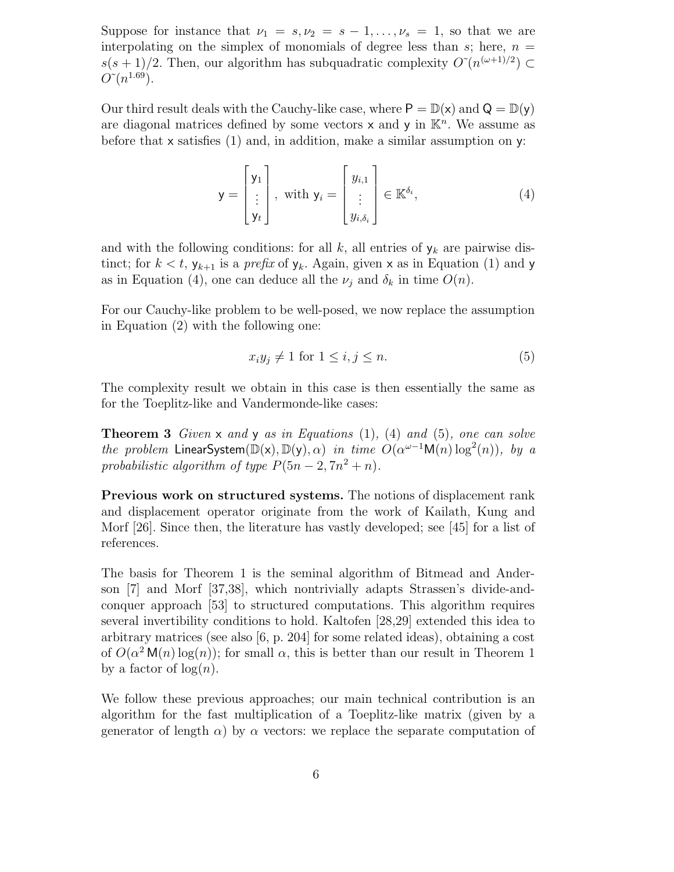Suppose for instance that  $\nu_1 = s, \nu_2 = s - 1, \ldots, \nu_s = 1$ , so that we are interpolating on the simplex of monomials of degree less than s; here,  $n =$  $s(s+1)/2$ . Then, our algorithm has subquadratic complexity  $O\left(n^{(\omega+1)/2}\right)$  $O\tilde{C}(n^{1.69})$ .

Our third result deals with the Cauchy-like case, where  $P = \mathbb{D}(x)$  and  $Q = \mathbb{D}(y)$ are diagonal matrices defined by some vectors  $x$  and  $y$  in  $\mathbb{K}^n$ . We assume as before that  $x$  satisfies (1) and, in addition, make a similar assumption on  $y$ :

$$
\mathbf{y} = \begin{bmatrix} \mathbf{y}_1 \\ \vdots \\ \mathbf{y}_t \end{bmatrix}, \text{ with } \mathbf{y}_i = \begin{bmatrix} y_{i,1} \\ \vdots \\ y_{i,\delta_i} \end{bmatrix} \in \mathbb{K}^{\delta_i}, \tag{4}
$$

and with the following conditions: for all k, all entries of  $y_k$  are pairwise distinct; for  $k < t$ ,  $y_{k+1}$  is a *prefix* of  $y_k$ . Again, given x as in Equation (1) and y as in Equation (4), one can deduce all the  $\nu_i$  and  $\delta_k$  in time  $O(n)$ .

For our Cauchy-like problem to be well-posed, we now replace the assumption in Equation (2) with the following one:

$$
x_i y_j \neq 1 \text{ for } 1 \le i, j \le n. \tag{5}
$$

The complexity result we obtain in this case is then essentially the same as for the Toeplitz-like and Vandermonde-like cases:

**Theorem 3** Given  $\times$  and  $\times$  as in Equations (1), (4) and (5), one can solve the problem LinearSystem( $\mathbb{D}(x)$ ,  $\mathbb{D}(y)$ ,  $\alpha$ ) in time  $O(\alpha^{\omega-1}M(n)\log^2(n))$ , by a probabilistic algorithm of type  $P(5n-2, 7n^2 + n)$ .

Previous work on structured systems. The notions of displacement rank and displacement operator originate from the work of Kailath, Kung and Morf [26]. Since then, the literature has vastly developed; see [45] for a list of references.

The basis for Theorem 1 is the seminal algorithm of Bitmead and Anderson [7] and Morf [37,38], which nontrivially adapts Strassen's divide-andconquer approach [53] to structured computations. This algorithm requires several invertibility conditions to hold. Kaltofen [28,29] extended this idea to arbitrary matrices (see also [6, p. 204] for some related ideas), obtaining a cost of  $O(\alpha^2 M(n) \log(n))$ ; for small  $\alpha$ , this is better than our result in Theorem 1 by a factor of  $log(n)$ .

We follow these previous approaches; our main technical contribution is an algorithm for the fast multiplication of a Toeplitz-like matrix (given by a generator of length  $\alpha$ ) by  $\alpha$  vectors: we replace the separate computation of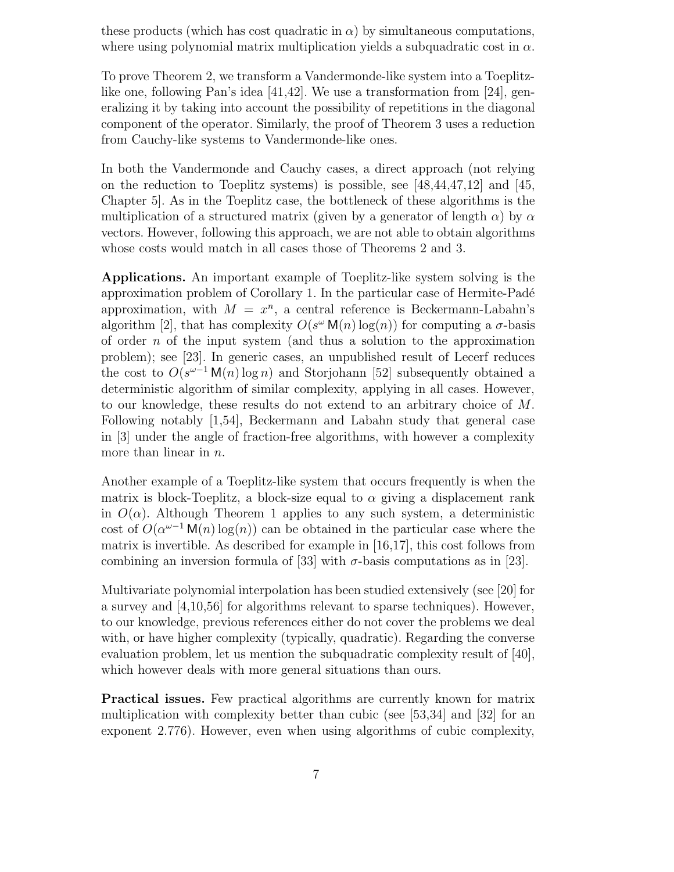these products (which has cost quadratic in  $\alpha$ ) by simultaneous computations, where using polynomial matrix multiplication yields a subquadratic cost in  $\alpha$ .

To prove Theorem 2, we transform a Vandermonde-like system into a Toeplitzlike one, following Pan's idea [41,42]. We use a transformation from [24], generalizing it by taking into account the possibility of repetitions in the diagonal component of the operator. Similarly, the proof of Theorem 3 uses a reduction from Cauchy-like systems to Vandermonde-like ones.

In both the Vandermonde and Cauchy cases, a direct approach (not relying on the reduction to Toeplitz systems) is possible, see [48,44,47,12] and [45, Chapter 5]. As in the Toeplitz case, the bottleneck of these algorithms is the multiplication of a structured matrix (given by a generator of length  $\alpha$ ) by  $\alpha$ vectors. However, following this approach, we are not able to obtain algorithms whose costs would match in all cases those of Theorems 2 and 3.

Applications. An important example of Toeplitz-like system solving is the approximation problem of Corollary 1. In the particular case of Hermite-Pad´e approximation, with  $M = x^n$ , a central reference is Beckermann-Labahn's algorithm [2], that has complexity  $O(s^{\omega} M(n) \log(n))$  for computing a  $\sigma$ -basis of order n of the input system (and thus a solution to the approximation problem); see [23]. In generic cases, an unpublished result of Lecerf reduces the cost to  $O(s^{\omega-1} \mathsf{M}(n) \log n)$  and Storjohann [52] subsequently obtained a deterministic algorithm of similar complexity, applying in all cases. However, to our knowledge, these results do not extend to an arbitrary choice of M. Following notably [1,54], Beckermann and Labahn study that general case in [3] under the angle of fraction-free algorithms, with however a complexity more than linear in *n*.

Another example of a Toeplitz-like system that occurs frequently is when the matrix is block-Toeplitz, a block-size equal to  $\alpha$  giving a displacement rank in  $O(\alpha)$ . Although Theorem 1 applies to any such system, a deterministic cost of  $O(\alpha^{\omega-1} \mathsf{M}(n) \log(n))$  can be obtained in the particular case where the matrix is invertible. As described for example in [16,17], this cost follows from combining an inversion formula of [33] with  $\sigma$ -basis computations as in [23].

Multivariate polynomial interpolation has been studied extensively (see [20] for a survey and [4,10,56] for algorithms relevant to sparse techniques). However, to our knowledge, previous references either do not cover the problems we deal with, or have higher complexity (typically, quadratic). Regarding the converse evaluation problem, let us mention the subquadratic complexity result of [40], which however deals with more general situations than ours.

Practical issues. Few practical algorithms are currently known for matrix multiplication with complexity better than cubic (see [53,34] and [32] for an exponent 2.776). However, even when using algorithms of cubic complexity,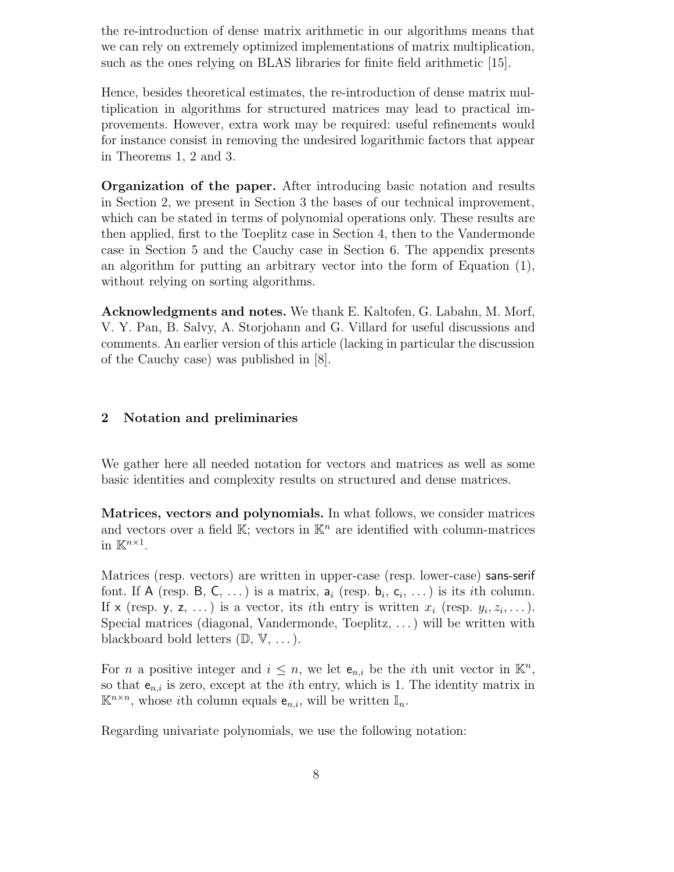the re-introduction of dense matrix arithmetic in our algorithms means that we can rely on extremely optimized implementations of matrix multiplication, such as the ones relying on BLAS libraries for finite field arithmetic [15].

Hence, besides theoretical estimates, the re-introduction of dense matrix multiplication in algorithms for structured matrices may lead to practical improvements. However, extra work may be required: useful refinements would for instance consist in removing the undesired logarithmic factors that appear in Theorems 1, 2 and 3.

Organization of the paper. After introducing basic notation and results in Section 2, we present in Section 3 the bases of our technical improvement, which can be stated in terms of polynomial operations only. These results are then applied, first to the Toeplitz case in Section 4, then to the Vandermonde case in Section 5 and the Cauchy case in Section 6. The appendix presents an algorithm for putting an arbitrary vector into the form of Equation (1), without relying on sorting algorithms.

Acknowledgments and notes. We thank E. Kaltofen, G. Labahn, M. Morf, V. Y. Pan, B. Salvy, A. Storjohann and G. Villard for useful discussions and comments. An earlier version of this article (lacking in particular the discussion of the Cauchy case) was published in [8].

# 2 Notation and preliminaries

We gather here all needed notation for vectors and matrices as well as some basic identities and complexity results on structured and dense matrices.

Matrices, vectors and polynomials. In what follows, we consider matrices and vectors over a field  $\mathbb{K}$ ; vectors in  $\mathbb{K}^n$  are identified with column-matrices in  $\mathbb{K}^{n\times 1}$ .

Matrices (resp. vectors) are written in upper-case (resp. lower-case) sans-serif font. If A (resp. B, C, ...) is a matrix,  $a_i$  (resp.  $b_i$ ,  $c_i$ , ...) is its *i*th column. If x (resp. y, z, ...) is a vector, its *i*th entry is written  $x_i$  (resp.  $y_i, z_i, \ldots$ ). Special matrices (diagonal, Vandermonde, Toeplitz, . . .) will be written with blackboard bold letters  $(\mathbb{D}, \mathbb{V}, \dots)$ .

For *n* a positive integer and  $i \leq n$ , we let  $e_{n,i}$  be the *i*th unit vector in  $\mathbb{K}^n$ , so that  $e_{n,i}$  is zero, except at the *i*th entry, which is 1. The identity matrix in  $\mathbb{K}^{n \times n}$ , whose *i*th column equals  $e_{n,i}$ , will be written  $\mathbb{I}_n$ .

Regarding univariate polynomials, we use the following notation: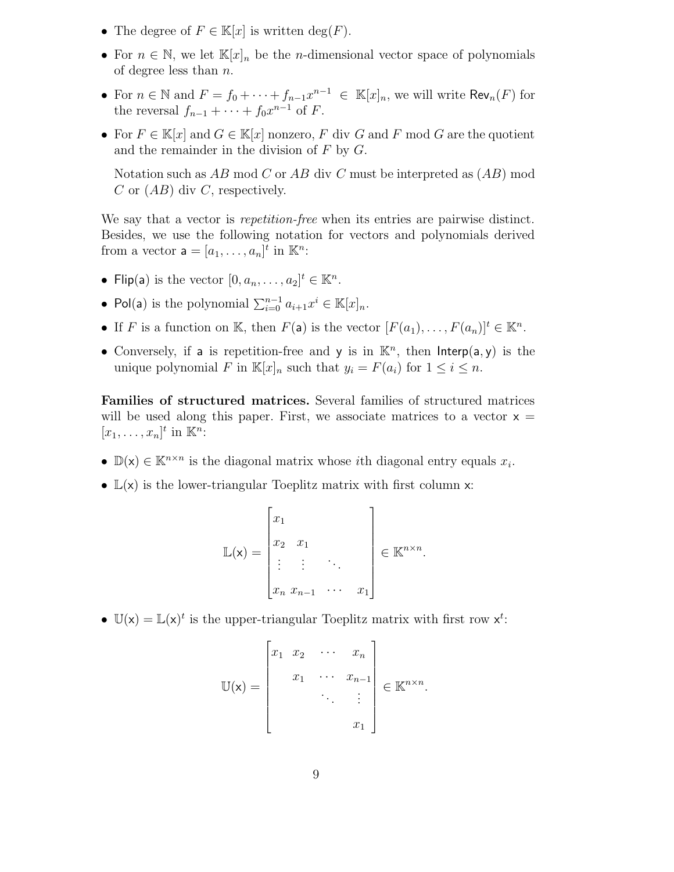- The degree of  $F \in \mathbb{K}[x]$  is written  $\deg(F)$ .
- For  $n \in \mathbb{N}$ , we let  $\mathbb{K}[x]_n$  be the *n*-dimensional vector space of polynomials of degree less than  $n$ .
- For  $n \in \mathbb{N}$  and  $F = f_0 + \cdots + f_{n-1}x^{n-1} \in \mathbb{K}[x]_n$ , we will write  $\text{Rev}_n(F)$  for the reversal  $f_{n-1} + \cdots + f_0 x^{n-1}$  of F.
- For  $F \in \mathbb{K}[x]$  and  $G \in \mathbb{K}[x]$  nonzero, F div G and F mod G are the quotient and the remainder in the division of  $F$  by  $G$ .

Notation such as  $AB \mod C$  or  $AB \dim C$  must be interpreted as  $(AB) \mod D$ C or  $(AB)$  div C, respectively.

We say that a vector is *repetition-free* when its entries are pairwise distinct. Besides, we use the following notation for vectors and polynomials derived from a vector  $\mathbf{a} = [a_1, \dots, a_n]^t$  in  $\mathbb{K}^n$ :

- Flip(a) is the vector  $[0, a_n, \ldots, a_2]^t \in \mathbb{K}^n$ .
- Pol(a) is the polynomial  $\sum_{i=0}^{n-1} a_{i+1} x^i \in \mathbb{K}[x]_n$ .
- If F is a function on K, then  $F(\mathsf{a})$  is the vector  $[F(a_1), \ldots, F(a_n)]^t \in \mathbb{K}^n$ .
- Conversely, if a is repetition-free and y is in  $\mathbb{K}^n$ , then Interp(a, y) is the unique polynomial F in  $\mathbb{K}[x]_n$  such that  $y_i = F(a_i)$  for  $1 \leq i \leq n$ .

Families of structured matrices. Several families of structured matrices will be used along this paper. First, we associate matrices to a vector  $x =$  $[x_1, \ldots, x_n]^t$  in  $\mathbb{K}^n$ :

- $\mathbb{D}(\mathsf{x}) \in \mathbb{K}^{n \times n}$  is the diagonal matrix whose *i*th diagonal entry equals  $x_i$ .
- $\mathbb{L}(\mathsf{x})$  is the lower-triangular Toeplitz matrix with first column x:

$$
\mathbb{L}(\mathsf{x}) = \begin{bmatrix} x_1 \\ x_2 & x_1 \\ \vdots & \vdots \\ x_n & x_{n-1} & \cdots & x_1 \end{bmatrix} \in \mathbb{K}^{n \times n}.
$$

•  $\mathbb{U}(\mathsf{x}) = \mathbb{L}(\mathsf{x})^t$  is the upper-triangular Toeplitz matrix with first row  $\mathsf{x}^t$ :

$$
\mathbb{U}(\mathsf{x}) = \begin{bmatrix} x_1 & x_2 & \cdots & x_n \\ x_1 & \cdots & x_{n-1} \\ \vdots & \ddots & \vdots \\ x_1 & \end{bmatrix} \in \mathbb{K}^{n \times n}.
$$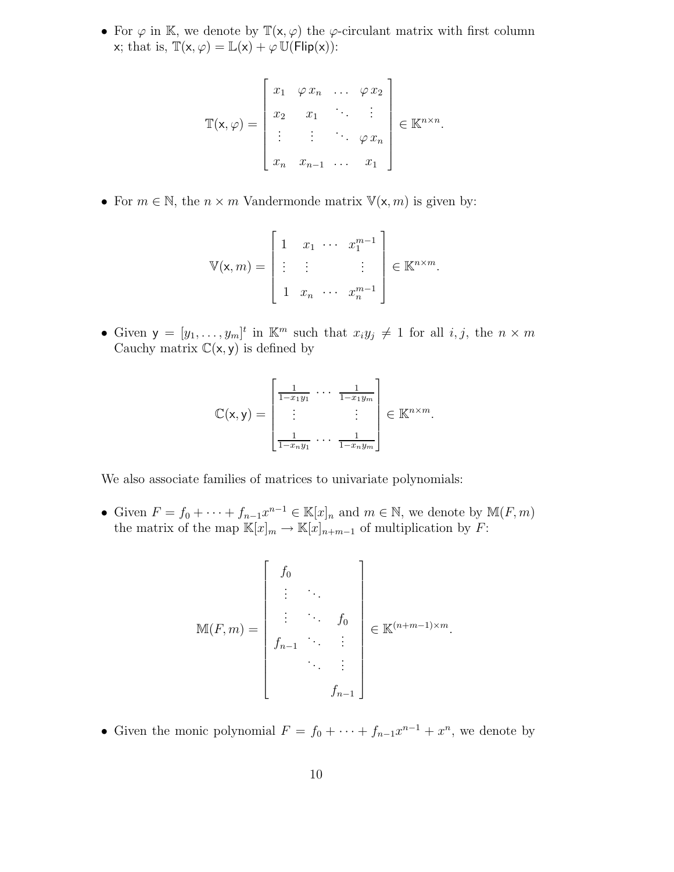• For  $\varphi$  in K, we denote by  $\mathbb{T}(\mathsf{x}, \varphi)$  the  $\varphi$ -circulant matrix with first column x; that is,  $\mathbb{T}(x, \varphi) = \mathbb{L}(x) + \varphi \mathbb{U}(\mathsf{Flip}(x))$ :

$$
\mathbb{T}(\mathsf{x},\varphi)=\begin{bmatrix}x_1&\varphi\,x_n&\ldots&\varphi\,x_2\\x_2&x_1&\ddots&\vdots\\ \vdots&\vdots&\ddots&\varphi\,x_n\\x_n&x_{n-1}&\ldots&x_1\end{bmatrix}\in\mathbb{K}^{n\times n}.
$$

• For  $m \in \mathbb{N}$ , the  $n \times m$  Vandermonde matrix  $\mathbb{V}(\mathsf{x}, m)$  is given by:

$$
\mathbb{V}(\mathsf{x},m) = \begin{bmatrix} 1 & x_1 & \cdots & x_1^{m-1} \\ \vdots & \vdots & & \vdots \\ 1 & x_n & \cdots & x_n^{m-1} \end{bmatrix} \in \mathbb{K}^{n \times m}.
$$

• Given  $y = [y_1, \ldots, y_m]^t$  in  $\mathbb{K}^m$  such that  $x_i y_j \neq 1$  for all  $i, j$ , the  $n \times m$ Cauchy matrix  $\mathbb{C}(x, y)$  is defined by

$$
\mathbb{C}(\mathsf{x},\mathsf{y})=\left[\begin{matrix}\frac{1}{1-x_1y_1} & \cdots & \frac{1}{1-x_1y_m} \\ \vdots & & \vdots \\ \frac{1}{1-x_ny_1} & \cdots & \frac{1}{1-x_ny_m}\end{matrix}\right] \in \mathbb{K}^{n\times m}.
$$

We also associate families of matrices to univariate polynomials:

• Given  $F = f_0 + \cdots + f_{n-1}x^{n-1} \in \mathbb{K}[x]_n$  and  $m \in \mathbb{N}$ , we denote by  $\mathbb{M}(F,m)$ the matrix of the map  $\mathbb{K}[x]_m \to \mathbb{K}[x]_{n+m-1}$  of multiplication by  $F$ :

$$
\mathbb{M}(F,m) = \begin{bmatrix} f_0 & & & \\ \vdots & \ddots & & \\ f_{n-1} & \cdots & \vdots \\ & & \ddots & \\ & & & \vdots \\ & & & & f_{n-1} \end{bmatrix} \in \mathbb{K}^{(n+m-1)\times m}.
$$

• Given the monic polynomial  $F = f_0 + \cdots + f_{n-1}x^{n-1} + x^n$ , we denote by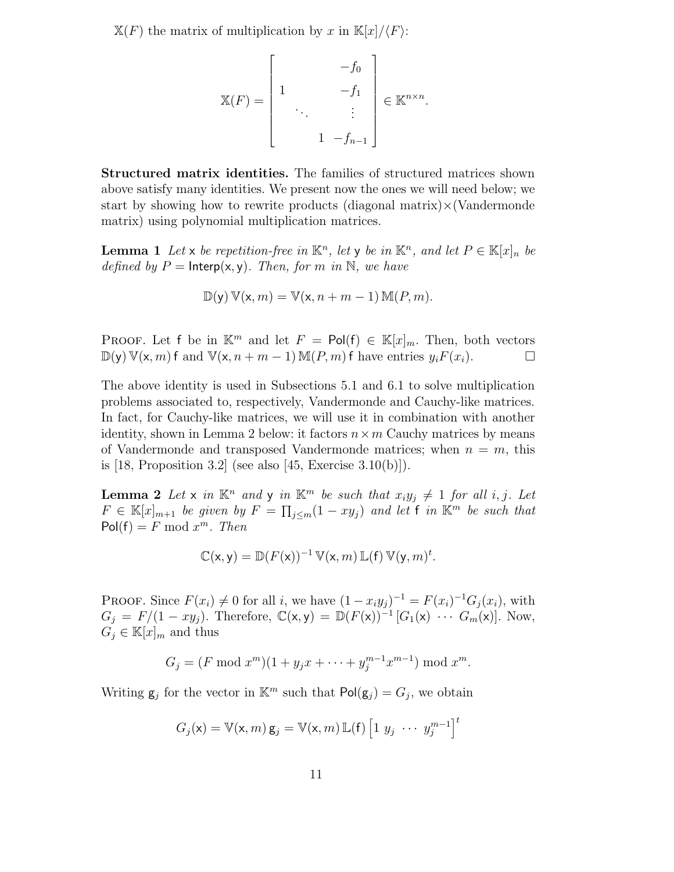$X(F)$  the matrix of multiplication by x in  $K[x]/\langle F\rangle$ :

$$
\mathbb{X}(F) = \begin{bmatrix} -f_0 \\ 1 & -f_1 \\ \vdots \\ 1 & -f_{n-1} \end{bmatrix} \in \mathbb{K}^{n \times n}.
$$

Structured matrix identities. The families of structured matrices shown above satisfy many identities. We present now the ones we will need below; we start by showing how to rewrite products (diagonal matrix) $\times$ (Vandermonde matrix) using polynomial multiplication matrices.

**Lemma 1** Let x be repetition-free in  $\mathbb{K}^n$ , let y be in  $\mathbb{K}^n$ , and let  $P \in \mathbb{K}[x]_n$  be defined by  $P = \mathsf{Interp}(x, y)$ . Then, for m in N, we have

$$
\mathbb{D}(\mathsf{y})\,\mathbb{V}(\mathsf{x},m)=\mathbb{V}(\mathsf{x},n+m-1)\,\mathbb{M}(P,m).
$$

PROOF. Let f be in  $\mathbb{K}^m$  and let  $F = \text{Pol}(f) \in \mathbb{K}[x]_m$ . Then, both vectors  $\mathbb{D}(y) \mathbb{V}(x, m)$  f and  $\mathbb{V}(x, n + m - 1) \mathbb{M}(P, m)$  f have entries  $y_i F(x_i)$ .

The above identity is used in Subsections 5.1 and 6.1 to solve multiplication problems associated to, respectively, Vandermonde and Cauchy-like matrices. In fact, for Cauchy-like matrices, we will use it in combination with another identity, shown in Lemma 2 below: it factors  $n \times m$  Cauchy matrices by means of Vandermonde and transposed Vandermonde matrices; when  $n = m$ , this is  $[18,$  Proposition 3.2 (see also  $[45,$  Exercise 3.10(b)]).

**Lemma 2** Let x in  $\mathbb{K}^n$  and y in  $\mathbb{K}^m$  be such that  $x_iy_j \neq 1$  for all i, j. Let  $F \in \mathbb{K}[x]_{m+1}$  be given by  $F = \prod_{j \leq m} (1 - xy_j)$  and let f in  $\mathbb{K}^m$  be such that  $Pol(f) = F \mod x^m$ . Then

$$
\mathbb{C}(\mathsf{x},\mathsf{y})=\mathbb{D}(F(\mathsf{x}))^{-1}\,\mathbb{V}(\mathsf{x},m)\,\mathbb{L}(\mathsf{f})\,\mathbb{V}(\mathsf{y},m)^t.
$$

PROOF. Since  $F(x_i) \neq 0$  for all i, we have  $(1 - x_i y_j)^{-1} = F(x_i)^{-1} G_j(x_i)$ , with  $G_j = F/(1 - xy_j)$ . Therefore,  $\mathbb{C}(\mathsf{x}, \mathsf{y}) = \mathbb{D}(F(\mathsf{x}))^{-1} [G_1(\mathsf{x}) \cdots G_m(\mathsf{x})]$ . Now,  $G_i \in \mathbb{K}[x]_m$  and thus

$$
G_j = (F \bmod x^m)(1 + y_j x + \dots + y_j^{m-1} x^{m-1}) \bmod x^m.
$$

Writing  $g_j$  for the vector in  $\mathbb{K}^m$  such that  $\mathsf{Pol}(g_j) = G_j$ , we obtain

$$
G_j(\mathbf{x}) = \mathbb{V}(\mathbf{x}, m) \mathbf{g}_j = \mathbb{V}(\mathbf{x}, m) \mathbb{L}(\mathbf{f}) \left[1 \ y_j \ \cdots \ y_j^{m-1}\right]^t
$$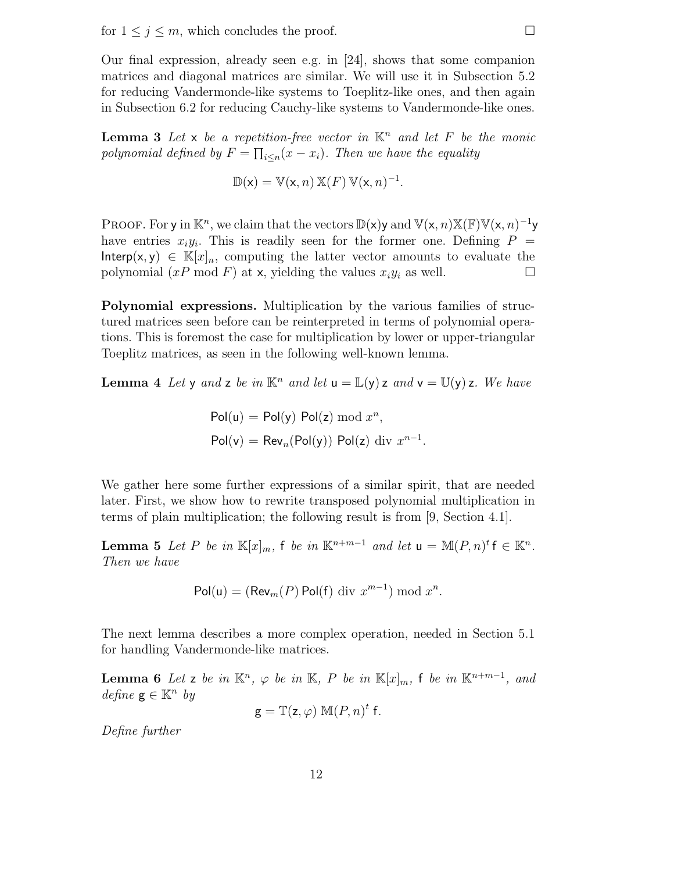Our final expression, already seen e.g. in [24], shows that some companion matrices and diagonal matrices are similar. We will use it in Subsection 5.2 for reducing Vandermonde-like systems to Toeplitz-like ones, and then again in Subsection 6.2 for reducing Cauchy-like systems to Vandermonde-like ones.

**Lemma 3** Let x be a repetition-free vector in  $\mathbb{K}^n$  and let F be the monic polynomial defined by  $F = \prod_{i \leq n} (x - x_i)$ . Then we have the equality

$$
\mathbb{D}(\mathsf{x}) = \mathbb{V}(\mathsf{x}, n) \mathbb{X}(F) \mathbb{V}(\mathsf{x}, n)^{-1}.
$$

PROOF. For y in  $\mathbb{K}^n$ , we claim that the vectors  $\mathbb{D}(\mathsf{x})$  y and  $\mathbb{V}(\mathsf{x}, n) \mathbb{X}(\mathbb{F}) \mathbb{V}(\mathsf{x}, n)^{-1}$ y have entries  $x_i y_i$ . This is readily seen for the former one. Defining  $P =$ Interp(x, y)  $\in \mathbb{K}[x]_n$ , computing the latter vector amounts to evaluate the polynomial  $(xP \mod F)$  at x, yielding the values  $x_i y_i$  as well.

Polynomial expressions. Multiplication by the various families of structured matrices seen before can be reinterpreted in terms of polynomial operations. This is foremost the case for multiplication by lower or upper-triangular Toeplitz matrices, as seen in the following well-known lemma.

**Lemma 4** Let y and z be in  $\mathbb{K}^n$  and let  $\mathbf{u} = \mathbb{L}(\mathbf{y})$  z and  $\mathbf{v} = \mathbb{U}(\mathbf{y})$  z. We have

$$
Pol(u) = Pol(y) Pol(z) mod xn,
$$
  

$$
Pol(v) = Revn(Pol(y)) Pol(z) div xn-1.
$$

We gather here some further expressions of a similar spirit, that are needed later. First, we show how to rewrite transposed polynomial multiplication in terms of plain multiplication; the following result is from [9, Section 4.1].

**Lemma 5** Let P be in  $\mathbb{K}[x]_m$ , f be in  $\mathbb{K}^{n+m-1}$  and let  $\mathsf{u} = \mathbb{M}(P,n)^t$  f  $\in \mathbb{K}^n$ . Then we have

$$
Pol(u) = (Rev_m(P) Pol(f) \text{ div } x^{m-1}) \bmod x^n.
$$

The next lemma describes a more complex operation, needed in Section 5.1 for handling Vandermonde-like matrices.

**Lemma 6** Let z be in  $\mathbb{K}^n$ ,  $\varphi$  be in  $\mathbb{K}$ , P be in  $\mathbb{K}[x]_m$ , f be in  $\mathbb{K}^{n+m-1}$ , and  $define \ g \in \mathbb{K}^n \ by$ 

$$
\mathbf{g} = \mathbb{T}(\mathbf{z}, \varphi) \mathbb{M}(P, n)^t \mathbf{f}.
$$

Define further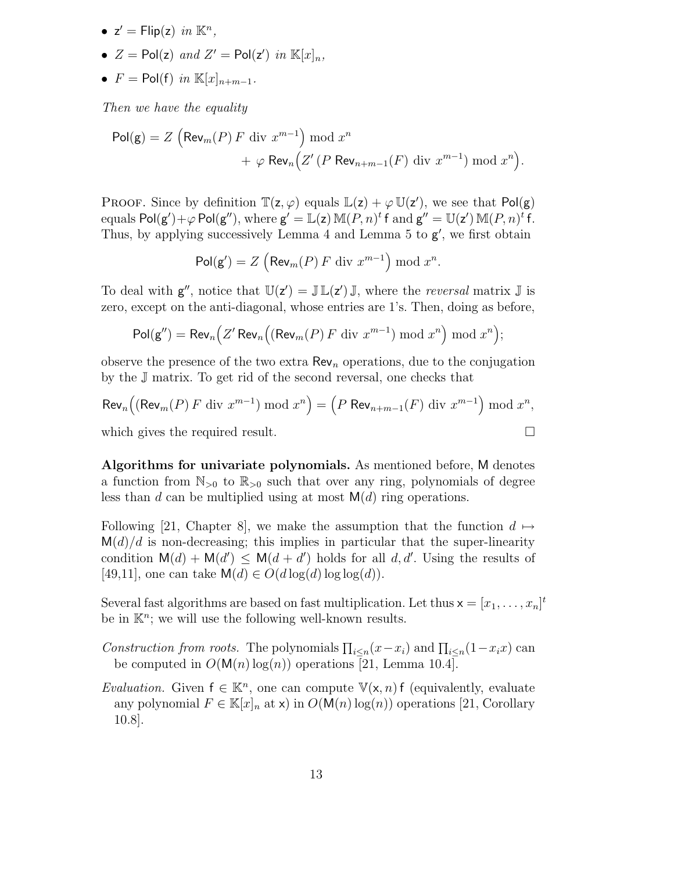- $z' = \text{Flip}(z)$  in  $\mathbb{K}^n$ ,
- $Z = \text{Pol}(z)$  and  $Z' = \text{Pol}(z')$  in  $\mathbb{K}[x]_n$ ,
- $F = \text{Pol}(f)$  in  $\mathbb{K}[x]_{n+m-1}$ .

Then we have the equality

$$
\begin{aligned} \mathsf{Pol}(\mathsf{g}) &= Z \left( \mathsf{Rev}_m(P) \, F \, \text{div} \, x^{m-1} \right) \bmod x^n \\ &+ \varphi \, \mathsf{Rev}_n \Big( Z' \, (P \, \mathsf{Rev}_{n+m-1}(F) \, \text{div} \, x^{m-1}) \bmod x^n \Big). \end{aligned}
$$

PROOF. Since by definition  $\mathbb{T}(z, \varphi)$  equals  $\mathbb{L}(z) + \varphi \mathbb{U}(z')$ , we see that  $Pol(g)$ equals  $Pol(g') + \varphi Pol(g'')$ , where  $g' = \mathbb{L}(z) \mathbb{M}(P, n)^t f$  and  $g'' = \mathbb{U}(z') \mathbb{M}(P, n)^t f$ . Thus, by applying successively Lemma  $4$  and Lemma  $5$  to  $g'$ , we first obtain

$$
\mathsf{Pol}(\mathsf{g}') = Z \left( \mathsf{Rev}_m(P) \, F \, \text{div} \, x^{m-1} \right) \bmod x^n.
$$

To deal with  $g''$ , notice that  $\mathbb{U}(z') = \mathbb{J} \mathbb{L}(z') \mathbb{J}$ , where the *reversal* matrix  $\mathbb{J}$  is zero, except on the anti-diagonal, whose entries are 1's. Then, doing as before,

$$
\mathsf{Pol}(\mathsf{g}'') = \mathsf{Rev}_n\Big(Z'\,\mathsf{Rev}_n\Big((\mathsf{Rev}_m(P)\,F\,\mathrm{div}\,x^{m-1})\,\mathrm{mod}\,x^n\Big)\,\mathrm{mod}\,x^n\Big);
$$

observe the presence of the two extra  $\text{Rev}_n$  operations, due to the conjugation by the J matrix. To get rid of the second reversal, one checks that

$$
\operatorname{Rev}_n\left((\operatorname{Rev}_m(P) \ F \ \operatorname{div} x^{m-1}) \ \operatorname{mod} x^n\right) = \left(P \ \operatorname{Rev}_{n+m-1}(F) \ \operatorname{div} x^{m-1}\right) \operatorname{mod} x^n,
$$
\nwhich gives the required result.

Algorithms for univariate polynomials. As mentioned before, M denotes a function from  $\mathbb{N}_{>0}$  to  $\mathbb{R}_{>0}$  such that over any ring, polynomials of degree less than d can be multiplied using at most  $M(d)$  ring operations.

Following [21, Chapter 8], we make the assumption that the function  $d \mapsto$  $\mathsf{M}(d)/d$  is non-decreasing; this implies in particular that the super-linearity condition  $M(d) + M(d') \leq M(d + d')$  holds for all d, d'. Using the results of [49,11], one can take  $\mathsf{M}(d) \in O(d \log(d) \log \log(d)).$ 

Several fast algorithms are based on fast multiplication. Let thus  $x = [x_1, \ldots, x_n]^t$ be in  $K<sup>n</sup>$ ; we will use the following well-known results.

- Construction from roots. The polynomials  $\prod_{i\leq n}(x-x_i)$  and  $\prod_{i\leq n}(1-x_ix)$  can be computed in  $O(M(n)\log(n))$  operations [21, Lemma 10.4].
- Evaluation. Given  $f \in \mathbb{K}^n$ , one can compute  $\mathbb{V}(\mathsf{x}, n)$  f (equivalently, evaluate any polynomial  $F \in \mathbb{K}[x]_n$  at x) in  $O(\mathsf{M}(n) \log(n))$  operations [21, Corollary 10.8].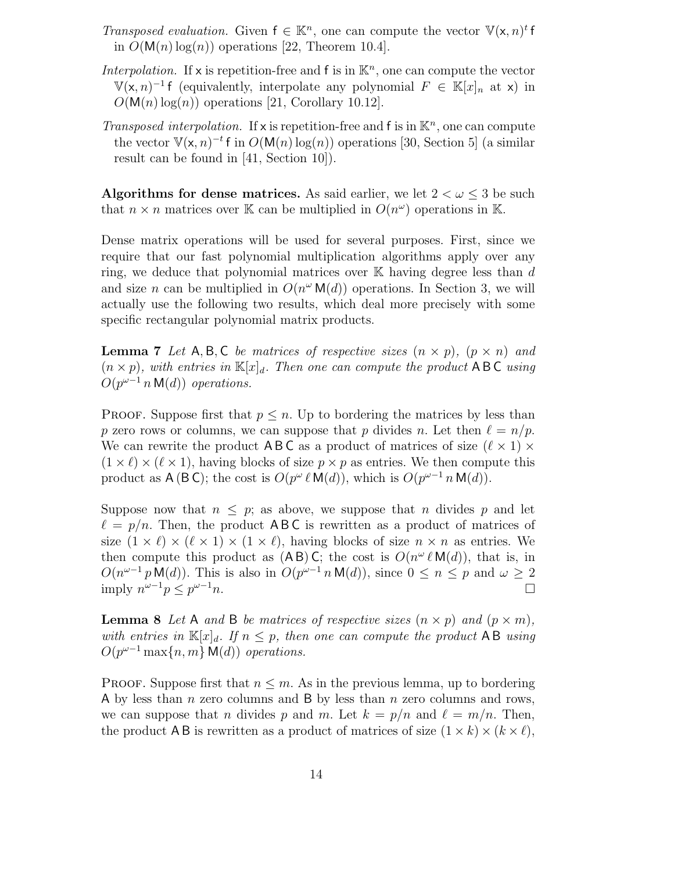- Transposed evaluation. Given  $f \in \mathbb{K}^n$ , one can compute the vector  $\mathbb{V}(\mathsf{x}, n)^t f$ in  $O(M(n) \log(n))$  operations [22, Theorem 10.4].
- Interpolation. If x is repetition-free and f is in  $\mathbb{K}^n$ , one can compute the vector  $V(x, n)^{-1}$  f (equivalently, interpolate any polynomial  $F \in \mathbb{K}[x]_n$  at x) in  $O(M(n)\log(n))$  operations [21, Corollary 10.12].
- Transposed interpolation. If x is repetition-free and f is in  $\mathbb{K}^n$ , one can compute the vector  $V(x, n)^{-t}$  f in  $O(M(n) \log(n))$  operations [30, Section 5] (a similar result can be found in [41, Section 10]).

Algorithms for dense matrices. As said earlier, we let  $2 < \omega \leq 3$  be such that  $n \times n$  matrices over K can be multiplied in  $O(n^{\omega})$  operations in K.

Dense matrix operations will be used for several purposes. First, since we require that our fast polynomial multiplication algorithms apply over any ring, we deduce that polynomial matrices over  $K$  having degree less than  $d$ and size *n* can be multiplied in  $O(n^{\omega} M(d))$  operations. In Section 3, we will actually use the following two results, which deal more precisely with some specific rectangular polynomial matrix products.

**Lemma 7** Let A, B, C be matrices of respective sizes  $(n \times p)$ ,  $(p \times n)$  and  $(n \times p)$ , with entries in  $\mathbb{K}[x]_d$ . Then one can compute the product ABC using  $O(p^{\omega-1} n \mathsf{M}(d))$  operations.

**PROOF.** Suppose first that  $p \leq n$ . Up to bordering the matrices by less than p zero rows or columns, we can suppose that p divides n. Let then  $\ell = n/p$ . We can rewrite the product ABC as a product of matrices of size  $(\ell \times 1) \times$  $(1 \times \ell) \times (\ell \times 1)$ , having blocks of size  $p \times p$  as entries. We then compute this product as  $A(B C)$ ; the cost is  $O(p^{\omega} \ell M(d))$ , which is  $O(p^{\omega-1} n M(d))$ .

Suppose now that  $n \leq p$ ; as above, we suppose that n divides p and let  $\ell = p/n$ . Then, the product ABC is rewritten as a product of matrices of size  $(1 \times \ell) \times (\ell \times 1) \times (1 \times \ell)$ , having blocks of size  $n \times n$  as entries. We then compute this product as  $(AB)C$ ; the cost is  $O(n^{\omega}\ell M(d))$ , that is, in  $O(n^{\omega-1} p M(d))$ . This is also in  $O(p^{\omega-1} n M(d))$ , since  $0 \le n \le p$  and  $\omega \ge 2$ imply  $n^{\omega-1}p \leq p$  $\omega-1$ n.

**Lemma 8** Let A and B be matrices of respective sizes  $(n \times p)$  and  $(p \times m)$ , with entries in  $\mathbb{K}[x]_d$ . If  $n \leq p$ , then one can compute the product AB using  $O(p^{\omega-1}\max\{n,m\} \mathsf{M}(d))$  operations.

**PROOF.** Suppose first that  $n \leq m$ . As in the previous lemma, up to bordering A by less than  $n$  zero columns and B by less than  $n$  zero columns and rows, we can suppose that n divides p and m. Let  $k = p/n$  and  $\ell = m/n$ . Then, the product AB is rewritten as a product of matrices of size  $(1 \times k) \times (k \times \ell)$ ,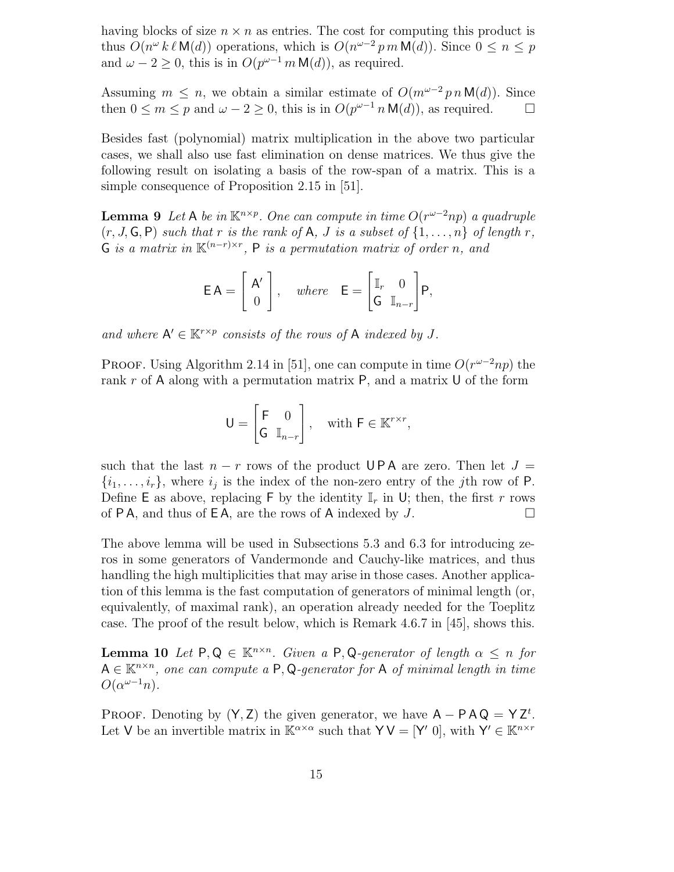having blocks of size  $n \times n$  as entries. The cost for computing this product is thus  $O(n^{\omega} k \ell M(d))$  operations, which is  $O(n^{\omega-2} p m M(d))$ . Since  $0 \le n \le p$ and  $\omega - 2 \geq 0$ , this is in  $O(p^{\omega-1} m \mathsf{M}(d))$ , as required.

Assuming  $m \leq n$ , we obtain a similar estimate of  $O(m^{\omega-2} p n M(d))$ . Since then  $0 \leq m \leq p$  and  $\omega - 2 \geq 0$ , this is in  $O(p^{\omega-1} n \mathsf{M}(d))$ , as required.  $\square$ 

Besides fast (polynomial) matrix multiplication in the above two particular cases, we shall also use fast elimination on dense matrices. We thus give the following result on isolating a basis of the row-span of a matrix. This is a simple consequence of Proposition 2.15 in [51].

**Lemma 9** Let A be in  $\mathbb{K}^{n \times p}$ . One can compute in time  $O(r^{\omega-2}np)$  a quadruple  $(r, J, G, P)$  such that r is the rank of A, J is a subset of  $\{1, \ldots, n\}$  of length r, G is a matrix in  $\mathbb{K}^{(n-r)\times r}$ , P is a permutation matrix of order n, and

$$
\mathsf{EA} = \left[ \begin{array}{c} \mathsf{A}' \\ 0 \end{array} \right], \quad \text{where} \quad \mathsf{E} = \left[ \begin{array}{cc} \mathbb{I}_r & 0 \\ \mathsf{G} & \mathbb{I}_{n-r} \end{array} \right] \mathsf{P},
$$

and where  $A' \in \mathbb{K}^{r \times p}$  consists of the rows of A indexed by J.

PROOF. Using Algorithm 2.14 in [51], one can compute in time  $O(r^{\omega-2}np)$  the rank  $r$  of A along with a permutation matrix  $P$ , and a matrix U of the form

$$
\mathsf{U} = \begin{bmatrix} \mathsf{F} & 0 \\ \mathsf{G} & \mathbb{I}_{n-r} \end{bmatrix}, \quad \text{with } \mathsf{F} \in \mathbb{K}^{r \times r},
$$

such that the last  $n - r$  rows of the product UPA are zero. Then let  $J =$  $\{i_1, \ldots, i_r\}$ , where  $i_j$  is the index of the non-zero entry of the jth row of P. Define E as above, replacing F by the identity  $\mathbb{I}_r$  in U; then, the first r rows of P A, and thus of E A, are the rows of A indexed by  $J$ .

The above lemma will be used in Subsections 5.3 and 6.3 for introducing zeros in some generators of Vandermonde and Cauchy-like matrices, and thus handling the high multiplicities that may arise in those cases. Another application of this lemma is the fast computation of generators of minimal length (or, equivalently, of maximal rank), an operation already needed for the Toeplitz case. The proof of the result below, which is Remark 4.6.7 in [45], shows this.

**Lemma 10** Let  $P, Q \in \mathbb{K}^{n \times n}$ . Given a  $P, Q$ -generator of length  $\alpha \leq n$  for  $A \in \mathbb{K}^{n \times n}$ , one can compute a P, Q-generator for A of minimal length in time  $O(\alpha^{\omega-1}n)$ .

PROOF. Denoting by  $(Y, Z)$  the given generator, we have  $A - P A Q = Y Z^t$ . Let V be an invertible matrix in  $\mathbb{K}^{\alpha \times \alpha}$  such that  $\mathsf{Y} \mathsf{V} = [\mathsf{Y}' \ 0]$ , with  $\mathsf{Y}' \in \mathbb{K}^{n \times r}$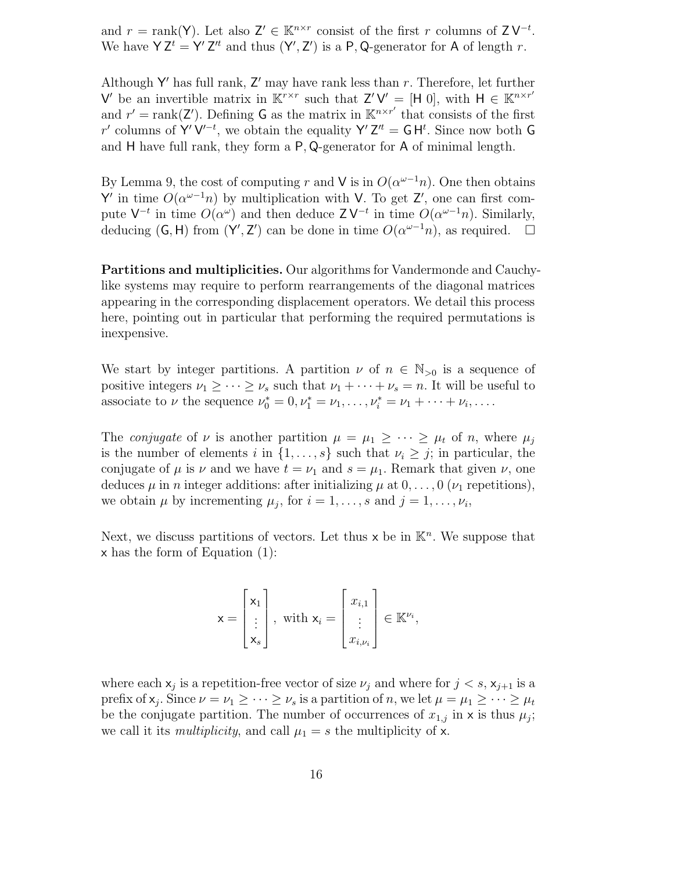and  $r = \text{rank}(Y)$ . Let also  $Z' \in \mathbb{K}^{n \times r}$  consist of the first r columns of  $Z V^{-t}$ . We have  $YZ^t = Y'Z'^t$  and thus  $(Y', Z')$  is a P, Q-generator for A of length r.

Although Y' has full rank,  $Z'$  may have rank less than r. Therefore, let further V' be an invertible matrix in  $\mathbb{K}^{r\times r}$  such that  $Z'V' = [H 0]$ , with  $H \in \mathbb{K}^{n\times r'}$ and  $r' = \text{rank}(\mathbf{Z}')$ . Defining G as the matrix in  $\mathbb{K}^{n \times r'}$  that consists of the first r' columns of Y'V'<sup>-t</sup>, we obtain the equality Y'Z<sup>''</sup> =  $GH<sup>t</sup>$ . Since now both G and H have full rank, they form a P, Q-generator for A of minimal length.

By Lemma 9, the cost of computing r and V is in  $O(\alpha^{\omega-1}n)$ . One then obtains Y' in time  $O(\alpha^{\omega-1}n)$  by multiplication with V. To get Z', one can first compute  $V^{-t}$  in time  $O(\alpha^{\omega})$  and then deduce  $Z V^{-t}$  in time  $O(\alpha^{\omega-1} n)$ . Similarly, deducing  $(G, H)$  from  $(Y', Z')$  can be done in time  $O(\alpha^{\omega-1}n)$ , as required.  $\Box$ 

Partitions and multiplicities. Our algorithms for Vandermonde and Cauchylike systems may require to perform rearrangements of the diagonal matrices appearing in the corresponding displacement operators. We detail this process here, pointing out in particular that performing the required permutations is inexpensive.

We start by integer partitions. A partition  $\nu$  of  $n \in \mathbb{N}_{>0}$  is a sequence of positive integers  $\nu_1 \geq \cdots \geq \nu_s$  such that  $\nu_1 + \cdots + \nu_s = n$ . It will be useful to associate to  $\nu$  the sequence  $\nu_0^* = 0, \nu_1^* = \nu_1, ..., \nu_i^* = \nu_1 + ... + \nu_i, ...$ 

The *conjugate* of  $\nu$  is another partition  $\mu = \mu_1 \geq \cdots \geq \mu_t$  of n, where  $\mu_i$ is the number of elements i in  $\{1, \ldots, s\}$  such that  $\nu_i \geq j$ ; in particular, the conjugate of  $\mu$  is  $\nu$  and we have  $t = \nu_1$  and  $s = \mu_1$ . Remark that given  $\nu$ , one deduces  $\mu$  in n integer additions: after initializing  $\mu$  at  $0, \ldots, 0$  ( $\nu_1$  repetitions), we obtain  $\mu$  by incrementing  $\mu_j$ , for  $i = 1, \ldots, s$  and  $j = 1, \ldots, \nu_i$ ,

Next, we discuss partitions of vectors. Let thus  $x$  be in  $\mathbb{K}^n$ . We suppose that x has the form of Equation (1):

$$
\mathbf{x} = \begin{bmatrix} \mathbf{x}_1 \\ \vdots \\ \mathbf{x}_s \end{bmatrix}, \text{ with } \mathbf{x}_i = \begin{bmatrix} x_{i,1} \\ \vdots \\ x_{i,\nu_i} \end{bmatrix} \in \mathbb{K}^{\nu_i},
$$

where each  $x_j$  is a repetition-free vector of size  $\nu_j$  and where for  $j < s$ ,  $x_{j+1}$  is a prefix of  $x_j$ . Since  $\nu = \nu_1 \geq \cdots \geq \nu_s$  is a partition of n, we let  $\mu = \mu_1 \geq \cdots \geq \mu_t$ be the conjugate partition. The number of occurrences of  $x_{1,j}$  in x is thus  $\mu_j$ ; we call it its *multiplicity*, and call  $\mu_1 = s$  the multiplicity of x.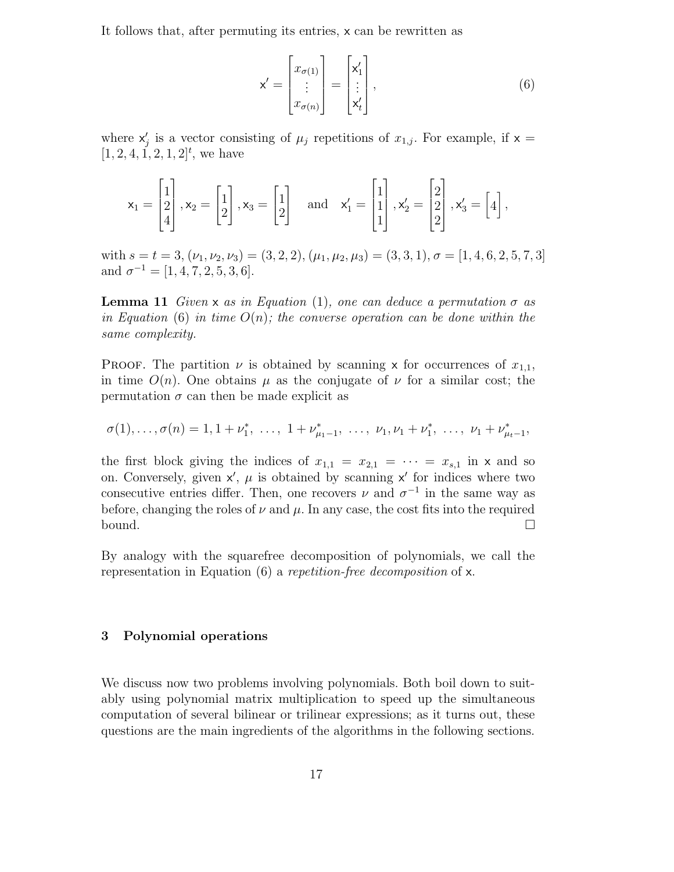It follows that, after permuting its entries, x can be rewritten as

$$
\mathbf{x}' = \begin{bmatrix} x_{\sigma(1)} \\ \vdots \\ x_{\sigma(n)} \end{bmatrix} = \begin{bmatrix} \mathbf{x}'_1 \\ \vdots \\ \mathbf{x}'_t \end{bmatrix},\tag{6}
$$

where  $x'_j$  is a vector consisting of  $\mu_j$  repetitions of  $x_{1,j}$ . For example, if  $x =$  $[1, 2, 4, 1, 2, 1, 2]^t$ , we have

$$
\mathsf{x}_1 = \begin{bmatrix} 1 \\ 2 \\ 4 \end{bmatrix}, \mathsf{x}_2 = \begin{bmatrix} 1 \\ 2 \end{bmatrix}, \mathsf{x}_3 = \begin{bmatrix} 1 \\ 2 \end{bmatrix} \quad \text{and} \quad \mathsf{x}'_1 = \begin{bmatrix} 1 \\ 1 \\ 1 \end{bmatrix}, \mathsf{x}'_2 = \begin{bmatrix} 2 \\ 2 \\ 2 \end{bmatrix}, \mathsf{x}'_3 = \begin{bmatrix} 4 \end{bmatrix},
$$

with  $s = t = 3, (\nu_1, \nu_2, \nu_3) = (3, 2, 2), (\mu_1, \mu_2, \mu_3) = (3, 3, 1), \sigma = [1, 4, 6, 2, 5, 7, 3]$ and  $\sigma^{-1} = [1, 4, 7, 2, 5, 3, 6].$ 

**Lemma 11** Given x as in Equation (1), one can deduce a permutation  $\sigma$  as in Equation (6) in time  $O(n)$ ; the converse operation can be done within the same complexity.

PROOF. The partition  $\nu$  is obtained by scanning x for occurrences of  $x_{1,1}$ , in time  $O(n)$ . One obtains  $\mu$  as the conjugate of  $\nu$  for a similar cost; the permutation  $\sigma$  can then be made explicit as

 $\sigma(1), \ldots, \sigma(n) = 1, 1 + \nu_1^*, \ldots, 1 + \nu_{\mu_1-1}^*, \ldots, \nu_1, \nu_1 + \nu_1^*, \ldots, \nu_1 + \nu_{\mu_t-1}^*,$ 

the first block giving the indices of  $x_{1,1} = x_{2,1} = \cdots = x_{s,1}$  in x and so on. Conversely, given  $x'$ ,  $\mu$  is obtained by scanning  $x'$  for indices where two consecutive entries differ. Then, one recovers  $\nu$  and  $\sigma^{-1}$  in the same way as before, changing the roles of  $\nu$  and  $\mu$ . In any case, the cost fits into the required bound.

By analogy with the squarefree decomposition of polynomials, we call the representation in Equation (6) a repetition-free decomposition of x.

# 3 Polynomial operations

We discuss now two problems involving polynomials. Both boil down to suitably using polynomial matrix multiplication to speed up the simultaneous computation of several bilinear or trilinear expressions; as it turns out, these questions are the main ingredients of the algorithms in the following sections.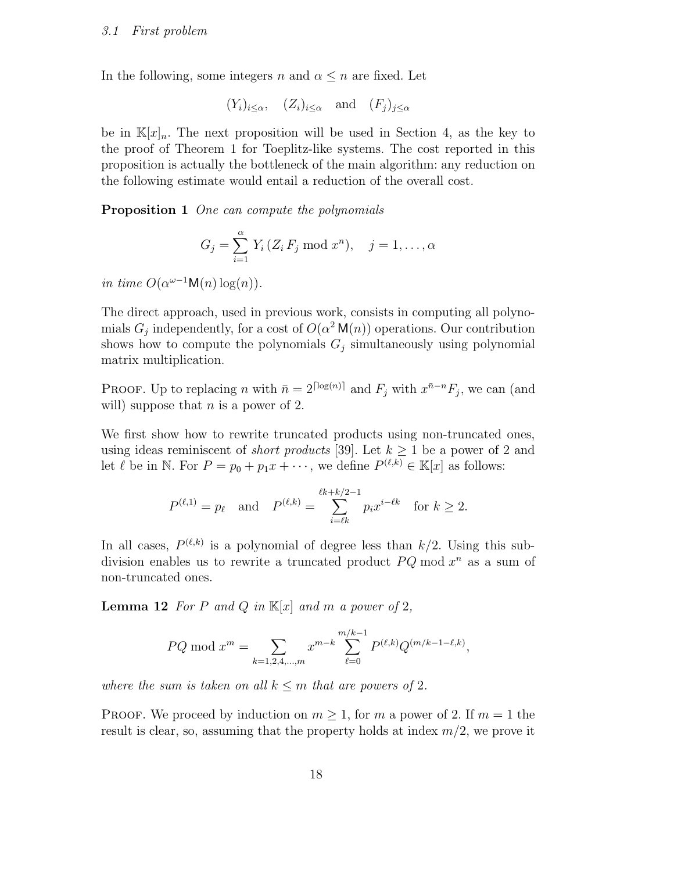In the following, some integers n and  $\alpha \leq n$  are fixed. Let

$$
(Y_i)_{i \leq \alpha}
$$
,  $(Z_i)_{i \leq \alpha}$  and  $(F_j)_{j \leq \alpha}$ 

be in  $\mathbb{K}[x]_n$ . The next proposition will be used in Section 4, as the key to the proof of Theorem 1 for Toeplitz-like systems. The cost reported in this proposition is actually the bottleneck of the main algorithm: any reduction on the following estimate would entail a reduction of the overall cost.

Proposition 1 One can compute the polynomials

$$
G_j = \sum_{i=1}^{\alpha} Y_i (Z_i F_j \bmod x^n), \quad j = 1, \dots, \alpha
$$

in time  $O(\alpha^{\omega-1} \mathsf{M}(n) \log(n)).$ 

The direct approach, used in previous work, consists in computing all polynomials  $G_j$  independently, for a cost of  $O(\alpha^2 M(n))$  operations. Our contribution shows how to compute the polynomials  $G_j$  simultaneously using polynomial matrix multiplication.

PROOF. Up to replacing n with  $\bar{n} = 2^{\lceil \log(n) \rceil}$  and  $F_j$  with  $x^{\bar{n}-n} F_j$ , we can (and will) suppose that  $n$  is a power of 2.

We first show how to rewrite truncated products using non-truncated ones, using ideas reminiscent of *short products* [39]. Let  $k > 1$  be a power of 2 and let  $\ell$  be in N. For  $P = p_0 + p_1 x + \cdots$ , we define  $P^{(\ell,k)} \in \mathbb{K}[x]$  as follows:

$$
P^{(\ell,1)} = p_{\ell}
$$
 and  $P^{(\ell,k)} = \sum_{i=\ell k}^{\ell k + k/2 - 1} p_i x^{i-\ell k}$  for  $k \ge 2$ .

In all cases,  $P^{(\ell,k)}$  is a polynomial of degree less than  $k/2$ . Using this subdivision enables us to rewrite a truncated product  $PQ \mod x^n$  as a sum of non-truncated ones.

**Lemma 12** For P and Q in  $\mathbb{K}[x]$  and m a power of 2,

$$
PQ \bmod x^m = \sum_{k=1,2,4,\dots,m} x^{m-k} \sum_{\ell=0}^{m/k-1} P^{(\ell,k)} Q^{(m/k-1-\ell,k)},
$$

where the sum is taken on all  $k \leq m$  that are powers of 2.

**PROOF.** We proceed by induction on  $m \geq 1$ , for m a power of 2. If  $m = 1$  the result is clear, so, assuming that the property holds at index  $m/2$ , we prove it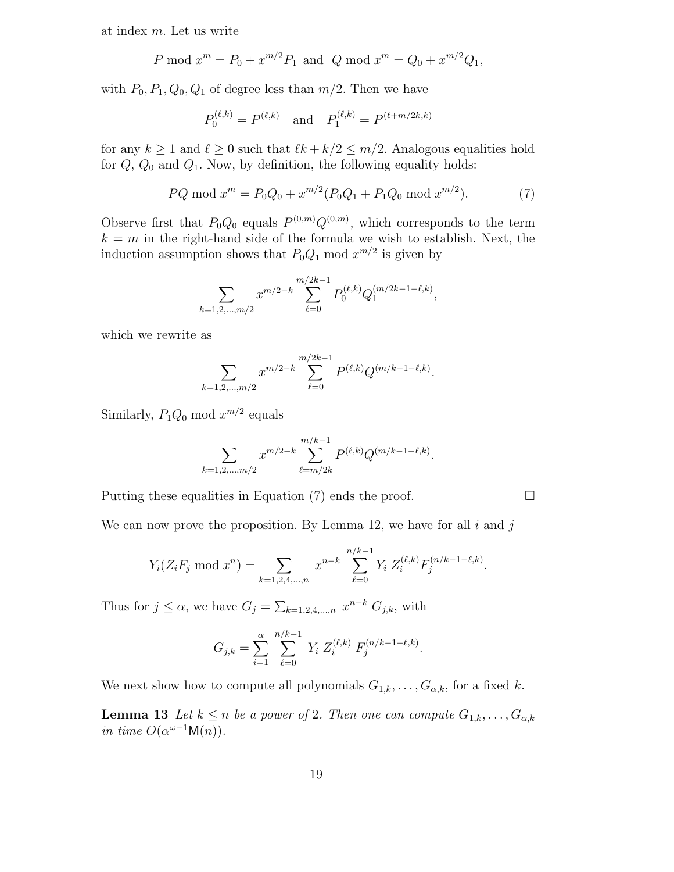at index m. Let us write

$$
P \bmod x^m = P_0 + x^{m/2} P_1
$$
 and  $Q \bmod x^m = Q_0 + x^{m/2} Q_1$ ,

with  $P_0$ ,  $P_1$ ,  $Q_0$ ,  $Q_1$  of degree less than  $m/2$ . Then we have

$$
P_0^{(\ell,k)} = P^{(\ell,k)}
$$
 and  $P_1^{(\ell,k)} = P^{(\ell+m/2k,k)}$ 

for any  $k \ge 1$  and  $\ell \ge 0$  such that  $\ell k + k/2 \le m/2$ . Analogous equalities hold for  $Q$ ,  $Q_0$  and  $Q_1$ . Now, by definition, the following equality holds:

$$
PQ \bmod x^m = P_0 Q_0 + x^{m/2} (P_0 Q_1 + P_1 Q_0 \bmod x^{m/2}). \tag{7}
$$

Observe first that  $P_0Q_0$  equals  $P^{(0,m)}Q^{(0,m)}$ , which corresponds to the term  $k = m$  in the right-hand side of the formula we wish to establish. Next, the induction assumption shows that  $P_0Q_1 \text{ mod } x^{m/2}$  is given by

$$
\sum_{k=1,2,\dots,m/2} x^{m/2-k} \sum_{\ell=0}^{m/2k-1} P_0^{(\ell,k)} Q_1^{(m/2k-1-\ell,k)},
$$

which we rewrite as

$$
\sum_{k=1,2,\dots,m/2} x^{m/2-k} \sum_{\ell=0}^{m/2k-1} P^{(\ell,k)} Q^{(m/k-1-\ell,k)}.
$$

Similarly,  $P_1Q_0 \mod x^{m/2}$  equals

$$
\sum_{k=1,2,...,m/2} x^{m/2-k} \sum_{\ell=m/2k}^{m/k-1} P^{(\ell,k)} Q^{(m/k-1-\ell,k)}.
$$

Putting these equalities in Equation (7) ends the proof.  $\Box$ 

We can now prove the proposition. By Lemma 12, we have for all  $i$  and  $j$ 

$$
Y_i(Z_iF_j \mod x^n) = \sum_{k=1,2,4,\dots,n} x^{n-k} \sum_{\ell=0}^{n/k-1} Y_i Z_i^{(\ell,k)} F_j^{(n/k-1-\ell,k)}.
$$

Thus for  $j \leq \alpha$ , we have  $G_j = \sum_{k=1,2,4,\dots,n} x^{n-k} G_{j,k}$ , with

$$
G_{j,k} = \sum_{i=1}^{\alpha} \sum_{\ell=0}^{n/k-1} Y_i Z_i^{(\ell,k)} F_j^{(n/k-1-\ell,k)}.
$$

We next show how to compute all polynomials  $G_{1,k}, \ldots, G_{\alpha,k}$ , for a fixed k.

**Lemma 13** Let  $k \leq n$  be a power of 2. Then one can compute  $G_{1,k}, \ldots, G_{\alpha,k}$ in time  $O(\alpha^{\omega-1} \mathsf{M}(n)).$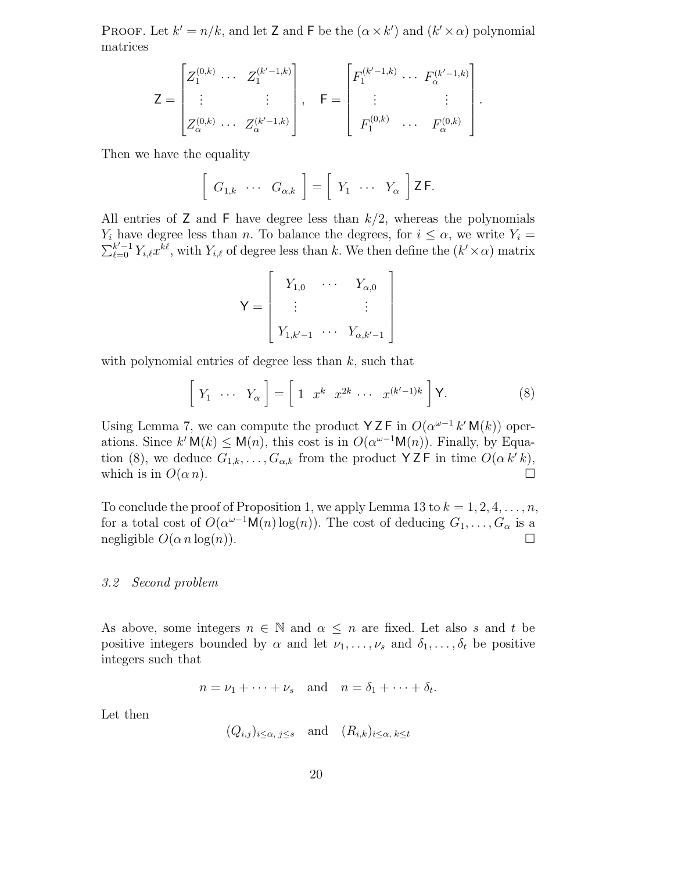PROOF. Let  $k' = n/k$ , and let Z and F be the  $(\alpha \times k')$  and  $(k' \times \alpha)$  polynomial matrices

$$
Z = \begin{bmatrix} Z_1^{(0,k)} & \cdots & Z_1^{(k'-1,k)} \\ \vdots & & \vdots \\ Z_{\alpha}^{(0,k)} & \cdots & Z_{\alpha}^{(k'-1,k)} \end{bmatrix}, \quad \mathsf{F} = \begin{bmatrix} F_1^{(k'-1,k)} & \cdots & F_{\alpha}^{(k'-1,k)} \\ \vdots & & \vdots \\ F_1^{(0,k)} & \cdots & F_{\alpha}^{(0,k)} \end{bmatrix}.
$$

Then we have the equality

$$
\left[\begin{array}{ccc} G_{1,k} & \cdots & G_{\alpha,k} \end{array}\right] = \left[\begin{array}{ccc} Y_1 & \cdots & Y_{\alpha} \end{array}\right] \mathsf{Z} \mathsf{F}.
$$

All entries of  $Z$  and  $F$  have degree less than  $k/2$ , whereas the polynomials  $Y_i$  have degree less than n. To balance the degrees, for  $i \leq \alpha$ , we write  $Y_i =$  $\sum_{\ell=0}^{k'-1} Y_{i,\ell} x^{\overline{k}\ell}$ , with  $Y_{i,\ell}$  of degree less than k. We then define the  $(k' \times \alpha)$  matrix

$$
\mathsf{Y} = \left[ \begin{array}{ccc} Y_{1,0} & \cdots & Y_{\alpha,0} \\ \vdots & & \vdots \\ Y_{1,k'-1} & \cdots & Y_{\alpha,k'-1} \end{array} \right]
$$

with polynomial entries of degree less than  $k$ , such that

$$
\left[\begin{array}{ccc} Y_1 & \cdots & Y_\alpha \end{array}\right] = \left[\begin{array}{ccc} 1 & x^k & x^{2k} & \cdots & x^{(k'-1)k} \end{array}\right] \mathsf{Y}.
$$
 (8)

Using Lemma 7, we can compute the product YZF in  $O(\alpha^{\omega-1} k' M(k))$  operations. Since  $k' \mathsf{M}(k) \leq \mathsf{M}(n)$ , this cost is in  $O(\alpha^{\omega-1} \mathsf{M}(n))$ . Finally, by Equation (8), we deduce  $G_{1,k}, \ldots, G_{\alpha,k}$  from the product  $\forall Z \in \mathbb{R}$  in time  $O(\alpha k' k)$ , which is in  $O(\alpha n)$ .

To conclude the proof of Proposition 1, we apply Lemma 13 to  $k = 1, 2, 4, \ldots, n$ , for a total cost of  $O(\alpha^{\omega-1} \mathsf{M}(n) \log(n))$ . The cost of deducing  $G_1, \ldots, G_\alpha$  is a negligible  $O(\alpha n \log(n))$ .

#### 3.2 Second problem

As above, some integers  $n \in \mathbb{N}$  and  $\alpha \leq n$  are fixed. Let also s and t be positive integers bounded by  $\alpha$  and let  $\nu_1, \ldots, \nu_s$  and  $\delta_1, \ldots, \delta_t$  be positive integers such that

$$
n = \nu_1 + \cdots + \nu_s
$$
 and  $n = \delta_1 + \cdots + \delta_t$ .

Let then

$$
(Q_{i,j})_{i\leq \alpha, j\leq s}
$$
 and  $(R_{i,k})_{i\leq \alpha, k\leq t}$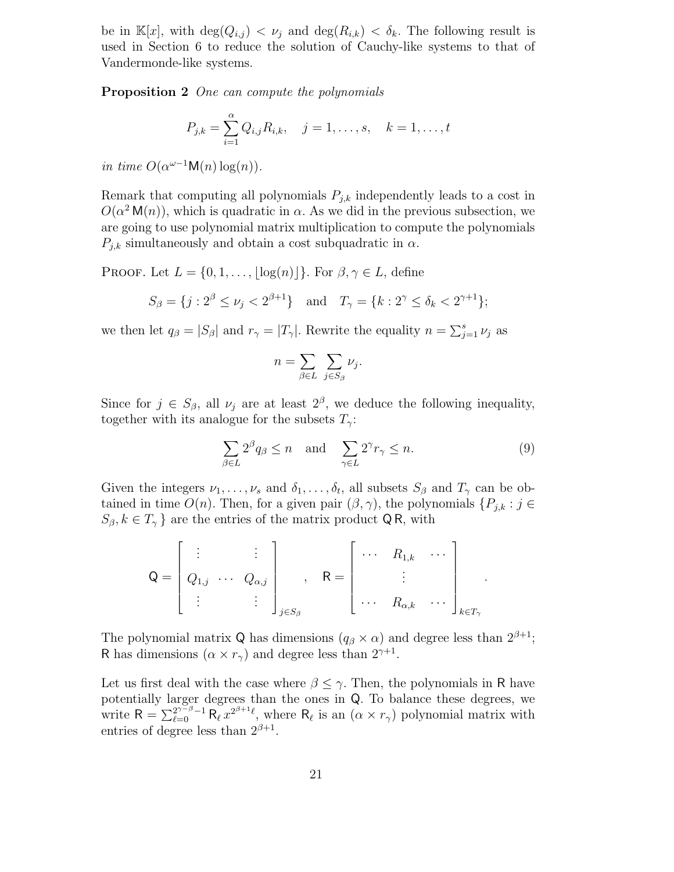be in  $\mathbb{K}[x]$ , with  $\deg(Q_{i,j}) < \nu_j$  and  $\deg(R_{i,k}) < \delta_k$ . The following result is used in Section 6 to reduce the solution of Cauchy-like systems to that of Vandermonde-like systems.

Proposition 2 One can compute the polynomials

$$
P_{j,k} = \sum_{i=1}^{a} Q_{i,j} R_{i,k}, \quad j = 1, \dots, s, \quad k = 1, \dots, t
$$

in time  $O(\alpha^{\omega-1} \mathsf{M}(n) \log(n)).$ 

Remark that computing all polynomials  $P_{j,k}$  independently leads to a cost in  $O(\alpha^2 M(n))$ , which is quadratic in  $\alpha$ . As we did in the previous subsection, we are going to use polynomial matrix multiplication to compute the polynomials  $P_{j,k}$  simultaneously and obtain a cost subquadratic in  $\alpha$ .

PROOF. Let  $L = \{0, 1, \ldots, |\log(n)|\}$ . For  $\beta, \gamma \in L$ , define

$$
S_{\beta} = \{ j : 2^{\beta} \le \nu_j < 2^{\beta+1} \} \quad \text{and} \quad T_{\gamma} = \{ k : 2^{\gamma} \le \delta_k < 2^{\gamma+1} \};
$$

we then let  $q_{\beta} = |S_{\beta}|$  and  $r_{\gamma} = |T_{\gamma}|$ . Rewrite the equality  $n = \sum_{j=1}^{s} \nu_j$  as

$$
n = \sum_{\beta \in L} \sum_{j \in S_{\beta}} \nu_j.
$$

Since for  $j \in S_\beta$ , all  $\nu_j$  are at least  $2^\beta$ , we deduce the following inequality, together with its analogue for the subsets  $T_{\gamma}$ :

$$
\sum_{\beta \in L} 2^{\beta} q_{\beta} \le n \quad \text{and} \quad \sum_{\gamma \in L} 2^{\gamma} r_{\gamma} \le n. \tag{9}
$$

.

Given the integers  $\nu_1, \ldots, \nu_s$  and  $\delta_1, \ldots, \delta_t$ , all subsets  $S_\beta$  and  $T_\gamma$  can be obtained in time  $O(n)$ . Then, for a given pair  $(\beta, \gamma)$ , the polynomials  $\{P_{j,k} : j \in$  $S_{\beta}, k \in T_{\gamma}$  are the entries of the matrix product QR, with

$$
\mathsf{Q} = \begin{bmatrix} \vdots & \vdots \\ Q_{1,j} & \cdots & Q_{\alpha,j} \\ \vdots & \vdots & \vdots \end{bmatrix}_{j \in S_{\beta}}, \quad \mathsf{R} = \begin{bmatrix} \cdots & R_{1,k} & \cdots \\ & \vdots & \\ \cdots & R_{\alpha,k} & \cdots \end{bmatrix}_{k \in T_{\gamma}}
$$

The polynomial matrix Q has dimensions  $(q_\beta \times \alpha)$  and degree less than  $2^{\beta+1}$ ; R has dimensions  $(\alpha \times r_{\gamma})$  and degree less than  $2^{\gamma+1}$ .

Let us first deal with the case where  $\beta \leq \gamma$ . Then, the polynomials in R have potentially larger degrees than the ones in Q. To balance these degrees, we write  $R = \sum_{\ell=0}^{2^{\gamma-\beta}-1} R_{\ell}^{\gamma} x^{2^{\beta+1}\ell}$ , where  $R_{\ell}$  is an  $(\alpha \times r_{\gamma})$  polynomial matrix with entries of degree less than  $2^{\beta+1}$ .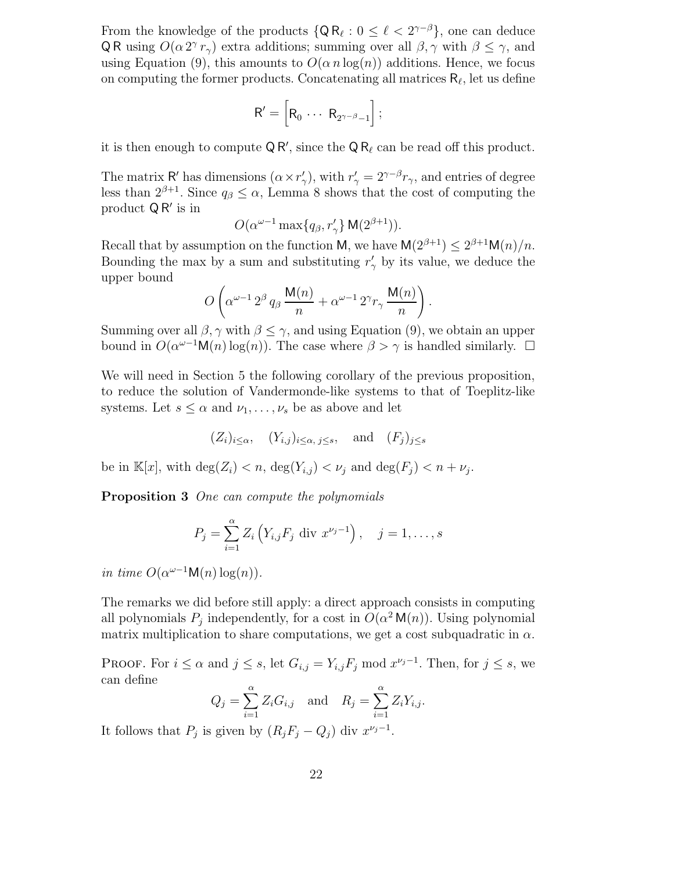From the knowledge of the products  $\{Q R_{\ell} : 0 \leq \ell < 2^{\gamma - \beta}\}\$ , one can deduce QR using  $O(\alpha 2^{\gamma} r_{\gamma})$  extra additions; summing over all  $\beta, \gamma$  with  $\beta \leq \gamma$ , and using Equation (9), this amounts to  $O(\alpha n \log(n))$  additions. Hence, we focus on computing the former products. Concatenating all matrices  $R_\ell$ , let us define

$$
\mathsf{R}'=\left[\mathsf{R}_0\,\cdots\,\mathsf{R}_{2^{\gamma-\beta}-1}\right];
$$

it is then enough to compute  $\mathsf{Q}\mathsf{R}'$ , since the  $\mathsf{Q}\mathsf{R}_\ell$  can be read off this product.

The matrix R' has dimensions  $(\alpha \times r'_\gamma)$ , with  $r'_\gamma = 2^{\gamma-\beta}r_\gamma$ , and entries of degree less than  $2^{\beta+1}$ . Since  $q_{\beta} \leq \alpha$ , Lemma 8 shows that the cost of computing the product  $\mathsf{Q} \mathsf{R}'$  is in

$$
O(\alpha^{\omega-1} \max\{q_\beta, r'_\gamma\} \mathsf{M}(2^{\beta+1})).
$$

Recall that by assumption on the function M, we have  $M(2^{\beta+1}) \leq 2^{\beta+1}M(n)/n$ . Bounding the max by a sum and substituting  $r'_{\gamma}$  by its value, we deduce the upper bound

$$
O\left(\alpha^{\omega-1} \, 2^\beta \, q_\beta \, \frac{\mathsf{M}(n)}{n} + \alpha^{\omega-1} \, 2^\gamma r_\gamma \, \frac{\mathsf{M}(n)}{n}\right).
$$

Summing over all  $\beta$ ,  $\gamma$  with  $\beta \leq \gamma$ , and using Equation (9), we obtain an upper bound in  $O(\alpha^{\omega-1} \mathsf{M}(n) \log(n))$ . The case where  $\beta > \gamma$  is handled similarly.  $\Box$ 

We will need in Section 5 the following corollary of the previous proposition, to reduce the solution of Vandermonde-like systems to that of Toeplitz-like systems. Let  $s \leq \alpha$  and  $\nu_1, \ldots, \nu_s$  be as above and let

$$
(Z_i)_{i \leq \alpha}
$$
,  $(Y_{i,j})_{i \leq \alpha, j \leq s}$ , and  $(F_j)_{j \leq s}$ 

be in  $\mathbb{K}[x]$ , with  $\deg(Z_i) < n$ ,  $\deg(Y_{i,j}) < \nu_j$  and  $\deg(F_j) < n + \nu_j$ .

Proposition 3 One can compute the polynomials

$$
P_j = \sum_{i=1}^{a} Z_i \left( Y_{i,j} F_j \text{ div } x^{\nu_j - 1} \right), \quad j = 1, \dots, s
$$

in time  $O(\alpha^{\omega-1} \mathsf{M}(n) \log(n)).$ 

The remarks we did before still apply: a direct approach consists in computing all polynomials  $P_j$  independently, for a cost in  $O(\alpha^2 M(n))$ . Using polynomial matrix multiplication to share computations, we get a cost subquadratic in  $\alpha$ .

PROOF. For  $i \leq \alpha$  and  $j \leq s$ , let  $G_{i,j} = Y_{i,j} F_j \text{ mod } x^{\nu_j-1}$ . Then, for  $j \leq s$ , we can define

$$
Q_j = \sum_{i=1}^{\alpha} Z_i G_{i,j} \quad \text{and} \quad R_j = \sum_{i=1}^{\alpha} Z_i Y_{i,j}.
$$

It follows that  $P_j$  is given by  $(R_j F_j - Q_j)$  div  $x^{\nu_j - 1}$ .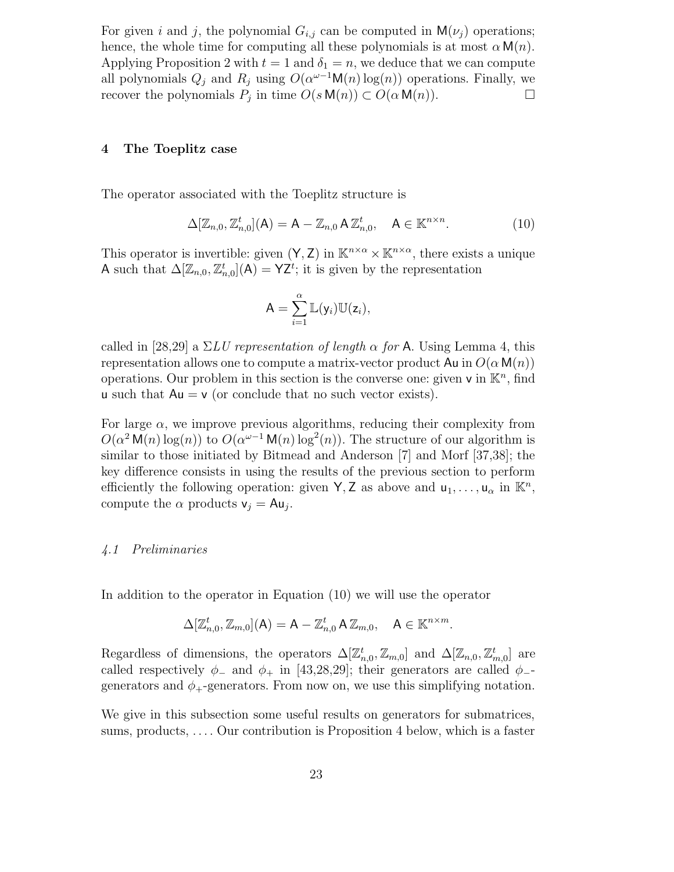For given i and j, the polynomial  $G_{i,j}$  can be computed in  $M(\nu_i)$  operations; hence, the whole time for computing all these polynomials is at most  $\alpha \mathsf{M}(n)$ . Applying Proposition 2 with  $t = 1$  and  $\delta_1 = n$ , we deduce that we can compute all polynomials  $Q_j$  and  $R_j$  using  $O(\alpha^{\omega-1} \mathsf{M}(n) \log(n))$  operations. Finally, we recover the polynomials  $P_j$  in time  $O(s \mathsf{M}(n)) \subset O(\alpha \mathsf{M}(n))$ .

#### 4 The Toeplitz case

The operator associated with the Toeplitz structure is

$$
\Delta[\mathbb{Z}_{n,0},\mathbb{Z}_{n,0}^t](\mathsf{A})=\mathsf{A}-\mathbb{Z}_{n,0}\,\mathsf{A}\,\mathbb{Z}_{n,0}^t,\quad \mathsf{A}\in\mathbb{K}^{n\times n}.\tag{10}
$$

This operator is invertible: given  $(Y, Z)$  in  $\mathbb{K}^{n \times \alpha} \times \mathbb{K}^{n \times \alpha}$ , there exists a unique A such that  $\Delta[\mathbb{Z}_{n,0}, \mathbb{Z}_{n,0}^t](\mathsf{A}) = \mathsf{YZ}^t$ ; it is given by the representation

$$
A = \sum_{i=1}^{\alpha} \mathbb{L}(y_i) \mathbb{U}(z_i),
$$

called in [28,29] a  $\Sigma LU$  representation of length  $\alpha$  for A. Using Lemma 4, this representation allows one to compute a matrix-vector product  $Au$  in  $O(\alpha M(n))$ operations. Our problem in this section is the converse one: given  $v$  in  $\mathbb{K}^n$ , find u such that  $Au = v$  (or conclude that no such vector exists).

For large  $\alpha$ , we improve previous algorithms, reducing their complexity from  $O(\alpha^2 M(n) \log(n))$  to  $O(\alpha^{\omega-1} M(n) \log^2(n))$ . The structure of our algorithm is similar to those initiated by Bitmead and Anderson [7] and Morf [37,38]; the key difference consists in using the results of the previous section to perform efficiently the following operation: given  $\mathsf{Y}, \mathsf{Z}$  as above and  $\mathsf{u}_1, \ldots, \mathsf{u}_\alpha$  in  $\mathbb{K}^n$ , compute the  $\alpha$  products  $v_j = Au_j$ .

#### 4.1 Preliminaries

In addition to the operator in Equation (10) we will use the operator

$$
\Delta[\mathbb{Z}_{n,0}^t,\mathbb{Z}_{m,0}](\mathsf{A})=\mathsf{A}-\mathbb{Z}_{n,0}^t\,\mathsf{A}\,\mathbb{Z}_{m,0},\quad \mathsf{A}\in\mathbb{K}^{n\times m}.
$$

Regardless of dimensions, the operators  $\Delta[\mathbb{Z}_{n,0}^t, \mathbb{Z}_{m,0}]$  and  $\Delta[\mathbb{Z}_{n,0}, \mathbb{Z}_{m,0}^t]$  are called respectively  $\phi_-$  and  $\phi_+$  in [43,28,29]; their generators are called  $\phi_$ generators and  $\phi_{+}$ -generators. From now on, we use this simplifying notation.

We give in this subsection some useful results on generators for submatrices, sums, products, . . . . Our contribution is Proposition 4 below, which is a faster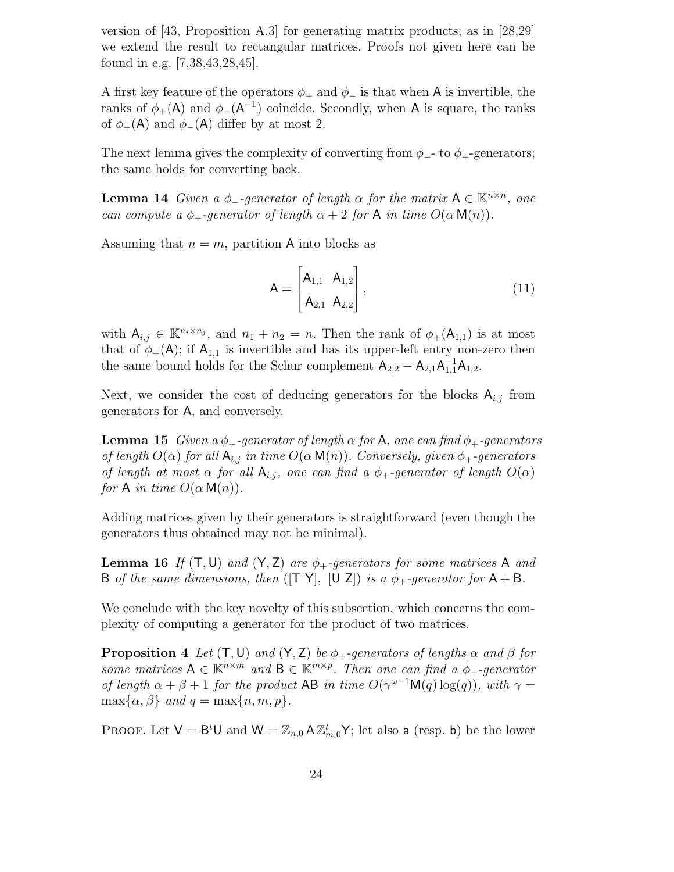version of [43, Proposition A.3] for generating matrix products; as in [28,29] we extend the result to rectangular matrices. Proofs not given here can be found in e.g. [7,38,43,28,45].

A first key feature of the operators  $\phi_+$  and  $\phi_-$  is that when A is invertible, the ranks of  $\phi_{+}(\mathsf{A})$  and  $\phi_{-}(\mathsf{A}^{-1})$  coincide. Secondly, when A is square, the ranks of  $\phi_{+}(\mathsf{A})$  and  $\phi_{-}(\mathsf{A})$  differ by at most 2.

The next lemma gives the complexity of converting from  $\phi$ -- to  $\phi$ +-generators; the same holds for converting back.

**Lemma 14** Given a  $\phi$ -generator of length  $\alpha$  for the matrix  $A \in \mathbb{K}^{n \times n}$ , one can compute a  $\phi_+$ -generator of length  $\alpha + 2$  for A in time  $O(\alpha \mathsf{M}(n))$ .

Assuming that  $n = m$ , partition A into blocks as

$$
A = \begin{bmatrix} A_{1,1} & A_{1,2} \\ A_{2,1} & A_{2,2} \end{bmatrix},
$$
\n(11)

with  $A_{i,j} \in \mathbb{K}^{n_i \times n_j}$ , and  $n_1 + n_2 = n$ . Then the rank of  $\phi_+(\mathsf{A}_{1,1})$  is at most that of  $\phi_{+}(\mathsf{A})$ ; if  $\mathsf{A}_{1,1}$  is invertible and has its upper-left entry non-zero then the same bound holds for the Schur complement  $A_{2,2} - A_{2,1}A_{1,1}^{-1}A_{1,2}$ .

Next, we consider the cost of deducing generators for the blocks  $A_{i,j}$  from generators for A, and conversely.

**Lemma 15** Given a  $\phi_+$ -generator of length  $\alpha$  for A, one can find  $\phi_+$ -generators of length  $O(\alpha)$  for all  $A_{i,j}$  in time  $O(\alpha M(n))$ . Conversely, given  $\phi_+$ -generators of length at most  $\alpha$  for all  $A_{i,j}$ , one can find a  $\phi_+$ -generator of length  $O(\alpha)$ for A in time  $O(\alpha M(n))$ .

Adding matrices given by their generators is straightforward (even though the generators thus obtained may not be minimal).

**Lemma 16** If  $(T, U)$  and  $(Y, Z)$  are  $\phi_+$ -generators for some matrices A and B of the same dimensions, then ( $[T Y]$ ,  $[U Z]$ ) is a  $\phi_+$ -generator for  $A + B$ .

We conclude with the key novelty of this subsection, which concerns the complexity of computing a generator for the product of two matrices.

**Proposition 4** Let  $(T, U)$  and  $(Y, Z)$  be  $\phi_+$ -generators of lengths  $\alpha$  and  $\beta$  for some matrices  $A \in \mathbb{K}^{n \times m}$  and  $B \in \mathbb{K}^{m \times p}$ . Then one can find a  $\phi_+$ -generator of length  $\alpha + \beta + 1$  for the product AB in time  $O(\gamma^{\omega-1}M(q) \log(q))$ , with  $\gamma =$  $\max\{\alpha, \beta\}$  and  $q = \max\{n, m, p\}.$ 

PROOF. Let  $V = B^t U$  and  $W = \mathbb{Z}_{n,0} A \mathbb{Z}_{m,0}^t Y$ ; let also a (resp. b) be the lower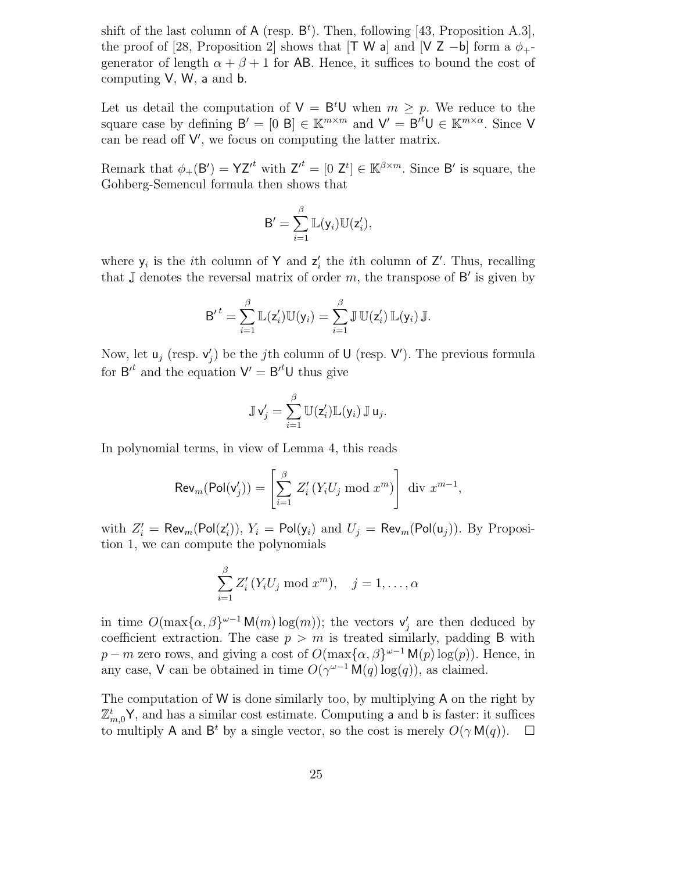shift of the last column of  $A$  (resp.  $B<sup>t</sup>$ ). Then, following [43, Proposition A.3], the proof of [28, Proposition 2] shows that [T W a] and [V Z −b] form a  $\phi_{+}$ generator of length  $\alpha + \beta + 1$  for AB. Hence, it suffices to bound the cost of computing V, W, a and b.

Let us detail the computation of  $V = B<sup>t</sup>U$  when  $m \geq p$ . We reduce to the square case by defining  $B' = [0, B] \in \mathbb{K}^{m \times m}$  and  $V' = B'^t U \in \mathbb{K}^{m \times \alpha}$ . Since V can be read off  $V'$ , we focus on computing the latter matrix.

Remark that  $\phi_+(\mathsf{B}') = \mathsf{YZ}'^t$  with  $\mathsf{Z}'^t = [0, \mathsf{Z}^t] \in \mathbb{K}^{\beta \times m}$ . Since  $\mathsf{B}'$  is square, the Gohberg-Semencul formula then shows that

$$
B' = \sum_{i=1}^{\beta} \mathbb{L}(y_i) \mathbb{U}(z'_i),
$$

where  $y_i$  is the *i*th column of Y and  $z'_i$  the *i*th column of Z'. Thus, recalling that  $\mathbb J$  denotes the reversal matrix of order m, the transpose of  $\mathsf B'$  is given by

$$
{\sf B'}^t = \sum_{i=1}^\beta \mathbb{L}(z_i') \mathbb{U}(\mathsf{y}_i) = \sum_{i=1}^\beta \mathbb{J} \mathbb{U}(z_i') \mathbb{L}(\mathsf{y}_i) \mathbb{J}.
$$

Now, let  $\mathsf{u}_j$  (resp.  $\mathsf{v}'_j$ ) be the *j*th column of  $\mathsf{U}$  (resp.  $\mathsf{V}'$ ). The previous formula for  $B'^t$  and the equation  $V' = B'^t U$  thus give

$$
\mathbb{J}\mathsf{v}'_j=\sum_{i=1}^\beta \mathbb{U}(\mathsf{z}'_i)\mathbb{L}(\mathsf{y}_i)\,\mathbb{J}\,\mathsf{u}_j.
$$

In polynomial terms, in view of Lemma 4, this reads

$$
\operatorname{Rev}_m(\operatorname{Pol}(v'_j)) = \left[\sum_{i=1}^{\beta} Z'_i \left(Y_i U_j \bmod x^m\right)\right] \operatorname{div} x^{m-1},
$$

with  $Z_i' = \mathsf{Rev}_m(\mathsf{Pol}(z_i')), Y_i = \mathsf{Pol}(y_i)$  and  $U_j = \mathsf{Rev}_m(\mathsf{Pol}(u_j)).$  By Proposition 1, we can compute the polynomials

$$
\sum_{i=1}^{\beta} Z_i'(Y_i U_j \bmod x^m), \quad j = 1, \dots, \alpha
$$

in time  $O(\max{\{\alpha,\beta\}}^{\omega-1} \mathsf{M}(m) \log(m))$ ; the vectors  $\mathsf{v}'_j$  are then deduced by coefficient extraction. The case  $p > m$  is treated similarly, padding B with  $p - m$  zero rows, and giving a cost of  $O(\max{\{\alpha, \beta\}}^{\omega-1} \mathsf{M}(p) \log(p))$ . Hence, in any case, V can be obtained in time  $O(\gamma^{\omega-1} \mathsf{M}(q) \log(q))$ , as claimed.

The computation of W is done similarly too, by multiplying A on the right by  $\mathbb{Z}_{m,0}^t$ Y, and has a similar cost estimate. Computing a and b is faster: it suffices to multiply A and B<sup>t</sup> by a single vector, so the cost is merely  $O(\gamma M(q))$ .  $\Box$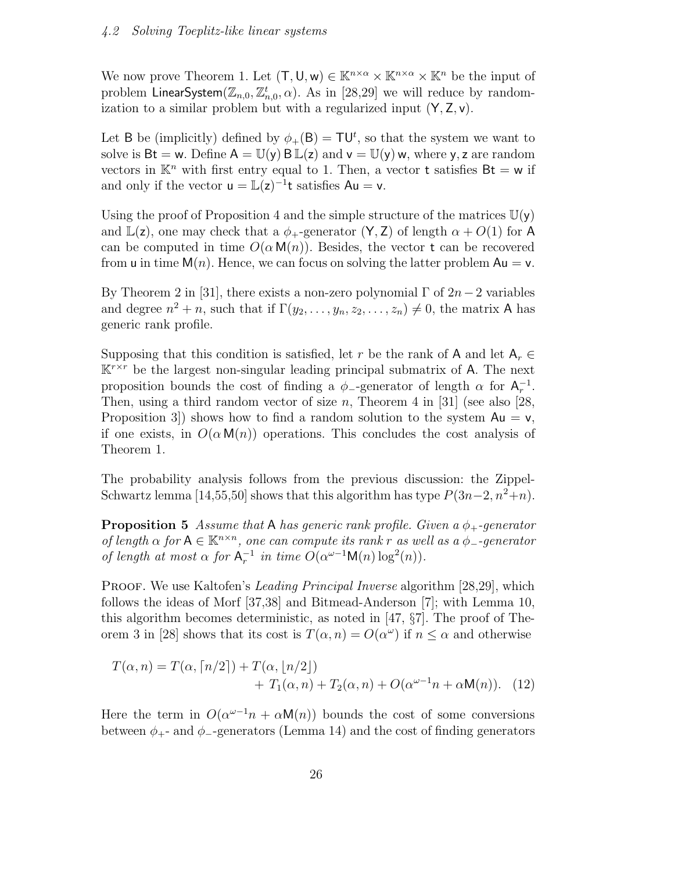#### 4.2 Solving Toeplitz-like linear systems

We now prove Theorem 1. Let  $(T, U, w) \in \mathbb{K}^{n \times \alpha} \times \mathbb{K}^{n \times \alpha} \times \mathbb{K}^n$  be the input of problem LinearSystem $(\mathbb{Z}_{n,0}, \mathbb{Z}_{n,0}^t, \alpha)$ . As in  $[28,29]$  we will reduce by randomization to a similar problem but with a regularized input  $(Y, Z, v)$ .

Let B be (implicitly) defined by  $\phi_+(B) = \mathsf{T} \mathsf{U}^t$ , so that the system we want to solve is  $Bt = w$ . Define  $A = \mathbb{U}(y) B \mathbb{L}(z)$  and  $v = \mathbb{U}(y) w$ , where y, z are random vectors in  $\mathbb{K}^n$  with first entry equal to 1. Then, a vector **t** satisfies  $Bt = w$  if and only if the vector  $u = \mathbb{L}(z)^{-1}t$  satisfies  $Au = v$ .

Using the proof of Proposition 4 and the simple structure of the matrices  $\mathbb{U}(\mathsf{y})$ and  $\mathbb{L}(z)$ , one may check that a  $\phi_+$ -generator  $(Y, Z)$  of length  $\alpha + O(1)$  for A can be computed in time  $O(\alpha \mathsf{M}(n))$ . Besides, the vector t can be recovered from u in time  $M(n)$ . Hence, we can focus on solving the latter problem  $Au = v$ .

By Theorem 2 in [31], there exists a non-zero polynomial  $\Gamma$  of  $2n-2$  variables and degree  $n^2 + n$ , such that if  $\Gamma(y_2, \ldots, y_n, z_2, \ldots, z_n) \neq 0$ , the matrix A has generic rank profile.

Supposing that this condition is satisfied, let r be the rank of A and let  $A_r \in$  $\mathbb{K}^{r \times r}$  be the largest non-singular leading principal submatrix of A. The next proposition bounds the cost of finding a  $\phi$ <sub>-generator</sub> of length  $\alpha$  for  $A_r^{-1}$ . Then, using a third random vector of size  $n$ , Theorem 4 in [31] (see also [28, Proposition 3) shows how to find a random solution to the system  $Au = v$ , if one exists, in  $O(\alpha M(n))$  operations. This concludes the cost analysis of Theorem 1.

The probability analysis follows from the previous discussion: the Zippel-Schwartz lemma [14,55,50] shows that this algorithm has type  $P(3n-2, n^2+n)$ .

**Proposition 5** Assume that A has generic rank profile. Given a  $\phi_+$ -generator of length  $\alpha$  for  $A \in \mathbb{K}^{n \times n}$ , one can compute its rank r as well as a  $\phi$ -generator of length at most  $\alpha$  for  $A_r^{-1}$  in time  $O(\alpha^{\omega-1}M(n)\log^2(n))$ .

PROOF. We use Kaltofen's *Leading Principal Inverse* algorithm [28,29], which follows the ideas of Morf [37,38] and Bitmead-Anderson [7]; with Lemma 10, this algorithm becomes deterministic, as noted in [47, §7]. The proof of Theorem 3 in [28] shows that its cost is  $T(\alpha, n) = O(\alpha^{\omega})$  if  $n \leq \alpha$  and otherwise

$$
T(\alpha, n) = T(\alpha, \lceil n/2 \rceil) + T(\alpha, \lfloor n/2 \rfloor) + T_1(\alpha, n) + T_2(\alpha, n) + O(\alpha^{\omega - 1} n + \alpha \mathsf{M}(n)).
$$
 (12)

Here the term in  $O(\alpha^{\omega-1}n + \alpha \mathsf{M}(n))$  bounds the cost of some conversions between  $\phi_{+}$ - and  $\phi_{-}$ -generators (Lemma 14) and the cost of finding generators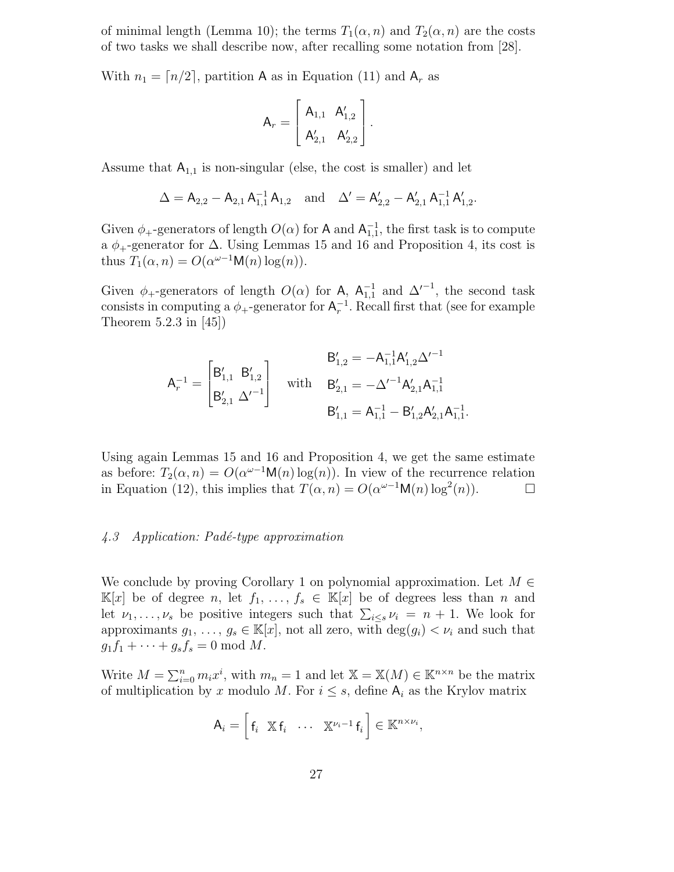of minimal length (Lemma 10); the terms  $T_1(\alpha, n)$  and  $T_2(\alpha, n)$  are the costs of two tasks we shall describe now, after recalling some notation from [28].

With  $n_1 = \lfloor n/2 \rfloor$ , partition A as in Equation (11) and A<sub>r</sub> as

$$
A_r = \begin{bmatrix} A_{1,1} & A'_{1,2} \\ A'_{2,1} & A'_{2,2} \end{bmatrix}.
$$

Assume that  $A_{1,1}$  is non-singular (else, the cost is smaller) and let

$$
\Delta = \mathsf{A}_{2,2} - \mathsf{A}_{2,1}\,\mathsf{A}_{1,1}^{-1}\,\mathsf{A}_{1,2} \quad \text{and} \quad \Delta' = \mathsf{A}_{2,2}' - \mathsf{A}_{2,1}'\,\mathsf{A}_{1,1}^{-1}\,\mathsf{A}_{1,2}'.
$$

Given  $\phi_{+}$ -generators of length  $O(\alpha)$  for A and  $\mathsf{A}^{-1}_{1,1}$ , the first task is to compute a  $\phi_+$ -generator for  $\Delta$ . Using Lemmas 15 and 16 and Proposition 4, its cost is thus  $T_1(\alpha, n) = O(\alpha^{\omega-1} \mathsf{M}(n) \log(n)).$ 

Given  $\phi_+$ -generators of length  $O(\alpha)$  for A,  $\mathsf{A}_{1,1}^{-1}$  and  $\Delta'^{-1}$ , the second task consists in computing a  $\phi_+$ -generator for  $\mathsf{A}_r^{-1}$ . Recall first that (see for example Theorem 5.2.3 in [45])

$$
\mathsf{A}_{r}^{-1} = \begin{bmatrix} \mathsf{B}_{1,1}' & \mathsf{B}_{1,2}' \\ \mathsf{B}_{2,1}' & \Delta'^{-1} \end{bmatrix} \quad \text{with} \quad \begin{aligned} \mathsf{B}_{1,2}' & = -\mathsf{A}_{1,1}^{-1} \mathsf{A}_{1,2}' \Delta'^{-1} \\ \mathsf{B}_{2,1}' & = -\Delta'^{-1} \mathsf{A}_{2,1}' \mathsf{A}_{1,1}^{-1} \\ \mathsf{B}_{1,1}' & = \mathsf{A}_{1,1}^{-1} - \mathsf{B}_{1,2}' \mathsf{A}_{2,1}' \mathsf{A}_{1,1}^{-1}. \end{aligned}
$$

Using again Lemmas 15 and 16 and Proposition 4, we get the same estimate as before:  $T_2(\alpha, n) = O(\alpha^{\omega-1} \mathsf{M}(n) \log(n))$ . In view of the recurrence relation in Equation (12), this implies that  $T(\alpha, n) = O(\alpha^{\omega-1} \mathsf{M}(n) \log^2(n))$ .

#### $\angle 4.3$  Application: Padé-type approximation

We conclude by proving Corollary 1 on polynomial approximation. Let  $M \in$  $\mathbb{K}[x]$  be of degree n, let  $f_1, \ldots, f_s \in \mathbb{K}[x]$  be of degrees less than n and let  $\nu_1, \ldots, \nu_s$  be positive integers such that  $\sum_{i \leq s} \nu_i = n + 1$ . We look for approximants  $g_1, \ldots, g_s \in \mathbb{K}[x]$ , not all zero, with  $\deg(g_i) < \nu_i$  and such that  $g_1f_1 + \cdots + g_sf_s = 0 \text{ mod } M.$ 

Write  $M = \sum_{i=0}^{n} m_i x^i$ , with  $m_n = 1$  and let  $\mathbb{X} = \mathbb{X}(M) \in \mathbb{K}^{n \times n}$  be the matrix of multiplication by x modulo M. For  $i \leq s$ , define  $A_i$  as the Krylov matrix

$$
A_i = \begin{bmatrix} f_i & \mathbb{X} & f_i & \cdots & \mathbb{X}^{\nu_i-1} & f_i \end{bmatrix} \in \mathbb{K}^{n \times \nu_i},
$$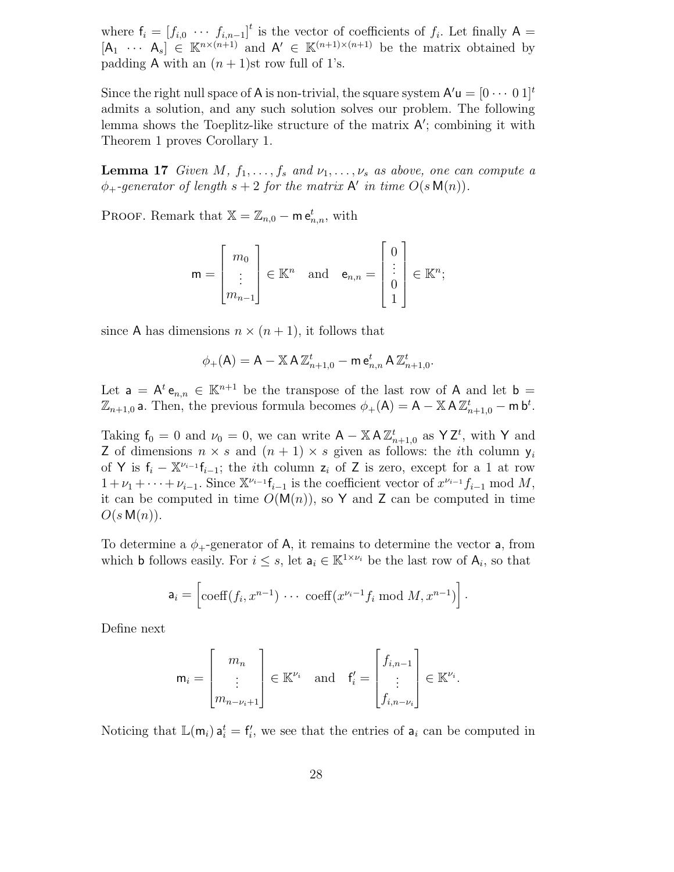where  $f_i = [f_{i,0} \cdots f_{i,n-1}]^t$  is the vector of coefficients of  $f_i$ . Let finally A =  $[A_1 \cdots A_s] \in \mathbb{K}^{n \times (n+1)}$  and  $A' \in \mathbb{K}^{(n+1)\times (n+1)}$  be the matrix obtained by padding A with an  $(n + 1)$ st row full of 1's.

Since the right null space of A is non-trivial, the square system  $\mathsf{A}'\mathsf{u} = [0 \cdots 0 1]^t$ admits a solution, and any such solution solves our problem. The following lemma shows the Toeplitz-like structure of the matrix  $A'$ ; combining it with Theorem 1 proves Corollary 1.

**Lemma 17** Given M,  $f_1, \ldots, f_s$  and  $\nu_1, \ldots, \nu_s$  as above, one can compute a  $\phi_+$ -generator of length  $s+2$  for the matrix  $\mathsf{A}'$  in time  $O(s \mathsf{M}(n))$ .

PROOF. Remark that  $\mathbb{X} = \mathbb{Z}_{n,0} - \mathsf{m} \mathsf{e}^t_{n,n}$ , with

$$
\mathsf{m} = \begin{bmatrix} m_0 \\ \vdots \\ m_{n-1} \end{bmatrix} \in \mathbb{K}^n \quad \text{and} \quad \mathsf{e}_{n,n} = \begin{bmatrix} 0 \\ \vdots \\ 0 \\ 1 \end{bmatrix} \in \mathbb{K}^n;
$$

since A has dimensions  $n \times (n+1)$ , it follows that

$$
\phi_{+}(\mathsf{A}) = \mathsf{A} - \mathbb{X} \mathsf{A} \mathbb{Z}_{n+1,0}^{t} - \mathsf{m} \mathsf{e}^{t}_{n,n} \mathsf{A} \mathbb{Z}_{n+1,0}^{t}.
$$

Let  $a = A^t e_{n,n} \in \mathbb{K}^{n+1}$  be the transpose of the last row of A and let  $b =$  $\mathbb{Z}_{n+1,0}$  a. Then, the previous formula becomes  $\phi_+(\mathsf{A}) = \mathsf{A} - \mathbb{X} \mathsf{A} \mathbb{Z}_{n+1,0}^t - \mathsf{m} \mathsf{b}^t$ .

Taking  $f_0 = 0$  and  $\nu_0 = 0$ , we can write  $A - \mathbb{X} A \mathbb{Z}_{n+1,0}^t$  as  $\mathsf{Y} \mathsf{Z}^t$ , with Y and Z of dimensions  $n \times s$  and  $(n + 1) \times s$  given as follows: the *i*th column  $y_i$ of Y is  $f_i - \mathbb{X}^{\nu_{i-1}} f_{i-1}$ ; the *i*th column  $z_i$  of Z is zero, except for a 1 at row  $1+\nu_1+\cdots+\nu_{i-1}$ . Since  $\mathbb{X}^{\nu_{i-1}}\mathsf{f}_{i-1}$  is the coefficient vector of  $x^{\nu_{i-1}}f_{i-1}$  mod M, it can be computed in time  $O(M(n))$ , so Y and Z can be computed in time  $O(s \mathsf{M}(n)).$ 

To determine a  $\phi_+$ -generator of A, it remains to determine the vector a, from which **b** follows easily. For  $i \leq s$ , let  $a_i \in \mathbb{K}^{1 \times \nu_i}$  be the last row of  $A_i$ , so that

$$
\mathsf{a}_i = \left[ \mathrm{coeff}(f_i, x^{n-1}) \ \cdots \ \mathrm{coeff}(x^{\nu_i-1} f_i \bmod M, x^{n-1}) \right].
$$

Define next

$$
\mathsf{m}_{i} = \begin{bmatrix} m_{n} \\ \vdots \\ m_{n-\nu_{i}+1} \end{bmatrix} \in \mathbb{K}^{\nu_{i}} \quad \text{and} \quad \mathsf{f}'_{i} = \begin{bmatrix} f_{i,n-1} \\ \vdots \\ f_{i,n-\nu_{i}} \end{bmatrix} \in \mathbb{K}^{\nu_{i}}.
$$

Noticing that  $\mathbb{L}(\mathsf{m}_i) \cdot \mathsf{a}_i^t = \mathsf{f}_i^t$ , we see that the entries of  $\mathsf{a}_i$  can be computed in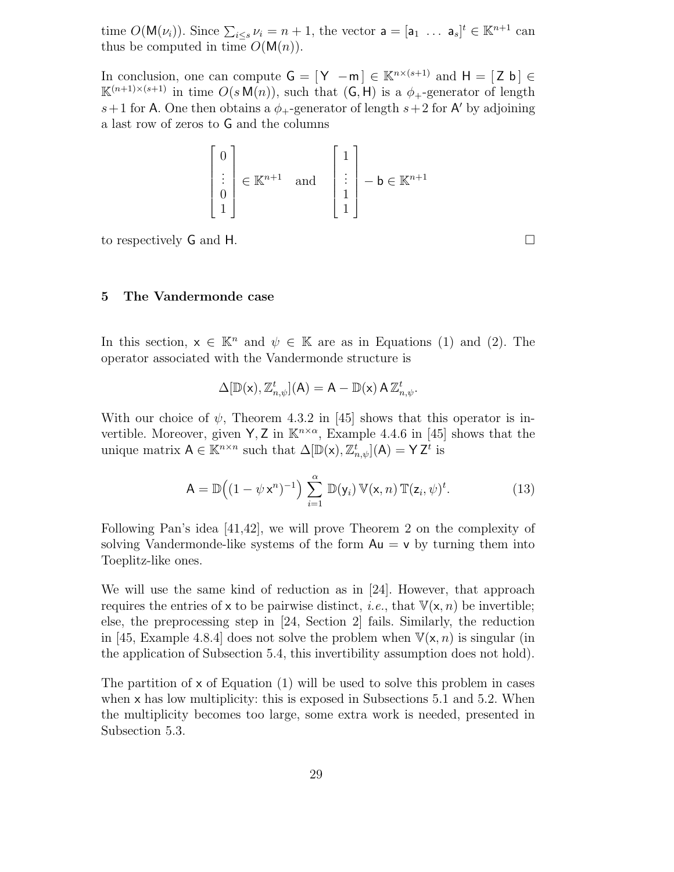time  $O(\mathsf{M}(\nu_i))$ . Since  $\sum_{i\leq s}\nu_i = n+1$ , the vector  $\mathsf{a} = [\mathsf{a}_1 \dots \mathsf{a}_s]^t \in \mathbb{K}^{n+1}$  can thus be computed in time  $O(M(n))$ .

In conclusion, one can compute  $G = [Y -m] \in \mathbb{K}^{n \times (s+1)}$  and  $H = [Z b] \in$  $\mathbb{K}^{(n+1)\times (s+1)}$  in time  $O(s \mathsf{M}(n))$ , such that  $(\mathsf{G},\mathsf{H})$  is a  $\phi_+$ -generator of length  $s+1$  for A. One then obtains a  $\phi_{+}$ -generator of length  $s+2$  for A' by adjoining a last row of zeros to G and the columns

$$
\begin{bmatrix} 0 \\ \vdots \\ 0 \\ 1 \end{bmatrix} \in \mathbb{K}^{n+1} \quad \text{and} \quad \begin{bmatrix} 1 \\ \vdots \\ 1 \\ 1 \end{bmatrix} - \mathbf{b} \in \mathbb{K}^{n+1}
$$

to respectively G and H.

## 5 The Vandermonde case

In this section,  $x \in \mathbb{K}^n$  and  $\psi \in \mathbb{K}$  are as in Equations (1) and (2). The operator associated with the Vandermonde structure is

$$
\Delta[\mathbb{D}(\mathsf{x}),\mathbb{Z}_{n,\psi}^t](\mathsf{A})=\mathsf{A}-\mathbb{D}(\mathsf{x})\,\mathsf{A}\,\mathbb{Z}_{n,\psi}^t.
$$

With our choice of  $\psi$ , Theorem 4.3.2 in [45] shows that this operator is invertible. Moreover, given  $\mathsf{Y}, \mathsf{Z}$  in  $\mathbb{K}^{n \times \alpha}$ , Example 4.4.6 in [45] shows that the unique matrix  $A \in \mathbb{K}^{n \times n}$  such that  $\Delta[\mathbb{D}(\mathsf{x}), \mathbb{Z}_{n,\psi}^t](\mathsf{A}) = \mathsf{Y} \mathsf{Z}^t$  is

$$
\mathsf{A} = \mathbb{D}\big((1 - \psi \mathsf{x}^n)^{-1}\big) \sum_{i=1}^{\alpha} \mathbb{D}(\mathsf{y}_i) \, \mathbb{V}(\mathsf{x}, n) \, \mathbb{T}(\mathsf{z}_i, \psi)^t. \tag{13}
$$

Following Pan's idea [41,42], we will prove Theorem 2 on the complexity of solving Vandermonde-like systems of the form  $Au = v$  by turning them into Toeplitz-like ones.

We will use the same kind of reduction as in [24]. However, that approach requires the entries of x to be pairwise distinct, *i.e.*, that  $V(x, n)$  be invertible; else, the preprocessing step in [24, Section 2] fails. Similarly, the reduction in [45, Example 4.8.4] does not solve the problem when  $\mathbb{V}(\mathsf{x}, n)$  is singular (in the application of Subsection 5.4, this invertibility assumption does not hold).

The partition of  $x$  of Equation (1) will be used to solve this problem in cases when  $x$  has low multiplicity: this is exposed in Subsections 5.1 and 5.2. When the multiplicity becomes too large, some extra work is needed, presented in Subsection 5.3.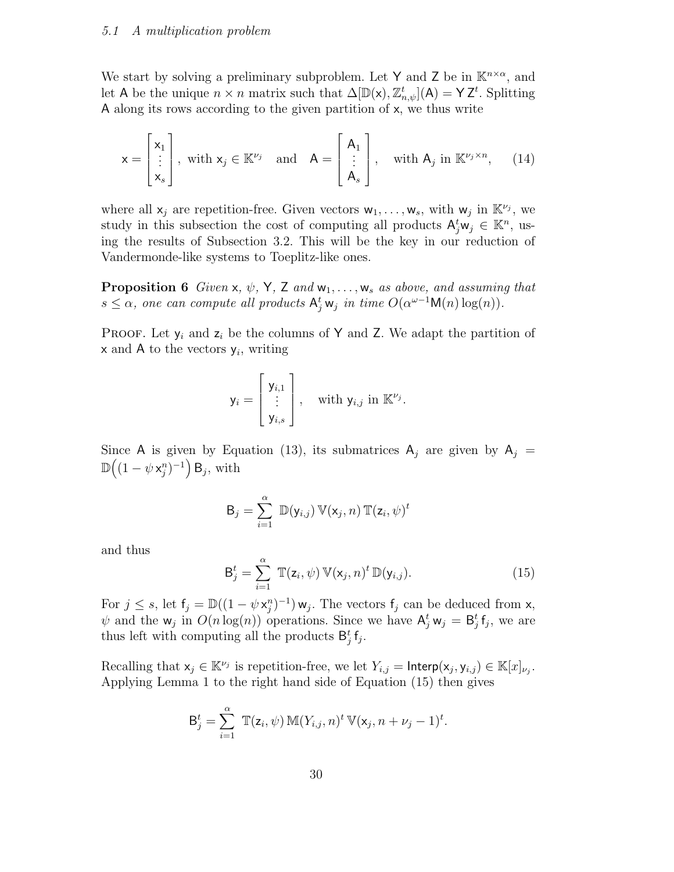We start by solving a preliminary subproblem. Let Y and Z be in  $\mathbb{K}^{n \times \alpha}$ , and let A be the unique  $n \times n$  matrix such that  $\Delta[\mathbb{D}(\mathsf{x}), \mathbb{Z}_{n,\psi}^t](\mathsf{A}) = \mathsf{Y} \mathsf{Z}^t$ . Splitting A along its rows according to the given partition of x, we thus write

$$
\mathsf{x} = \begin{bmatrix} \mathsf{x}_1 \\ \vdots \\ \mathsf{x}_s \end{bmatrix}, \text{ with } \mathsf{x}_j \in \mathbb{K}^{\nu_j} \text{ and } \mathsf{A} = \begin{bmatrix} \mathsf{A}_1 \\ \vdots \\ \mathsf{A}_s \end{bmatrix}, \text{ with } \mathsf{A}_j \text{ in } \mathbb{K}^{\nu_j \times n}, \quad (14)
$$

where all  $x_j$  are repetition-free. Given vectors  $w_1, \ldots, w_s$ , with  $w_j$  in  $\mathbb{K}^{\nu_j}$ , we study in this subsection the cost of computing all products  $A_j^t w_j \in \mathbb{K}^n$ , using the results of Subsection 3.2. This will be the key in our reduction of Vandermonde-like systems to Toeplitz-like ones.

**Proposition 6** Given x,  $\psi$ , Y, Z and  $w_1, \ldots, w_s$  as above, and assuming that  $s \leq \alpha$ , one can compute all products  $A_j^t w_j$  in time  $O(\alpha^{\omega-1} \mathsf{M}(n) \log(n))$ .

**PROOF.** Let  $y_i$  and  $z_i$  be the columns of Y and Z. We adapt the partition of  $\times$  and A to the vectors  $y_i$ , writing

$$
\mathsf{y}_i = \begin{bmatrix} \mathsf{y}_{i,1} \\ \vdots \\ \mathsf{y}_{i,s} \end{bmatrix}, \quad \text{with } \mathsf{y}_{i,j} \text{ in } \mathbb{K}^{\nu_j}.
$$

Since A is given by Equation (13), its submatrices  $A_i$  are given by  $A_i =$  $\mathbb{D}\big((1-\psi\,\mathsf{x}_j^n)^{-1}\big)\,\mathsf{B}_j, \,\text{with}$ 

$$
B_j = \sum_{i=1}^{\alpha} \mathbb{D}(y_{i,j}) \mathbb{V}(x_j, n) \mathbb{T}(z_i, \psi)^t
$$

and thus

$$
\mathsf{B}_{j}^{t} = \sum_{i=1}^{\alpha} \mathbb{T}(z_{i}, \psi) \, \mathbb{V}(\mathsf{x}_{j}, n)^{t} \, \mathbb{D}(\mathsf{y}_{i,j}). \tag{15}
$$

For  $j \leq s$ , let  $f_j = \mathbb{D}((1 - \psi x_j^2)^{-1}) w_j$ . The vectors  $f_j$  can be deduced from x,  $\psi$  and the  $w_j$  in  $O(n \log(n))$  operations. Since we have  $A_j^t w_j = B_j^t f_j$ , we are thus left with computing all the products  $B_j^t f_j$ .

Recalling that  $x_j \in \mathbb{K}^{\nu_j}$  is repetition-free, we let  $Y_{i,j} = \mathsf{Interp}(x_j, y_{i,j}) \in \mathbb{K}[x]_{\nu_j}$ . Applying Lemma 1 to the right hand side of Equation (15) then gives

$$
\mathsf{B}_{j}^{t} = \sum_{i=1}^{\alpha} \mathbb{T}(\mathsf{z}_{i}, \psi) \mathbb{M}(Y_{i,j}, n)^{t} \mathbb{V}(\mathsf{x}_{j}, n + \nu_{j} - 1)^{t}.
$$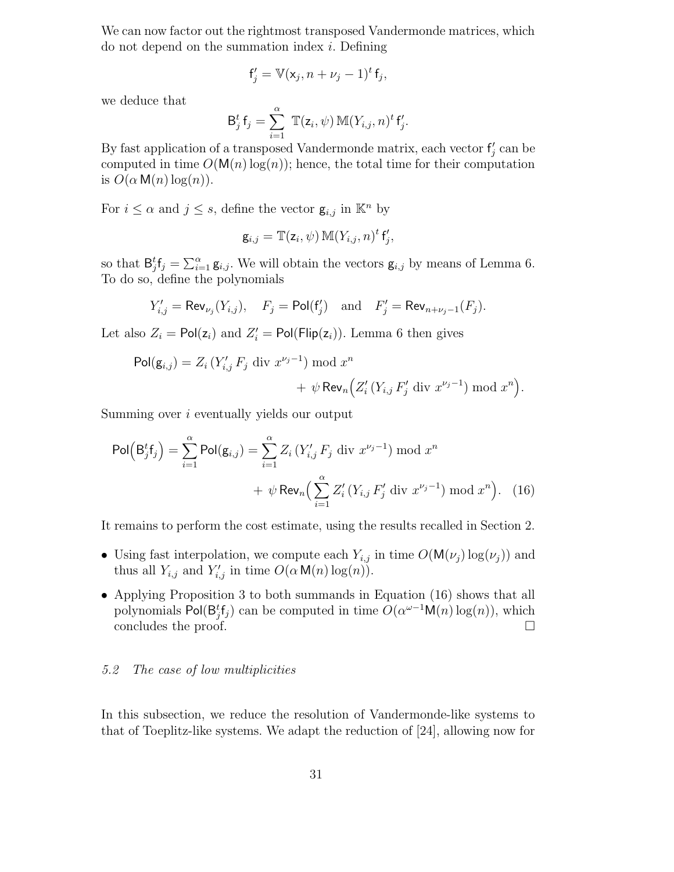We can now factor out the rightmost transposed Vandermonde matrices, which do not depend on the summation index i. Defining

$$
\mathbf{f}'_j = \mathbb{V}(\mathbf{x}_j, n + \nu_j - 1)^t \mathbf{f}_j,
$$

we deduce that

$$
\mathsf{B}_{j}^{t} \mathsf{f}_{j} = \sum_{i=1}^{\alpha} \mathbb{T}(z_{i}, \psi) \mathbb{M}(Y_{i,j}, n)^{t} \mathsf{f}_{j}'.
$$

By fast application of a transposed Vandermonde matrix, each vector  $f'_j$  can be computed in time  $O(M(n)\log(n))$ ; hence, the total time for their computation is  $O(\alpha \ln(n) \log(n))$ .

For  $i \leq \alpha$  and  $j \leq s$ , define the vector  $\mathbf{g}_{i,j}$  in  $\mathbb{K}^n$  by

$$
\mathsf{g}_{i,j}=\mathbb{T}(\mathsf{z}_i,\psi)\,\mathbb{M}(Y_{i,j},n)^t\,\mathsf{f}'_j,
$$

so that  $B_j^t f_j = \sum_{i=1}^{\alpha} g_{i,j}$ . We will obtain the vectors  $g_{i,j}$  by means of Lemma 6. To do so, define the polynomials

$$
Y'_{i,j} = \mathsf{Rev}_{\nu_j}(Y_{i,j}), \quad F_j = \mathsf{Pol}(f'_j) \quad \text{and} \quad F'_j = \mathsf{Rev}_{n+\nu_j-1}(F_j).
$$

Let also  $Z_i = \text{Pol}(\mathsf{z}_i)$  and  $Z'_i = \text{Pol}(\text{Flip}(\mathsf{z}_i))$ . Lemma 6 then gives

$$
\begin{aligned} \mathsf{Pol}(\mathsf{g}_{i,j}) &= Z_i \left( Y'_{i,j} \, F_j \, \text{div } x^{\nu_j - 1} \right) \bmod x^n \\ &+ \psi \, \mathsf{Rev}_n \Big( Z'_i \left( Y_{i,j} \, F'_j \, \text{div } x^{\nu_j - 1} \right) \bmod x^n \Big). \end{aligned}
$$

Summing over i eventually yields our output

$$
\text{Pol}\left(\mathsf{B}_{j}^{t}\mathsf{f}_{j}\right) = \sum_{i=1}^{\alpha} \text{Pol}(\mathsf{g}_{i,j}) = \sum_{i=1}^{\alpha} Z_{i}\left(Y'_{i,j} F_{j} \text{ div } x^{\nu_{j}-1}\right) \mod x^{n}
$$

$$
+ \psi \text{Rev}_{n}\left(\sum_{i=1}^{\alpha} Z'_{i}\left(Y_{i,j} F'_{j} \text{ div } x^{\nu_{j}-1}\right) \mod x^{n}\right). \quad (16)
$$

It remains to perform the cost estimate, using the results recalled in Section 2.

- Using fast interpolation, we compute each  $Y_{i,j}$  in time  $O(M(\nu_j) \log(\nu_j))$  and thus all  $Y_{i,j}$  and  $Y'_{i,j}$  in time  $O(\alpha \mathsf{M}(n) \log(n)).$
- Applying Proposition 3 to both summands in Equation (16) shows that all polynomials Pol( $\mathsf{B}_{j}^{t}$ f<sub>j</sub>) can be computed in time  $O(\alpha^{\omega-1}\mathsf{M}(n)\log(n))$ , which concludes the proof.  $\Box$

## 5.2 The case of low multiplicities

In this subsection, we reduce the resolution of Vandermonde-like systems to that of Toeplitz-like systems. We adapt the reduction of [24], allowing now for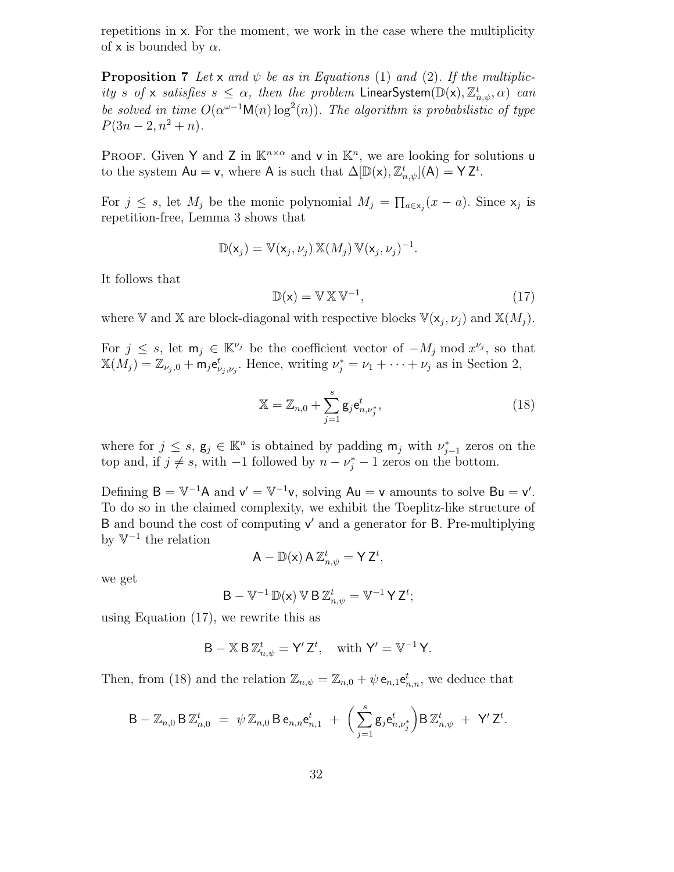repetitions in x. For the moment, we work in the case where the multiplicity of x is bounded by  $\alpha$ .

**Proposition 7** Let x and  $\psi$  be as in Equations (1) and (2). If the multiplicity s of x satisfies  $s \leq \alpha$ , then the problem LinearSystem $(\mathbb{D}(x), \mathbb{Z}_{n,\psi}^t, \alpha)$  can be solved in time  $O(\alpha^{\omega-1} \mathsf{M}(n) \log^2(n))$ . The algorithm is probabilistic of type  $P(3n-2, n^2+n).$ 

PROOF. Given Y and Z in  $\mathbb{K}^{n \times \alpha}$  and v in  $\mathbb{K}^n$ , we are looking for solutions u to the system  $Au = v$ , where A is such that  $\Delta[\mathbb{D}(x), \mathbb{Z}_{n,\psi}^t](A) = Y Z^t$ .

For  $j \leq s$ , let  $M_j$  be the monic polynomial  $M_j = \prod_{a \in x_j} (x - a)$ . Since  $x_j$  is repetition-free, Lemma 3 shows that

$$
\mathbb{D}(\mathsf{x}_j) = \mathbb{V}(\mathsf{x}_j, \nu_j) \mathbb{X}(M_j) \mathbb{V}(\mathsf{x}_j, \nu_j)^{-1}.
$$

It follows that

$$
\mathbb{D}(\mathsf{x}) = \mathbb{V} \mathbb{X} \mathbb{V}^{-1},\tag{17}
$$

where V and X are block-diagonal with respective blocks  $\mathbb{V}(\mathsf{x}_j, \nu_j)$  and  $\mathbb{X}(M_j)$ .

For  $j \leq s$ , let  $m_j \in \mathbb{K}^{\nu_j}$  be the coefficient vector of  $-M_j \mod x^{\nu_j}$ , so that  $\mathbb{X}(M_j) = \mathbb{Z}_{\nu_j,0} + \mathsf{m}_j \mathsf{e}^t_{\nu_j,\nu_j}$ . Hence, writing  $\nu_j^* = \nu_1 + \cdots + \nu_j$  as in Section 2,

$$
\mathbb{X} = \mathbb{Z}_{n,0} + \sum_{j=1}^{s} \mathbf{g}_j \mathbf{e}_{n,\nu_j^*}^t,
$$
\n(18)

where for  $j \leq s, g_j \in \mathbb{K}^n$  is obtained by padding  $m_j$  with  $\nu_{j-1}^*$  zeros on the top and, if  $j \neq s$ , with  $-1$  followed by  $n - \nu_j^* - 1$  zeros on the bottom.

Defining  $B = V^{-1}A$  and  $v' = V^{-1}v$ , solving  $Au = v$  amounts to solve  $Bu = v'$ . To do so in the claimed complexity, we exhibit the Toeplitz-like structure of B and bound the cost of computing  $v'$  and a generator for B. Pre-multiplying by  $V^{-1}$  the relation

$$
A - \mathbb{D}(x) A \mathbb{Z}_{n,\psi}^{t} = Y Z^{t},
$$

we get

$$
B - V^{-1} \mathbb{D}(x) V B Z_{n,\psi}^t = V^{-1} Y Z^t;
$$

using Equation (17), we rewrite this as

$$
B - X B Z_{n,\psi}^t = Y' Z^t, \quad \text{with } Y' = V^{-1} Y.
$$

Then, from (18) and the relation  $\mathbb{Z}_{n,\psi} = \mathbb{Z}_{n,0} + \psi \mathbf{e}_{n,1} \mathbf{e}_{n,n}^t$ , we deduce that

$$
\mathsf{B} - \mathbb{Z}_{n,0} \,\mathsf{B} \, \mathbb{Z}_{n,0}^t \; = \; \psi \, \mathbb{Z}_{n,0} \, \mathsf{B} \, \mathsf{e}_{n,n} \mathsf{e}_{n,1}^t \; + \; \Big( \sum_{j=1}^s \mathsf{g}_j \mathsf{e}_{n,\nu_j^*}^t \Big) \mathsf{B} \, \mathbb{Z}_{n,\psi}^t \; + \; \mathsf{Y}' \, \mathsf{Z}^t.
$$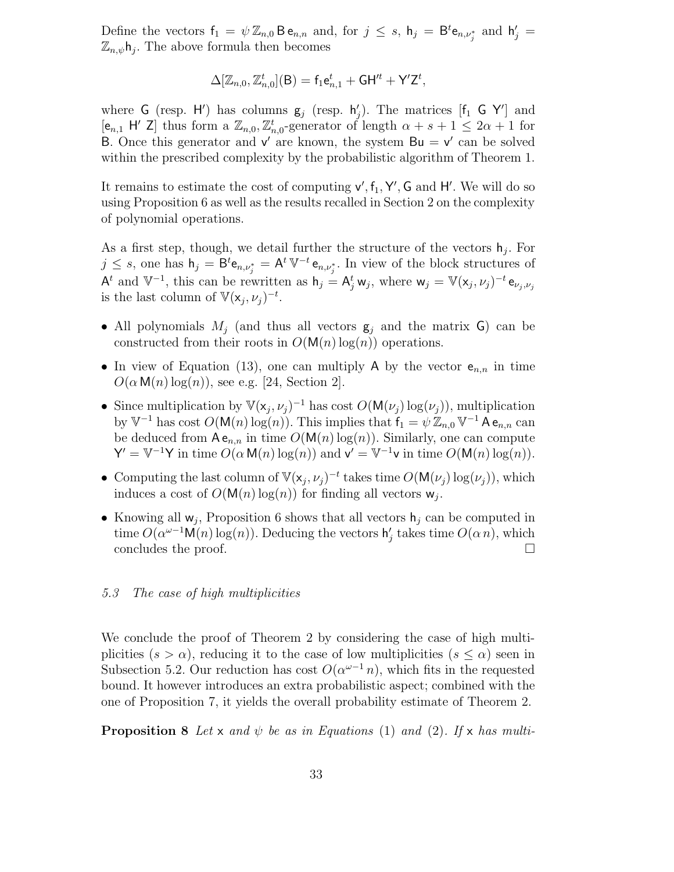Define the vectors  $f_1 = \psi \mathbb{Z}_{n,0} \mathsf{B} e_{n,n}$  and, for  $j \leq s$ ,  $h_j = \mathsf{B}^t e_{n,\nu_j^*}$  and  $h'_j =$  $\mathbb{Z}_{n,\psi}$ h<sub>j</sub>. The above formula then becomes

$$
\Delta[\mathbb{Z}_{n,0},\mathbb{Z}_{n,0}^t](\mathsf{B})=\mathsf{f}_1\mathsf{e}_{n,1}^t+\mathsf{GH}'^t+\mathsf{Y}'\mathsf{Z}^t,
$$

where G (resp. H') has columns  $g_j$  (resp.  $h'_j$ ). The matrices [f<sub>1</sub> G Y'] and  $[e_{n,1} \; \mathsf{H}' \; \mathsf{Z}]$  thus form a  $\mathbb{Z}_{n,0}$ ,  $\mathbb{Z}_{n,0}^t$ -generator of length  $\alpha + s + 1 \leq 2\alpha + 1$  for B. Once this generator and  $v'$  are known, the system  $Bu = v'$  can be solved within the prescribed complexity by the probabilistic algorithm of Theorem 1.

It remains to estimate the cost of computing  $v', f_1, Y', G$  and  $H'$ . We will do so using Proposition 6 as well as the results recalled in Section 2 on the complexity of polynomial operations.

As a first step, though, we detail further the structure of the vectors  $h_j$ . For  $j \leq s$ , one has  $h_j = B^t e_{n,\nu_j^*} = A^t \mathbb{V}^{-t} e_{n,\nu_j^*}$ . In view of the block structures of  $\mathsf{A}^t$  and  $\mathbb{V}^{-1}$ , this can be rewritten as  $\mathsf{h}_j = \mathsf{A}_j^t \mathsf{w}_j$ , where  $\mathsf{w}_j = \mathbb{V}(\mathsf{x}_j, \nu_j)^{-t} \mathsf{e}_{\nu_j, \nu_j}$ is the last column of  $\mathbb{V}(\mathsf{x}_j, \nu_j)^{-t}$ .

- All polynomials  $M_j$  (and thus all vectors  $g_j$  and the matrix G) can be constructed from their roots in  $O(M(n) \log(n))$  operations.
- In view of Equation (13), one can multiply A by the vector  $e_{n,n}$  in time  $O(\alpha \mathsf{M}(n) \log(n))$ , see e.g. [24, Section 2].
- Since multiplication by  $\mathbb{V}(\mathsf{x}_j, \nu_j)^{-1}$  has cost  $O(\mathsf{M}(\nu_j) \log(\nu_j))$ , multiplication by  $\mathbb{V}^{-1}$  has cost  $O(\mathsf{M}(n) \log(n))$ . This implies that  $\mathsf{f}_1 = \psi \mathbb{Z}_{n,0} \mathbb{V}^{-1}$  A  $\mathsf{e}_{n,n}$  can be deduced from  $A e_{n,n}$  in time  $O(M(n) \log(n))$ . Similarly, one can compute  $Y' = V^{-1}Y$  in time  $O(\alpha M(n) \log(n))$  and  $v' = V^{-1}v$  in time  $O(M(n) \log(n))$ .
- Computing the last column of  $\mathbb{V}(\mathsf{x}_j, \nu_j)^{-t}$  takes time  $O(\mathsf{M}(\nu_j) \log(\nu_j))$ , which induces a cost of  $O(M(n) \log(n))$  for finding all vectors  $w_j$ .
- Knowing all  $w_j$ , Proposition 6 shows that all vectors  $h_j$  can be computed in time  $O(\alpha^{\omega-1} \mathsf{M}(n) \log(n))$ . Deducing the vectors  $\mathsf{h}'_j$  takes time  $O(\alpha n)$ , which concludes the proof.

# 5.3 The case of high multiplicities

We conclude the proof of Theorem 2 by considering the case of high multiplicities  $(s > \alpha)$ , reducing it to the case of low multiplicities  $(s \leq \alpha)$  seen in Subsection 5.2. Our reduction has cost  $O(\alpha^{\omega-1} n)$ , which fits in the requested bound. It however introduces an extra probabilistic aspect; combined with the one of Proposition 7, it yields the overall probability estimate of Theorem 2.

**Proposition 8** Let x and  $\psi$  be as in Equations (1) and (2). If x has multi-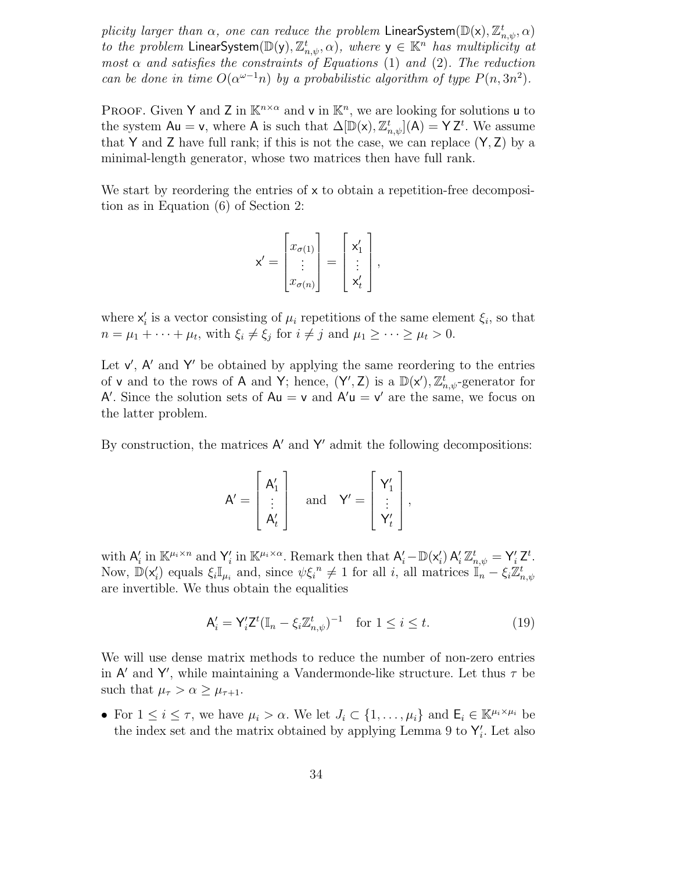plicity larger than  $\alpha$ , one can reduce the problem LinearSystem( $\mathbb{D}(\mathsf{x})$ ,  $\mathbb{Z}_{n,\psi}^t$ ,  $\alpha$ ) to the problem LinearSystem $(\mathbb{D}(y), \mathbb{Z}_{n,\psi}^t, \alpha)$ , where  $y \in \mathbb{K}^n$  has multiplicity at most  $\alpha$  and satisfies the constraints of Equations (1) and (2). The reduction can be done in time  $O(\alpha^{\omega-1}n)$  by a probabilistic algorithm of type  $P(n,3n^2)$ .

PROOF. Given Y and Z in  $\mathbb{K}^{n \times \alpha}$  and v in  $\mathbb{K}^n$ , we are looking for solutions u to the system  $Au = v$ , where A is such that  $\Delta[\mathbb{D}(x), \mathbb{Z}_{n,\psi}^t](A) = YZ^t$ . We assume that Y and Z have full rank; if this is not the case, we can replace  $(Y, Z)$  by a minimal-length generator, whose two matrices then have full rank.

We start by reordering the entries of  $x$  to obtain a repetition-free decomposition as in Equation (6) of Section 2:

$$
\mathsf{x}' = \begin{bmatrix} x_{\sigma(1)} \\ \vdots \\ x_{\sigma(n)} \end{bmatrix} = \begin{bmatrix} \mathsf{x}'_1 \\ \vdots \\ \mathsf{x}'_t \end{bmatrix},
$$

where  $x'_i$  is a vector consisting of  $\mu_i$  repetitions of the same element  $\xi_i$ , so that  $n = \mu_1 + \cdots + \mu_t$ , with  $\xi_i \neq \xi_j$  for  $i \neq j$  and  $\mu_1 \geq \cdots \geq \mu_t > 0$ .

Let  $v'$ ,  $A'$  and  $Y'$  be obtained by applying the same reordering to the entries of **v** and to the rows of **A** and **Y**; hence,  $(Y', Z)$  is a  $\mathbb{D}(x')$ ,  $\mathbb{Z}_{n,\psi}^t$ -generator for A'. Since the solution sets of  $Au = v$  and  $A'u = v'$  are the same, we focus on the latter problem.

By construction, the matrices  $A'$  and  $Y'$  admit the following decompositions:

$$
A' = \begin{bmatrix} A'_1 \\ \vdots \\ A'_t \end{bmatrix} \quad \text{and} \quad Y' = \begin{bmatrix} Y'_1 \\ \vdots \\ Y'_t \end{bmatrix},
$$

with  $A'_i$  in  $\mathbb{K}^{\mu_i \times n}$  and  $Y'_i$  in  $\mathbb{K}^{\mu_i \times \alpha}$ . Remark then that  $A'_i - \mathbb{D}(\mathsf{x}'_i) A'_i \mathbb{Z}_{n,\psi}^t = \mathsf{Y}'_i \mathsf{Z}^t$ . Now,  $\mathbb{D}(\mathsf{x}'_i)$  equals  $\xi_i \mathbb{I}_{\mu_i}$  and, since  $\psi \xi_i^{\ n} \neq 1$  for all i, all matrices  $\mathbb{I}_n - \xi_i \mathbb{Z}_{n,\psi}^t$ are invertible. We thus obtain the equalities

$$
\mathsf{A}'_i = \mathsf{Y}'_i \mathsf{Z}^t (\mathbb{I}_n - \xi_i \mathbb{Z}_{n,\psi}^t)^{-1} \quad \text{for } 1 \le i \le t. \tag{19}
$$

We will use dense matrix methods to reduce the number of non-zero entries in  $A'$  and Y', while maintaining a Vandermonde-like structure. Let thus  $\tau$  be such that  $\mu_{\tau} > \alpha \geq \mu_{\tau+1}$ .

• For  $1 \leq i \leq \tau$ , we have  $\mu_i > \alpha$ . We let  $J_i \subset \{1, \ldots, \mu_i\}$  and  $\mathsf{E}_i \in \mathbb{K}^{\mu_i \times \mu_i}$  be the index set and the matrix obtained by applying Lemma 9 to  $\mathsf{Y}'_i$ . Let also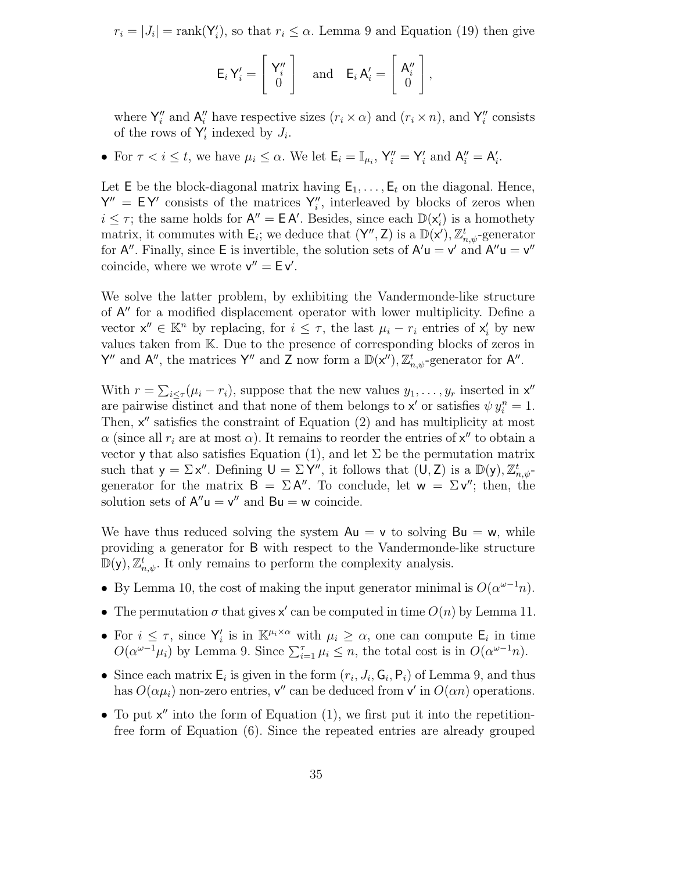$r_i = |J_i| = \text{rank}(\mathsf{Y}'_i)$ , so that  $r_i \leq \alpha$ . Lemma 9 and Equation (19) then give

$$
\mathsf{E}_{i}\,\mathsf{Y}'_{i}=\left[\begin{array}{c} \mathsf{Y}''_{i} \\ 0 \end{array}\right] \quad \text{and} \quad \mathsf{E}_{i}\,\mathsf{A}'_{i}=\left[\begin{array}{c} \mathsf{A}''_{i} \\ 0 \end{array}\right],
$$

where  $\mathsf{Y}_i''$  and  $\mathsf{A}_i''$  have respective sizes  $(r_i \times \alpha)$  and  $(r_i \times n)$ , and  $\mathsf{Y}_i''$  consists of the rows of  $\mathsf{Y}'_i$  indexed by  $J_i$ .

• For  $\tau < i \leq t$ , we have  $\mu_i \leq \alpha$ . We let  $\mathsf{E}_i = \mathbb{I}_{\mu_i}$ ,  $\mathsf{Y}_i'' = \mathsf{Y}_i'$  and  $\mathsf{A}_i'' = \mathsf{A}_i'$ .

Let E be the block-diagonal matrix having  $E_1, \ldots, E_t$  on the diagonal. Hence,  $Y'' = EY'$  consists of the matrices  $Y''_i$ , interleaved by blocks of zeros when  $i \leq \tau$ ; the same holds for  $A'' = E A'$ . Besides, since each  $D(x'_i)$  is a homothety matrix, it commutes with  $\mathsf{E}_i$ ; we deduce that  $(\mathsf{Y}'', \mathsf{Z})$  is a  $\mathbb{D}(\mathsf{x}')$ ,  $\mathbb{Z}_{n,\psi}^t$ -generator for A''. Finally, since E is invertible, the solution sets of  $A'u = v'$  and  $A''u = v''$ coincide, where we wrote  $v'' = Ev'$ .

We solve the latter problem, by exhibiting the Vandermonde-like structure of A" for a modified displacement operator with lower multiplicity. Define a vector  $\mathsf{x}'' \in \mathbb{K}^n$  by replacing, for  $i \leq \tau$ , the last  $\mu_i - r_i$  entries of  $\mathsf{x}'_i$  by new values taken from K. Due to the presence of corresponding blocks of zeros in Y'' and A'', the matrices Y'' and Z now form a  $\mathbb{D}(\mathsf{x}'')$ ,  $\mathbb{Z}_{n,\psi}^t$ -generator for A''.

With  $r = \sum_{i \leq \tau} (\mu_i - r_i)$ , suppose that the new values  $y_1, \ldots, y_r$  inserted in  $x''$ are pairwise distinct and that none of them belongs to  $x'$  or satisfies  $\psi y_i^n = 1$ . Then,  $x''$  satisfies the constraint of Equation  $(2)$  and has multiplicity at most  $\alpha$  (since all  $r_i$  are at most  $\alpha$ ). It remains to reorder the entries of  $x''$  to obtain a vector y that also satisfies Equation (1), and let  $\Sigma$  be the permutation matrix such that  $y = \sum x''$ . Defining  $U = \sum Y''$ , it follows that  $(U, Z)$  is a  $\mathbb{D}(y)$ ,  $\mathbb{Z}_{n,\psi}^t$ generator for the matrix  $B = \Sigma A''$ . To conclude, let  $w = \Sigma v''$ ; then, the solution sets of  $A''u = v''$  and  $Bu = w$  coincide.

We have thus reduced solving the system  $Au = v$  to solving  $Bu = w$ , while providing a generator for B with respect to the Vandermonde-like structure  $\mathbb{D}(\mathsf{y}), \mathbb{Z}_{n,\psi}^t$ . It only remains to perform the complexity analysis.

- By Lemma 10, the cost of making the input generator minimal is  $O(\alpha^{\omega-1}n)$ .
- The permutation  $\sigma$  that gives  $x'$  can be computed in time  $O(n)$  by Lemma 11.
- For  $i \leq \tau$ , since  $Y_i'$  is in  $\mathbb{K}^{\mu_i \times \alpha}$  with  $\mu_i \geq \alpha$ , one can compute  $\mathsf{E}_i$  in time  $O(\alpha^{\omega-1}\mu_i)$  by Lemma 9. Since  $\sum_{i=1}^{\tau} \mu_i \leq n$ , the total cost is in  $O(\alpha^{\omega-1}n)$ .
- Since each matrix  $\mathsf{E}_i$  is given in the form  $(r_i, J_i, \mathsf{G}_i, \mathsf{P}_i)$  of Lemma 9, and thus has  $O(\alpha \mu_i)$  non-zero entries,  $\mathsf{v}''$  can be deduced from  $\mathsf{v}'$  in  $O(\alpha n)$  operations.
- To put  $x''$  into the form of Equation (1), we first put it into the repetitionfree form of Equation (6). Since the repeated entries are already grouped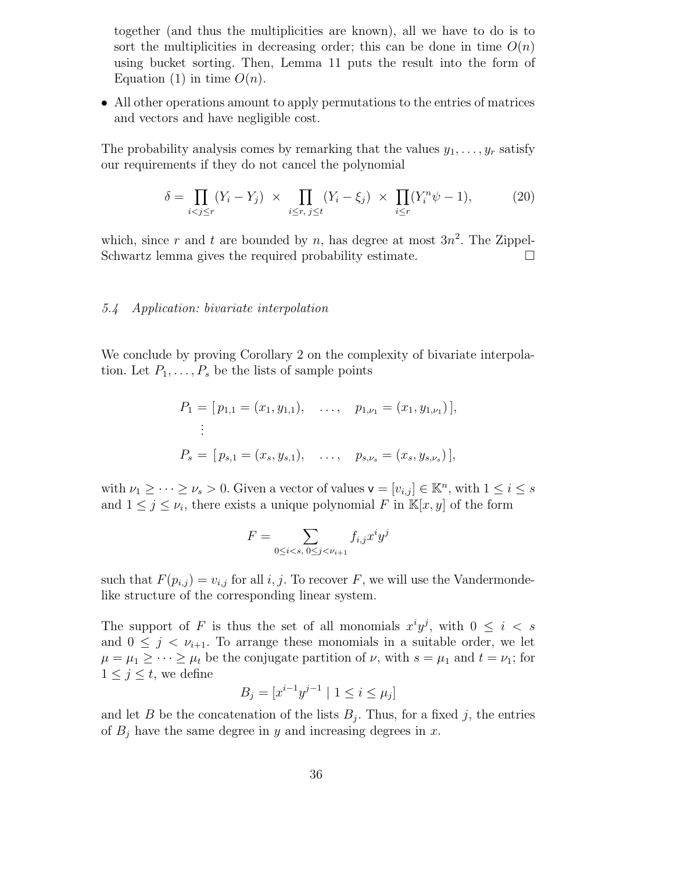together (and thus the multiplicities are known), all we have to do is to sort the multiplicities in decreasing order; this can be done in time  $O(n)$ using bucket sorting. Then, Lemma 11 puts the result into the form of Equation (1) in time  $O(n)$ .

• All other operations amount to apply permutations to the entries of matrices and vectors and have negligible cost.

The probability analysis comes by remarking that the values  $y_1, \ldots, y_r$  satisfy our requirements if they do not cancel the polynomial

$$
\delta = \prod_{i < j \le r} (Y_i - Y_j) \times \prod_{i \le r, \ j \le t} (Y_i - \xi_j) \times \prod_{i \le r} (Y_i^n \psi - 1), \tag{20}
$$

which, since r and t are bounded by n, has degree at most  $3n^2$ . The Zippel-Schwartz lemma gives the required probability estimate.

### 5.4 Application: bivariate interpolation

We conclude by proving Corollary 2 on the complexity of bivariate interpolation. Let  $P_1, \ldots, P_s$  be the lists of sample points

$$
P_1 = [p_{1,1} = (x_1, y_{1,1}), \dots, p_{1,\nu_1} = (x_1, y_{1,\nu_1})],
$$
  
\n
$$
\vdots
$$
  
\n
$$
P_s = [p_{s,1} = (x_s, y_{s,1}), \dots, p_{s,\nu_s} = (x_s, y_{s,\nu_s})],
$$

with  $\nu_1 \geq \cdots \geq \nu_s > 0$ . Given a vector of values  $\mathsf{v} = [v_{i,j}] \in \mathbb{K}^n$ , with  $1 \leq i \leq s$ and  $1 \leq j \leq \nu_i$ , there exists a unique polynomial F in  $\mathbb{K}[x, y]$  of the form

$$
F = \sum_{0 \le i < s, \, 0 \le j < \nu_{i+1}} f_{i,j} x^i y^j
$$

such that  $F(p_{i,j}) = v_{i,j}$  for all i, j. To recover F, we will use the Vandermondelike structure of the corresponding linear system.

The support of F is thus the set of all monomials  $x^i y^j$ , with  $0 \leq i < s$ and  $0 \leq j \leq \nu_{i+1}$ . To arrange these monomials in a suitable order, we let  $\mu = \mu_1 \geq \cdots \geq \mu_t$  be the conjugate partition of  $\nu$ , with  $s = \mu_1$  and  $t = \nu_1$ ; for  $1 \leq j \leq t$ , we define

$$
B_j = [x^{i-1}y^{j-1} \mid 1 \le i \le \mu_j]
$$

and let B be the concatenation of the lists  $B_j$ . Thus, for a fixed j, the entries of  $B_j$  have the same degree in y and increasing degrees in x.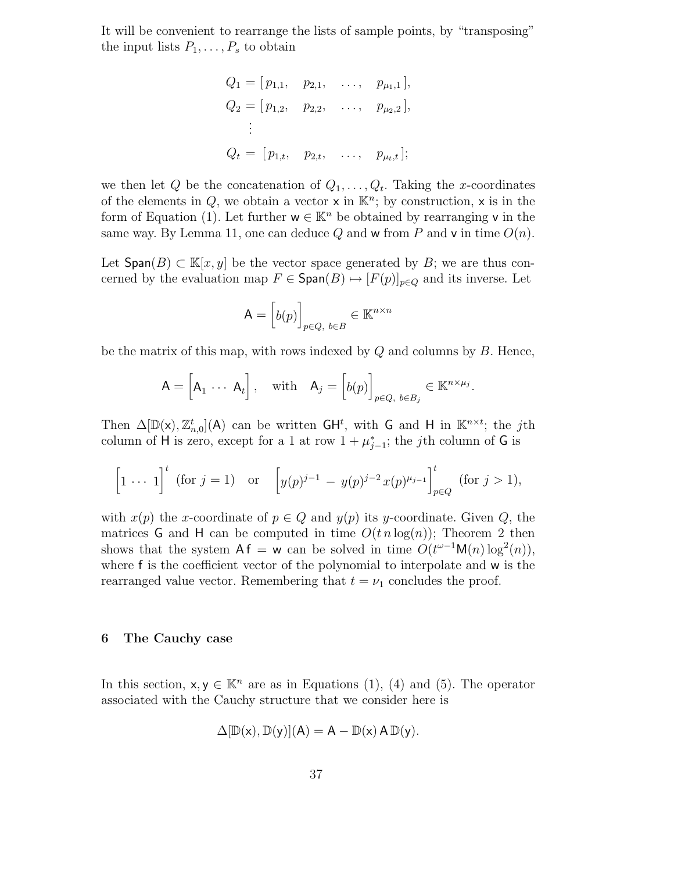It will be convenient to rearrange the lists of sample points, by "transposing" the input lists  $P_1, \ldots, P_s$  to obtain

$$
Q_1 = [p_{1,1}, p_{2,1}, \dots, p_{\mu_1,1}],
$$
  
\n
$$
Q_2 = [p_{1,2}, p_{2,2}, \dots, p_{\mu_2,2}],
$$
  
\n
$$
\vdots
$$
  
\n
$$
Q_t = [p_{1,t}, p_{2,t}, \dots, p_{\mu_t,t}];
$$

we then let Q be the concatenation of  $Q_1, \ldots, Q_t$ . Taking the x-coordinates of the elements in  $Q$ , we obtain a vector  $x$  in  $\mathbb{K}^n$ ; by construction,  $x$  is in the form of Equation (1). Let further  $w \in \mathbb{K}^n$  be obtained by rearranging v in the same way. By Lemma 11, one can deduce Q and w from P and v in time  $O(n)$ .

Let  $\textsf{Span}(B) \subset \mathbb{K}[x, y]$  be the vector space generated by B; we are thus concerned by the evaluation map  $F \in \text{Span}(B) \mapsto [F(p)]_{p \in Q}$  and its inverse. Let

$$
\mathsf{A} = \left[ b(p) \right]_{p \in Q, \ b \in B} \in \mathbb{K}^{n \times n}
$$

be the matrix of this map, with rows indexed by  $Q$  and columns by  $B$ . Hence,

$$
A = \begin{bmatrix} A_1 & \cdots & A_t \end{bmatrix}, \quad \text{with} \quad A_j = \begin{bmatrix} b(p) \end{bmatrix}_{p \in Q, \ b \in B_j} \in \mathbb{K}^{n \times \mu_j}.
$$

Then  $\Delta[\mathbb{D}(\mathsf{x}), \mathbb{Z}_{n,0}^t](\mathsf{A})$  can be written  $\mathsf{GH}^t$ , with G and H in  $\mathbb{K}^{n \times t}$ ; the jth column of H is zero, except for a 1 at row  $1 + \mu_{j-1}^*$ ; the *j*th column of G is

$$
\[1 \cdots 1\]^{t} \text{ (for } j = 1) \quad \text{or} \quad \left[y(p)^{j-1} - y(p)^{j-2}x(p)^{\mu_{j-1}}\right]_{p \in Q}^{t} \text{ (for } j > 1),
$$

with  $x(p)$  the x-coordinate of  $p \in Q$  and  $y(p)$  its y-coordinate. Given Q, the matrices G and H can be computed in time  $O(t n \log(n))$ ; Theorem 2 then shows that the system  $\mathsf{A}\mathsf{f} = \mathsf{w}$  can be solved in time  $O(t^{\omega-1}\mathsf{M}(n)\log^2(n)),$ where f is the coefficient vector of the polynomial to interpolate and w is the rearranged value vector. Remembering that  $t = \nu_1$  concludes the proof.

#### 6 The Cauchy case

In this section,  $x, y \in \mathbb{K}^n$  are as in Equations (1), (4) and (5). The operator associated with the Cauchy structure that we consider here is

$$
\Delta[\mathbb{D}(x),\mathbb{D}(y)](A)=A-\mathbb{D}(x)\,A\,\mathbb{D}(y).
$$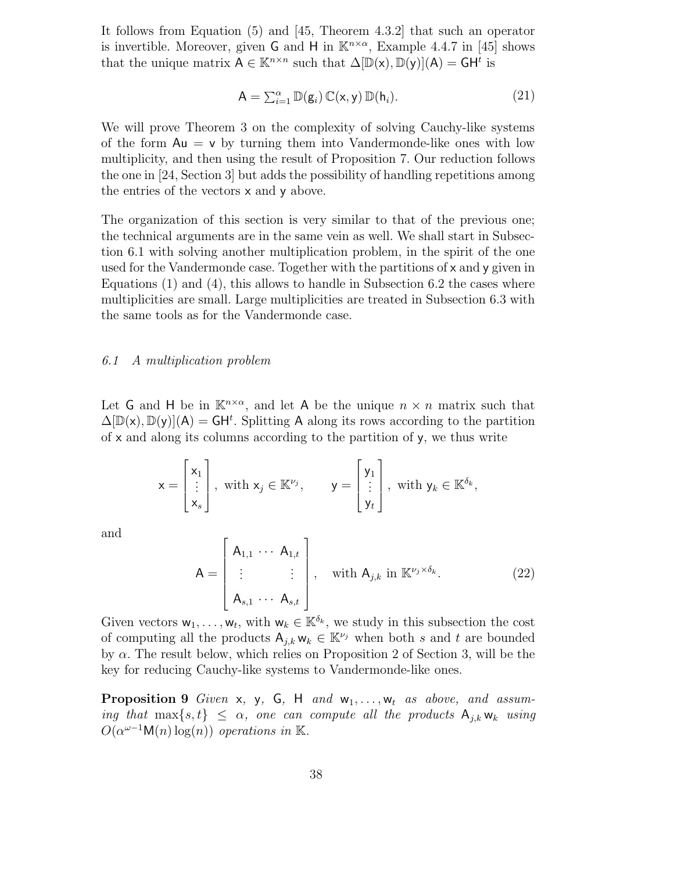It follows from Equation (5) and [45, Theorem 4.3.2] that such an operator is invertible. Moreover, given G and H in  $\mathbb{K}^{n \times \alpha}$ , Example 4.4.7 in [45] shows that the unique matrix  $A \in \mathbb{K}^{n \times n}$  such that  $\Delta[\mathbb{D}(\mathsf{x}), \mathbb{D}(\mathsf{y})](A) = \mathsf{GH}^t$  is

$$
\mathsf{A} = \sum_{i=1}^{\alpha} \mathbb{D}(\mathsf{g}_i) \, \mathbb{C}(\mathsf{x}, \mathsf{y}) \, \mathbb{D}(\mathsf{h}_i). \tag{21}
$$

We will prove Theorem 3 on the complexity of solving Cauchy-like systems of the form  $Au = v$  by turning them into Vandermonde-like ones with low multiplicity, and then using the result of Proposition 7. Our reduction follows the one in [24, Section 3] but adds the possibility of handling repetitions among the entries of the vectors x and y above.

The organization of this section is very similar to that of the previous one; the technical arguments are in the same vein as well. We shall start in Subsection 6.1 with solving another multiplication problem, in the spirit of the one used for the Vandermonde case. Together with the partitions of  $x$  and  $y$  given in Equations (1) and (4), this allows to handle in Subsection 6.2 the cases where multiplicities are small. Large multiplicities are treated in Subsection 6.3 with the same tools as for the Vandermonde case.

# 6.1 A multiplication problem

Let G and H be in  $\mathbb{K}^{n \times \alpha}$ , and let A be the unique  $n \times n$  matrix such that  $\Delta[\mathbb{D}(\mathsf{x}), \mathbb{D}(\mathsf{y})](\mathsf{A}) = \mathsf{GH}^t$ . Splitting A along its rows according to the partition of x and along its columns according to the partition of y, we thus write

$$
\mathsf{x} = \begin{bmatrix} \mathsf{x}_1 \\ \vdots \\ \mathsf{x}_s \end{bmatrix}, \text{ with } \mathsf{x}_j \in \mathbb{K}^{\nu_j}, \qquad \mathsf{y} = \begin{bmatrix} \mathsf{y}_1 \\ \vdots \\ \mathsf{y}_t \end{bmatrix}, \text{ with } \mathsf{y}_k \in \mathbb{K}^{\delta_k},
$$

and

$$
\mathsf{A} = \begin{bmatrix} \mathsf{A}_{1,1} & \cdots & \mathsf{A}_{1,t} \\ \vdots & \vdots & \vdots \\ \mathsf{A}_{s,1} & \cdots & \mathsf{A}_{s,t} \end{bmatrix}, \quad \text{with } \mathsf{A}_{j,k} \text{ in } \mathbb{K}^{\nu_j \times \delta_k}.
$$
\n(22)

Given vectors  $w_1, \ldots, w_t$ , with  $w_k \in \mathbb{K}^{\delta_k}$ , we study in this subsection the cost of computing all the products  $A_{j,k} w_k \in \mathbb{K}^{\nu_j}$  when both s and t are bounded by  $\alpha$ . The result below, which relies on Proposition 2 of Section 3, will be the key for reducing Cauchy-like systems to Vandermonde-like ones.

**Proposition 9** Given x, y, G, H and  $w_1, \ldots, w_t$  as above, and assuming that  $\max\{s,t\} \leq \alpha$ , one can compute all the products  $A_{j,k} w_k$  using  $O(\alpha^{\omega-1} \mathsf{M}(n) \log(n))$  operations in K.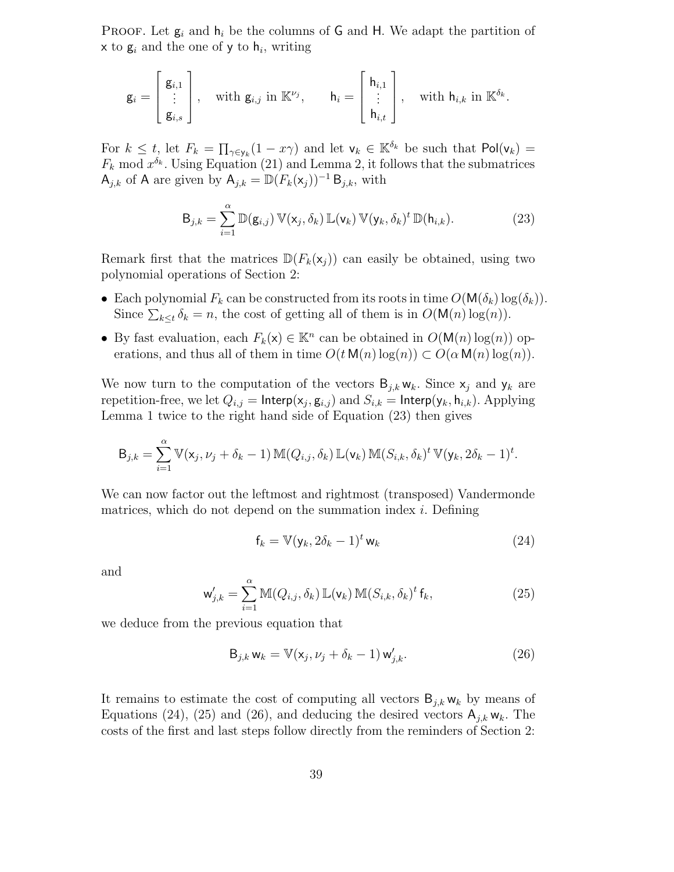PROOF. Let  $g_i$  and  $h_i$  be the columns of G and H. We adapt the partition of  $x$  to  $g_i$  and the one of y to  $h_i$ , writing

$$
\mathsf{g}_i = \begin{bmatrix} \mathsf{g}_{i,1} \\ \vdots \\ \mathsf{g}_{i,s} \end{bmatrix}, \quad \text{with } \mathsf{g}_{i,j} \text{ in } \mathbb{K}^{\nu_j}, \qquad \mathsf{h}_i = \begin{bmatrix} \mathsf{h}_{i,1} \\ \vdots \\ \mathsf{h}_{i,t} \end{bmatrix}, \quad \text{with } \mathsf{h}_{i,k} \text{ in } \mathbb{K}^{\delta_k}.
$$

For  $k \leq t$ , let  $F_k = \prod_{\gamma \in y_k} (1 - x\gamma)$  and let  $\mathsf{v}_k \in \mathbb{K}^{\delta_k}$  be such that  $\mathsf{Pol}(\mathsf{v}_k) =$  $F_k \mod x^{\delta_k}$ . Using Equation (21) and Lemma 2, it follows that the submatrices  $A_{j,k}$  of A are given by  $A_{j,k} = \mathbb{D}(F_k(\mathsf{x}_j))^{-1} \mathsf{B}_{j,k}$ , with

$$
\mathsf{B}_{j,k} = \sum_{i=1}^{\alpha} \mathbb{D}(\mathsf{g}_{i,j}) \, \mathbb{V}(\mathsf{x}_j, \delta_k) \, \mathbb{L}(\mathsf{v}_k) \, \mathbb{V}(\mathsf{y}_k, \delta_k)^t \, \mathbb{D}(\mathsf{h}_{i,k}). \tag{23}
$$

Remark first that the matrices  $\mathbb{D}(F_k(\mathsf{x}_i))$  can easily be obtained, using two polynomial operations of Section 2:

- Each polynomial  $F_k$  can be constructed from its roots in time  $O(M(\delta_k) \log(\delta_k))$ . Since  $\sum_{k\leq t} \delta_k = n$ , the cost of getting all of them is in  $O(\mathsf{M}(n)\log(n))$ .
- By fast evaluation, each  $F_k(\mathsf{x}) \in \mathbb{K}^n$  can be obtained in  $O(\mathsf{M}(n) \log(n))$  operations, and thus all of them in time  $O(t \mathsf{M}(n) \log(n)) \subset O(\alpha \mathsf{M}(n) \log(n)).$

We now turn to the computation of the vectors  $B_{j,k} w_k$ . Since  $x_j$  and  $y_k$  are repetition-free, we let  $Q_{i,j} = \mathsf{Interp}(\mathsf{x}_j, \mathsf{g}_{i,j})$  and  $S_{i,k} = \mathsf{Interp}(\mathsf{y}_k, \mathsf{h}_{i,k})$ . Applying Lemma 1 twice to the right hand side of Equation (23) then gives

$$
\mathsf{B}_{j,k} = \sum_{i=1}^{\alpha} \mathbb{V}(\mathsf{x}_j, \nu_j + \delta_k - 1) \, \mathbb{M}(Q_{i,j}, \delta_k) \, \mathbb{L}(\mathsf{v}_k) \, \mathbb{M}(S_{i,k}, \delta_k)^t \, \mathbb{V}(\mathsf{y}_k, 2\delta_k - 1)^t.
$$

We can now factor out the leftmost and rightmost (transposed) Vandermonde matrices, which do not depend on the summation index  $i$ . Defining

$$
\mathbf{f}_k = \mathbb{V}(\mathbf{y}_k, 2\delta_k - 1)^t \mathbf{w}_k \tag{24}
$$

and

$$
\mathbf{w}'_{j,k} = \sum_{i=1}^{\alpha} \mathbb{M}(Q_{i,j}, \delta_k) \mathbb{L}(\mathbf{v}_k) \mathbb{M}(S_{i,k}, \delta_k)^t \mathbf{f}_k, \qquad (25)
$$

we deduce from the previous equation that

$$
\mathsf{B}_{j,k} \mathsf{w}_k = \mathbb{V}(\mathsf{x}_j, \nu_j + \delta_k - 1) \mathsf{w}'_{j,k}.
$$
 (26)

It remains to estimate the cost of computing all vectors  $B_{j,k}$  w<sub>k</sub> by means of Equations (24), (25) and (26), and deducing the desired vectors  $A_{j,k}$  w<sub>k</sub>. The costs of the first and last steps follow directly from the reminders of Section 2: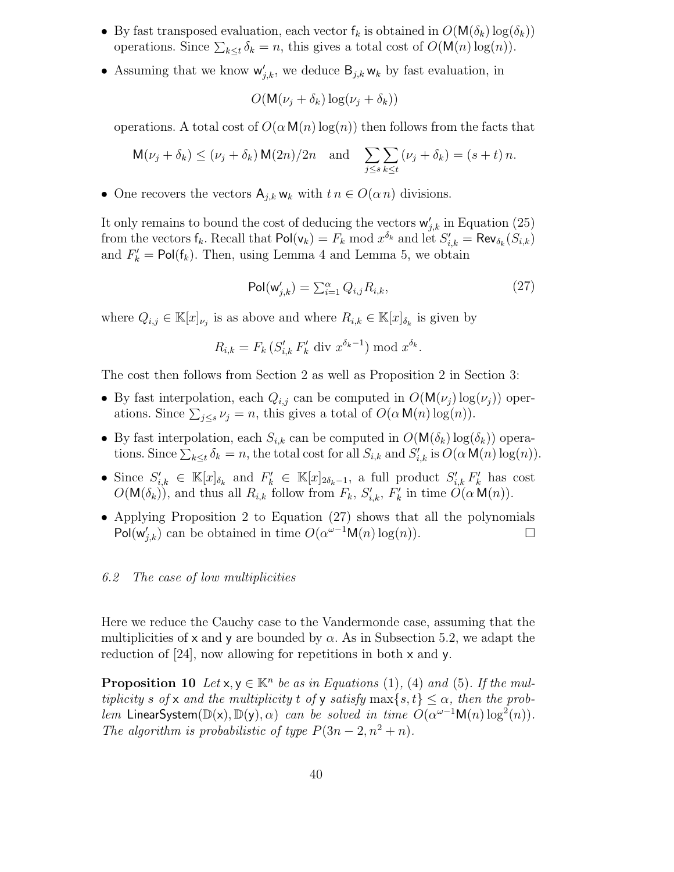- By fast transposed evaluation, each vector  $f_k$  is obtained in  $O(M(\delta_k) \log(\delta_k))$ operations. Since  $\sum_{k\leq t} \delta_k = n$ , this gives a total cost of  $O(\mathsf{M}(n)\log(n))$ .
- Assuming that we know  $w'_{j,k}$ , we deduce  $B_{j,k} w_k$  by fast evaluation, in

$$
O(\mathsf{M}(\nu_j + \delta_k) \log(\nu_j + \delta_k))
$$

operations. A total cost of  $O(\alpha \mathsf{M}(n) \log(n))$  then follows from the facts that

$$
\mathsf{M}(\nu_j + \delta_k) \leq (\nu_j + \delta_k) \mathsf{M}(2n)/2n \quad \text{and} \quad \sum_{j \leq s} \sum_{k \leq t} (\nu_j + \delta_k) = (s + t) n.
$$

• One recovers the vectors  $A_{i,k} w_k$  with  $t n \in O(\alpha n)$  divisions.

It only remains to bound the cost of deducing the vectors  $\mathsf{w}'_{j,k}$  in Equation (25) from the vectors  $f_k$ . Recall that  $\text{Pol}(\mathsf{v}_k) = F_k \text{ mod } x^{\delta_k}$  and let  $S'_{i,k} = \text{Rev}_{\delta_k}(S_{i,k})$ and  $F'_k = \text{Pol}(f_k)$ . Then, using Lemma 4 and Lemma 5, we obtain

$$
Pol(w'_{j,k}) = \sum_{i=1}^{\alpha} Q_{i,j} R_{i,k},
$$
\n(27)

where  $Q_{i,j} \in \mathbb{K}[x]_{\nu_j}$  is as above and where  $R_{i,k} \in \mathbb{K}[x]_{\delta_k}$  is given by

$$
R_{i,k} = F_k \left( S'_{i,k} F'_k \text{ div } x^{\delta_k - 1} \right) \bmod x^{\delta_k}.
$$

The cost then follows from Section 2 as well as Proposition 2 in Section 3:

- By fast interpolation, each  $Q_{i,j}$  can be computed in  $O(\mathsf{M}(\nu_i)\log(\nu_j))$  operations. Since  $\sum_{j\leq s}\nu_j = n$ , this gives a total of  $O(\alpha \mathsf{M}(n)\log(n))$ .
- By fast interpolation, each  $S_{i,k}$  can be computed in  $O(M(\delta_k) \log(\delta_k))$  operations. Since  $\sum_{k\leq t} \delta_k = n$ , the total cost for all  $S_{i,k}$  and  $S'_{i,k}$  is  $O(\alpha \mathsf{M}(n) \log(n))$ .
- Since  $S'_{i,k} \in \mathbb{K}[x]_{\delta_k}$  and  $F'_k \in \mathbb{K}[x]_{2\delta_k-1}$ , a full product  $S'_{i,k} F'_k$  has cost  $O(\mathsf{M}(\delta_k))$ , and thus all  $R_{i,k}$  follow from  $F_k$ ,  $S'_{i,k}$ ,  $F'_k$  in time  $O(\alpha \mathsf{M}(n))$ .
- Applying Proposition 2 to Equation (27) shows that all the polynomials Pol( $w'_{j,k}$ ) can be obtained in time  $O(\alpha^{\omega-1}M(n)\log(n))$ .

#### 6.2 The case of low multiplicities

Here we reduce the Cauchy case to the Vandermonde case, assuming that the multiplicities of x and y are bounded by  $\alpha$ . As in Subsection 5.2, we adapt the reduction of [24], now allowing for repetitions in both x and y.

**Proposition 10** Let  $x, y \in \mathbb{K}^n$  be as in Equations (1), (4) and (5). If the multiplicity s of x and the multiplicity t of y satisfy  $\max\{s,t\} \leq \alpha$ , then the problem LinearSystem( $\mathbb{D}(x)$ ,  $\mathbb{D}(y)$ ,  $\alpha$ ) can be solved in time  $O(\alpha^{\omega-1}\mathsf{M}(n)\log^2(n))$ . The algorithm is probabilistic of type  $P(3n-2, n^2+n)$ .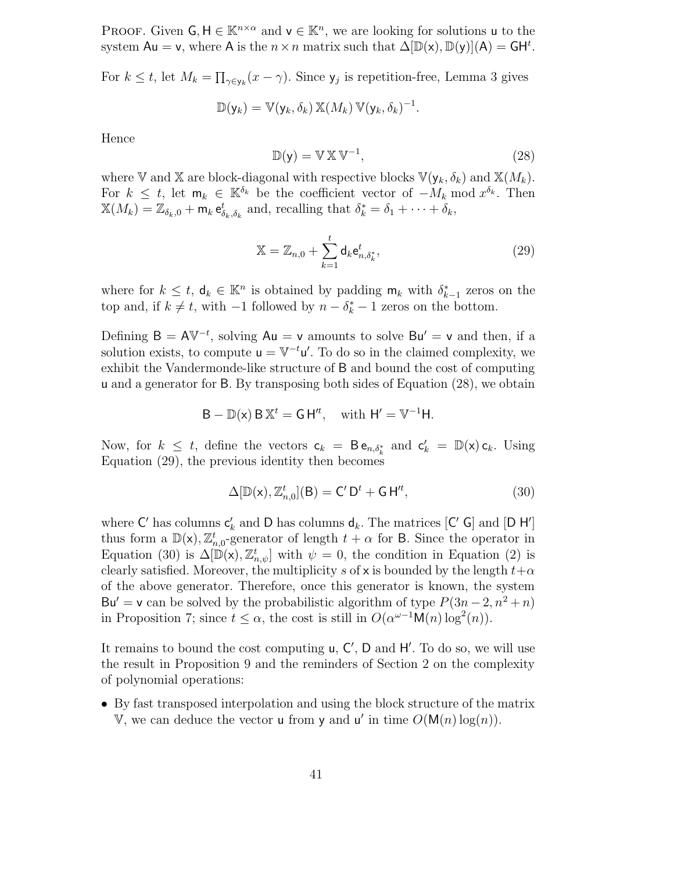PROOF. Given  $\mathsf{G}, \mathsf{H} \in \mathbb{K}^{n \times \alpha}$  and  $\mathsf{v} \in \mathbb{K}^n$ , we are looking for solutions u to the system  $Au = v$ , where A is the  $n \times n$  matrix such that  $\Delta[\mathbb{D}(x), \mathbb{D}(y)](A) = GH^t$ .

For  $k \leq t$ , let  $M_k = \prod_{\gamma \in y_k} (x - \gamma)$ . Since  $y_j$  is repetition-free, Lemma 3 gives

$$
\mathbb{D}(\mathsf{y}_k) = \mathbb{V}(\mathsf{y}_k, \delta_k) \mathbb{X}(M_k) \mathbb{V}(\mathsf{y}_k, \delta_k)^{-1}.
$$

Hence

$$
\mathbb{D}(\mathsf{y}) = \mathbb{V} \mathbb{X} \mathbb{V}^{-1},\tag{28}
$$

where V and X are block-diagonal with respective blocks  $\mathbb{V}(\mathsf{y}_k, \delta_k)$  and  $\mathbb{X}(M_k)$ . For  $k \leq t$ , let  $\mathsf{m}_k \in \mathbb{K}^{\delta_k}$  be the coefficient vector of  $-M_k \mod x^{\delta_k}$ . Then  $\mathbb{X}(M_k) = \mathbb{Z}_{\delta_k,0} + \mathsf{m}_k \mathsf{e}^t_{\delta_k,\delta_k}$  and, recalling that  $\delta_k^* = \delta_1 + \cdots + \delta_k$ ,

$$
\mathbb{X} = \mathbb{Z}_{n,0} + \sum_{k=1}^{t} \mathsf{d}_k \mathsf{e}_{n,\delta_k^*}^t,
$$
\n(29)

where for  $k \leq t$ ,  $\mathsf{d}_k \in \mathbb{K}^n$  is obtained by padding  $\mathsf{m}_k$  with  $\delta_{k-1}^*$  zeros on the top and, if  $k \neq t$ , with  $-1$  followed by  $n - \delta_k^* - 1$  zeros on the bottom.

Defining  $B = A V^{-t}$ , solving  $Au = v$  amounts to solve  $Bu' = v$  and then, if a solution exists, to compute  $u = V^{-t}u'$ . To do so in the claimed complexity, we exhibit the Vandermonde-like structure of B and bound the cost of computing u and a generator for B. By transposing both sides of Equation (28), we obtain

$$
B - \mathbb{D}(x) B \mathbb{X}^t = GH'^t, \text{ with } H' = V^{-1}H.
$$

Now, for  $k \leq t$ , define the vectors  $c_k = B e_{n,\delta_k^*}$  and  $c'_k = \mathbb{D}(\mathsf{x}) c_k$ . Using Equation (29), the previous identity then becomes

$$
\Delta[\mathbb{D}(\mathsf{x}), \mathbb{Z}_{n,0}^t](\mathsf{B}) = \mathsf{C}'\,\mathsf{D}^t + \mathsf{G}\,\mathsf{H}'^t,\tag{30}
$$

where  $C'$  has columns  $c'_{k}$  and D has columns  $d_{k}$ . The matrices  $[C' G]$  and  $[D H']$ thus form a  $\mathbb{D}(\mathsf{x})$ ,  $\mathbb{Z}_{n,0}^t$ -generator of length  $t + \alpha$  for B. Since the operator in Equation (30) is  $\Delta[\mathbb{D}(\mathsf{x}), \mathbb{Z}_{n,\psi}^t]$  with  $\psi = 0$ , the condition in Equation (2) is clearly satisfied. Moreover, the multiplicity s of x is bounded by the length  $t+\alpha$ of the above generator. Therefore, once this generator is known, the system Bu' = v can be solved by the probabilistic algorithm of type  $P(3n-2, n^2+n)$ in Proposition 7; since  $t \leq \alpha$ , the cost is still in  $O(\alpha^{\omega-1} \mathsf{M}(n) \log^2(n))$ .

It remains to bound the cost computing  $u, C', D$  and  $H'.$  To do so, we will use the result in Proposition 9 and the reminders of Section 2 on the complexity of polynomial operations:

• By fast transposed interpolation and using the block structure of the matrix V, we can deduce the vector **u** from **y** and **u'** in time  $O(M(n) \log(n))$ .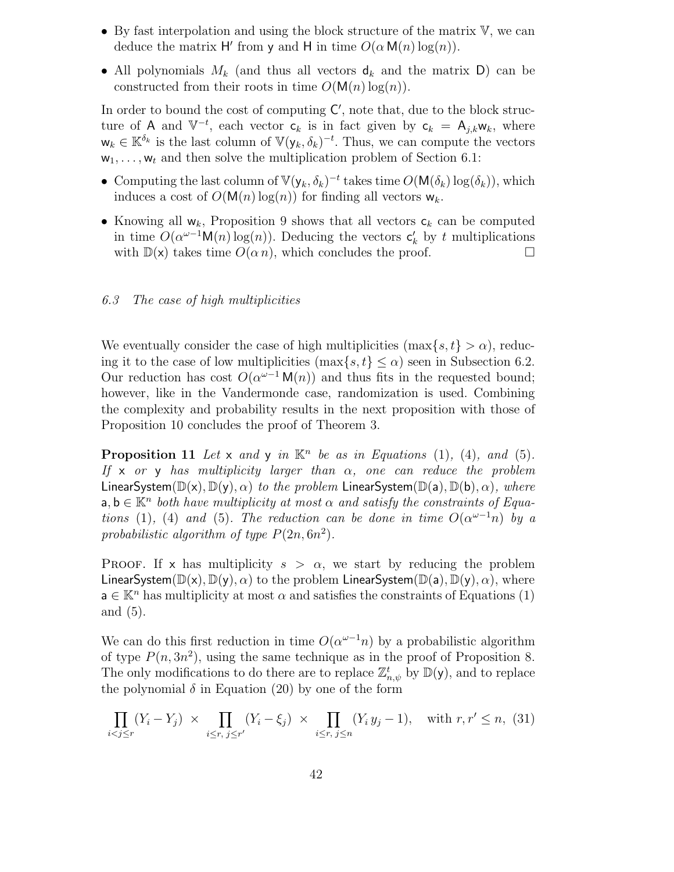- By fast interpolation and using the block structure of the matrix  $V$ , we can deduce the matrix H' from y and H in time  $O(\alpha \mathsf{M}(n) \log(n))$ .
- All polynomials  $M_k$  (and thus all vectors  $d_k$  and the matrix D) can be constructed from their roots in time  $O(M(n)\log(n))$ .

In order to bound the cost of computing  $C'$ , note that, due to the block structure of A and  $\mathbb{V}^{-t}$ , each vector  $\mathsf{c}_k$  is in fact given by  $\mathsf{c}_k = \mathsf{A}_{j,k} \mathsf{w}_k$ , where  $\mathsf{w}_k \in \mathbb{K}^{\delta_k}$  is the last column of  $\mathbb{V}(\mathsf{y}_k, \delta_k)^{-t}$ . Thus, we can compute the vectors  $w_1, \ldots, w_t$  and then solve the multiplication problem of Section 6.1:

- Computing the last column of  $\mathbb{V}(\mathsf{y}_k, \delta_k)^{-t}$  takes time  $O(\mathsf{M}(\delta_k) \log(\delta_k))$ , which induces a cost of  $O(M(n)\log(n))$  for finding all vectors  $w_k$ .
- Knowing all  $w_k$ , Proposition 9 shows that all vectors  $c_k$  can be computed in time  $O(\alpha^{\omega-1} \mathsf{M}(n) \log(n))$ . Deducing the vectors  $\mathsf{c}'_k$  by t multiplications with  $\mathbb{D}(\mathsf{x})$  takes time  $O(\alpha n)$ , which concludes the proof.  $\Box$

# 6.3 The case of high multiplicities

We eventually consider the case of high multiplicities  $(\max\{s,t\} > \alpha)$ , reducing it to the case of low multiplicities  $(\max\{s,t\} \leq \alpha)$  seen in Subsection 6.2. Our reduction has cost  $O(\alpha^{\omega-1} M(n))$  and thus fits in the requested bound; however, like in the Vandermonde case, randomization is used. Combining the complexity and probability results in the next proposition with those of Proposition 10 concludes the proof of Theorem 3.

**Proposition 11** Let  $x$  and  $y$  in  $\mathbb{K}^n$  be as in Equations (1), (4), and (5). If x or y has multiplicity larger than  $\alpha$ , one can reduce the problem LinearSystem( $\mathbb{D}(x), \mathbb{D}(y), \alpha$ ) to the problem LinearSystem( $\mathbb{D}(a), \mathbb{D}(b), \alpha$ ), where  $\mathbf{a}, \mathbf{b} \in \mathbb{K}^n$  both have multiplicity at most  $\alpha$  and satisfy the constraints of Equations (1), (4) and (5). The reduction can be done in time  $O(\alpha^{\omega-1}n)$  by a probabilistic algorithm of type  $P(2n, 6n^2)$ .

**PROOF.** If x has multiplicity  $s > \alpha$ , we start by reducing the problem LinearSystem( $\mathbb{D}(x)$ ,  $\mathbb{D}(y)$ ,  $\alpha$ ) to the problem LinearSystem( $\mathbb{D}(a)$ ,  $\mathbb{D}(y)$ ,  $\alpha$ ), where  $a \in \mathbb{K}^n$  has multiplicity at most  $\alpha$  and satisfies the constraints of Equations (1) and (5).

We can do this first reduction in time  $O(\alpha^{\omega-1}n)$  by a probabilistic algorithm of type  $P(n, 3n^2)$ , using the same technique as in the proof of Proposition 8. The only modifications to do there are to replace  $\mathbb{Z}_{n,\psi}^t$  by  $\mathbb{D}(\mathsf{y})$ , and to replace the polynomial  $\delta$  in Equation (20) by one of the form

$$
\prod_{i < j \le r} (Y_i - Y_j) \times \prod_{i \le r, \, j \le r'} (Y_i - \xi_j) \times \prod_{i \le r, \, j \le n} (Y_i \, y_j - 1), \quad \text{with } r, r' \le n, \tag{31}
$$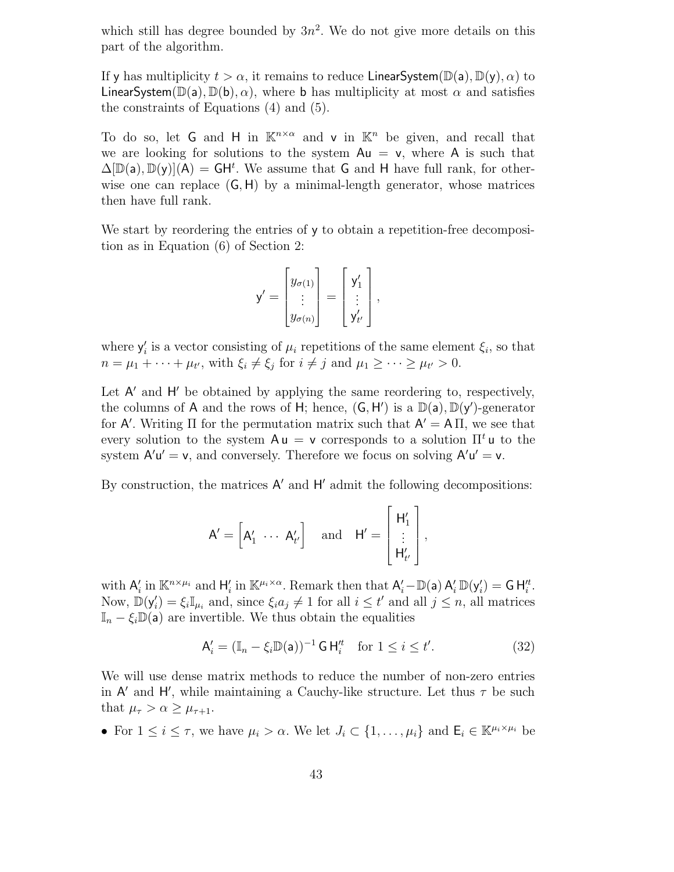which still has degree bounded by  $3n^2$ . We do not give more details on this part of the algorithm.

If y has multiplicity  $t > \alpha$ , it remains to reduce LinearSystem( $\mathbb{D}(a)$ ,  $\mathbb{D}(y)$ ,  $\alpha$ ) to LinearSystem( $\mathbb{D}(a)$ ,  $\mathbb{D}(b)$ ,  $\alpha$ ), where b has multiplicity at most  $\alpha$  and satisfies the constraints of Equations (4) and (5).

To do so, let G and H in  $\mathbb{K}^{n \times \alpha}$  and v in  $\mathbb{K}^n$  be given, and recall that we are looking for solutions to the system  $Au = v$ , where A is such that  $\Delta[\mathbb{D}(a), \mathbb{D}(y)](A) = GH^t$ . We assume that G and H have full rank, for otherwise one can replace  $(G, H)$  by a minimal-length generator, whose matrices then have full rank.

We start by reordering the entries of y to obtain a repetition-free decomposition as in Equation (6) of Section 2:

$$
\mathsf{y}' = \begin{bmatrix} y_{\sigma(1)} \\ \vdots \\ y_{\sigma(n)} \end{bmatrix} = \begin{bmatrix} \mathsf{y}'_1 \\ \vdots \\ \mathsf{y}'_{t'} \end{bmatrix},
$$

where  $y_i'$  is a vector consisting of  $\mu_i$  repetitions of the same element  $\xi_i$ , so that  $n = \mu_1 + \cdots + \mu_{t'}$ , with  $\xi_i \neq \xi_j$  for  $i \neq j$  and  $\mu_1 \geq \cdots \geq \mu_{t'} > 0$ .

Let  $A'$  and  $H'$  be obtained by applying the same reordering to, respectively, the columns of A and the rows of H; hence,  $(G, H')$  is a  $\mathbb{D}(a)$ ,  $\mathbb{D}(y')$ -generator for A'. Writing  $\Pi$  for the permutation matrix such that  $A' = A \Pi$ , we see that every solution to the system  $Au = v$  corresponds to a solution  $\Pi^t u$  to the system  $A'u' = v$ , and conversely. Therefore we focus on solving  $A'u' = v$ .

By construction, the matrices  $A'$  and  $H'$  admit the following decompositions:

$$
A' = \begin{bmatrix} A'_1 & \cdots & A'_{t'} \end{bmatrix} \quad \text{and} \quad H' = \begin{bmatrix} H'_1 \\ \vdots \\ H'_{t'} \end{bmatrix},
$$

with  $A'_i$  in  $\mathbb{K}^{n \times \mu_i}$  and  $H'_i$  in  $\mathbb{K}^{\mu_i \times \alpha}$ . Remark then that  $A'_i - \mathbb{D}(\mathsf{a}) A'_i \mathbb{D}(\mathsf{y}'_i) = \mathsf{G} H''_i$ . Now,  $\mathbb{D}(\mathsf{y}'_i) = \xi_i \mathbb{I}_{\mu_i}$  and, since  $\xi_i a_j \neq 1$  for all  $i \leq t'$  and all  $j \leq n$ , all matrices  $\mathbb{I}_n - \xi_i \mathbb{D}(\mathsf{a})$  are invertible. We thus obtain the equalities

$$
\mathsf{A}'_i = (\mathbb{I}_n - \xi_i \mathbb{D}(\mathsf{a}))^{-1} \mathsf{G} \,\mathsf{H}^{\prime t}_i \quad \text{for } 1 \le i \le t'.\tag{32}
$$

We will use dense matrix methods to reduce the number of non-zero entries in  $A'$  and  $H'$ , while maintaining a Cauchy-like structure. Let thus  $\tau$  be such that  $\mu_{\tau} > \alpha \geq \mu_{\tau+1}$ .

• For  $1 \leq i \leq \tau$ , we have  $\mu_i > \alpha$ . We let  $J_i \subset \{1, \ldots, \mu_i\}$  and  $\mathsf{E}_i \in \mathbb{K}^{\mu_i \times \mu_i}$  be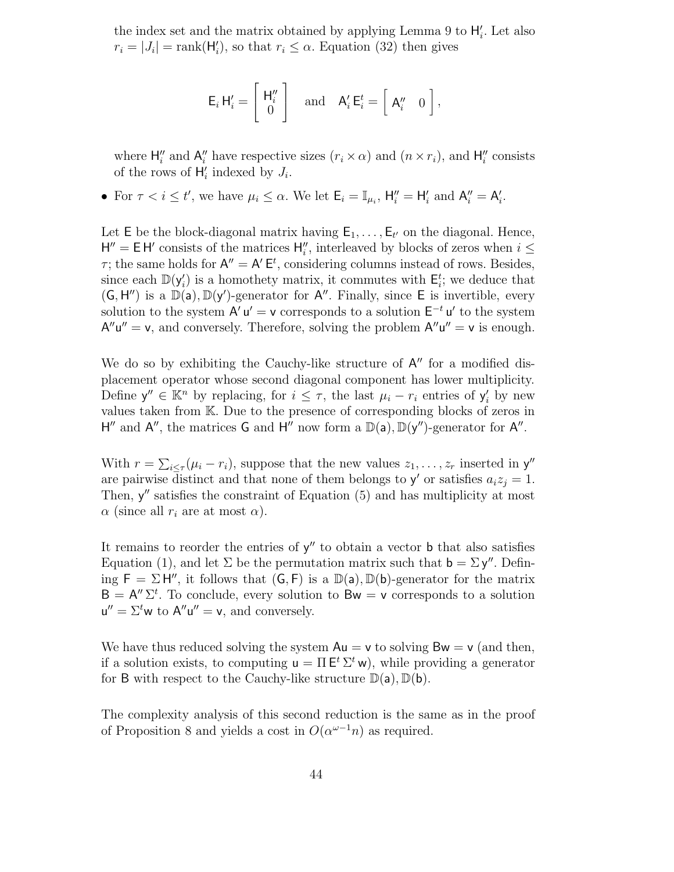the index set and the matrix obtained by applying Lemma 9 to  $H'_{i}$ . Let also  $r_i = |J_i| = \text{rank}(\mathsf{H}'_i)$ , so that  $r_i \leq \alpha$ . Equation (32) then gives

$$
\mathsf{E}_{i} \,\mathsf{H}'_{i} = \left[ \begin{array}{c} \mathsf{H}''_{i} \\ 0 \end{array} \right] \quad \text{and} \quad \mathsf{A}'_{i} \,\mathsf{E}^{t}_{i} = \left[ \begin{array}{cc} \mathsf{A}''_{i} & 0 \end{array} \right],
$$

where  $H''_i$  and  $A''_i$  have respective sizes  $(r_i \times \alpha)$  and  $(n \times r_i)$ , and  $H''_i$  consists of the rows of  $H'_i$  indexed by  $J_i$ .

• For  $\tau < i \leq t'$ , we have  $\mu_i \leq \alpha$ . We let  $\mathsf{E}_i = \mathbb{I}_{\mu_i}$ ,  $\mathsf{H}_i'' = \mathsf{H}_i'$  and  $\mathsf{A}_i'' = \mathsf{A}_i'$ .

Let  $E$  be the block-diagonal matrix having  $E_1, \ldots, E_{t'}$  on the diagonal. Hence,  $H'' = E H'$  consists of the matrices  $H''_i$ , interleaved by blocks of zeros when  $i \leq$  $\tau$ ; the same holds for  $\mathsf{A}'' = \mathsf{A}' \mathsf{E}^t$ , considering columns instead of rows. Besides, since each  $\mathbb{D}(\mathsf{y}'_i)$  is a homothety matrix, it commutes with  $\mathsf{E}_i^t$ ; we deduce that  $(G, H'')$  is a  $\mathbb{D}(a)$ ,  $\mathbb{D}(y')$ -generator for A''. Finally, since E is invertible, every solution to the system  $A' u' = v$  corresponds to a solution  $E^{-t} u'$  to the system  $A''u'' = v$ , and conversely. Therefore, solving the problem  $A''u'' = v$  is enough.

We do so by exhibiting the Cauchy-like structure of  $A''$  for a modified displacement operator whose second diagonal component has lower multiplicity. Define  $y'' \in \mathbb{K}^n$  by replacing, for  $i \leq \tau$ , the last  $\mu_i - r_i$  entries of  $y'_i$  by new values taken from K. Due to the presence of corresponding blocks of zeros in H'' and A'', the matrices G and H'' now form a  $\mathbb{D}(\mathsf{a}), \mathbb{D}(\mathsf{y}'')$ -generator for A''.

With  $r = \sum_{i \leq \tau} (\mu_i - r_i)$ , suppose that the new values  $z_1, \ldots, z_r$  inserted in  $y''$ are pairwise distinct and that none of them belongs to  $y'$  or satisfies  $a_i z_j = 1$ . Then,  $y''$  satisfies the constraint of Equation  $(5)$  and has multiplicity at most  $\alpha$  (since all  $r_i$  are at most  $\alpha$ ).

It remains to reorder the entries of  $y''$  to obtain a vector **b** that also satisfies Equation (1), and let  $\Sigma$  be the permutation matrix such that  $\mathbf{b} = \Sigma \mathbf{y}''$ . Defining  $F = \Sigma H''$ , it follows that  $(G, F)$  is a  $\mathbb{D}(a)$ ,  $\mathbb{D}(b)$ -generator for the matrix  $B = A'' \Sigma^t$ . To conclude, every solution to  $Bw = v$  corresponds to a solution  $u'' = \Sigma^t w$  to  $A''u'' = v$ , and conversely.

We have thus reduced solving the system  $Au = v$  to solving  $Bw = v$  (and then, if a solution exists, to computing  $\mathbf{u} = \Pi \mathbf{E}^t \Sigma^t \mathbf{w}$ , while providing a generator for B with respect to the Cauchy-like structure  $\mathbb{D}(a)$ ,  $\mathbb{D}(b)$ .

The complexity analysis of this second reduction is the same as in the proof of Proposition 8 and yields a cost in  $O(\alpha^{\omega-1}n)$  as required.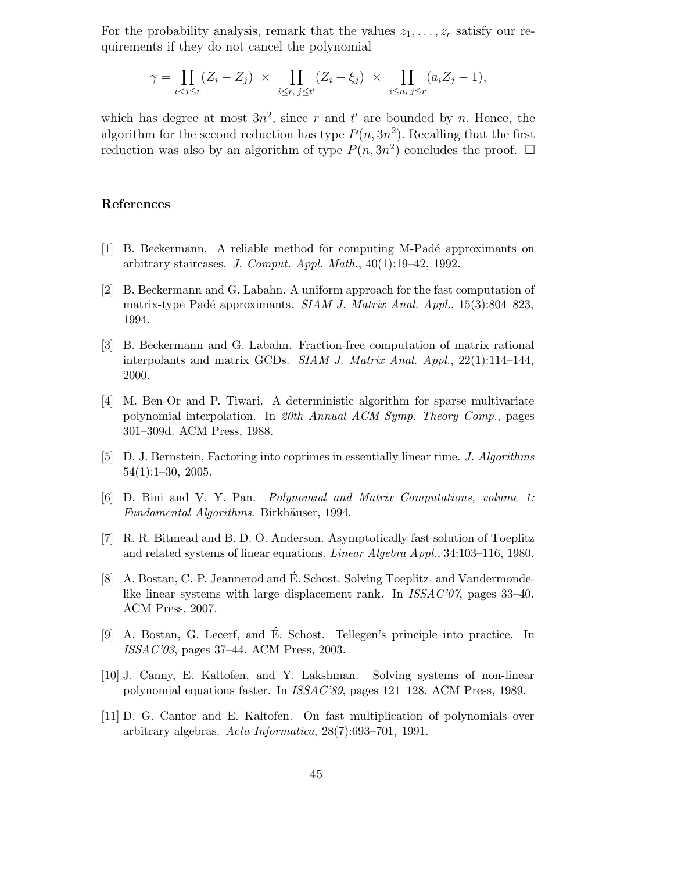For the probability analysis, remark that the values  $z_1, \ldots, z_r$  satisfy our requirements if they do not cancel the polynomial

$$
\gamma = \prod_{i < j \leq r} (Z_i - Z_j) \times \prod_{i \leq r, \ j \leq t'} (Z_i - \xi_j) \times \prod_{i \leq n, \ j \leq r} (a_i Z_j - 1),
$$

which has degree at most  $3n^2$ , since r and t' are bounded by n. Hence, the algorithm for the second reduction has type  $P(n, 3n^2)$ . Recalling that the first reduction was also by an algorithm of type  $P(n, 3n^2)$  concludes the proof.  $\Box$ 

#### References

- [1] B. Beckermann. A reliable method for computing M-Pad´e approximants on arbitrary staircases. J. Comput. Appl. Math.,  $40(1):19-42$ , 1992.
- [2] B. Beckermann and G. Labahn. A uniform approach for the fast computation of matrix-type Padé approximants. *SIAM J. Matrix Anal. Appl.*,  $15(3):804-823$ , 1994.
- [3] B. Beckermann and G. Labahn. Fraction-free computation of matrix rational interpolants and matrix GCDs. SIAM J. Matrix Anal. Appl.,  $22(1):114-144$ , 2000.
- [4] M. Ben-Or and P. Tiwari. A deterministic algorithm for sparse multivariate polynomial interpolation. In 20th Annual ACM Symp. Theory Comp., pages 301–309d. ACM Press, 1988.
- [5] D. J. Bernstein. Factoring into coprimes in essentially linear time. J. Algorithms 54(1):1–30, 2005.
- [6] D. Bini and V. Y. Pan. Polynomial and Matrix Computations, volume 1: Fundamental Algorithms. Birkhäuser, 1994.
- [7] R. R. Bitmead and B. D. O. Anderson. Asymptotically fast solution of Toeplitz and related systems of linear equations. Linear Algebra Appl., 34:103–116, 1980.
- [8] A. Bostan, C.-P. Jeannerod and É. Schost. Solving Toeplitz- and Vandermondelike linear systems with large displacement rank. In ISSAC'07, pages 33-40. ACM Press, 2007.
- [9] A. Bostan, G. Lecerf, and É. Schost. Tellegen's principle into practice. In ISSAC'03, pages 37–44. ACM Press, 2003.
- [10] J. Canny, E. Kaltofen, and Y. Lakshman. Solving systems of non-linear polynomial equations faster. In ISSAC'89, pages 121–128. ACM Press, 1989.
- [11] D. G. Cantor and E. Kaltofen. On fast multiplication of polynomials over arbitrary algebras. Acta Informatica, 28(7):693–701, 1991.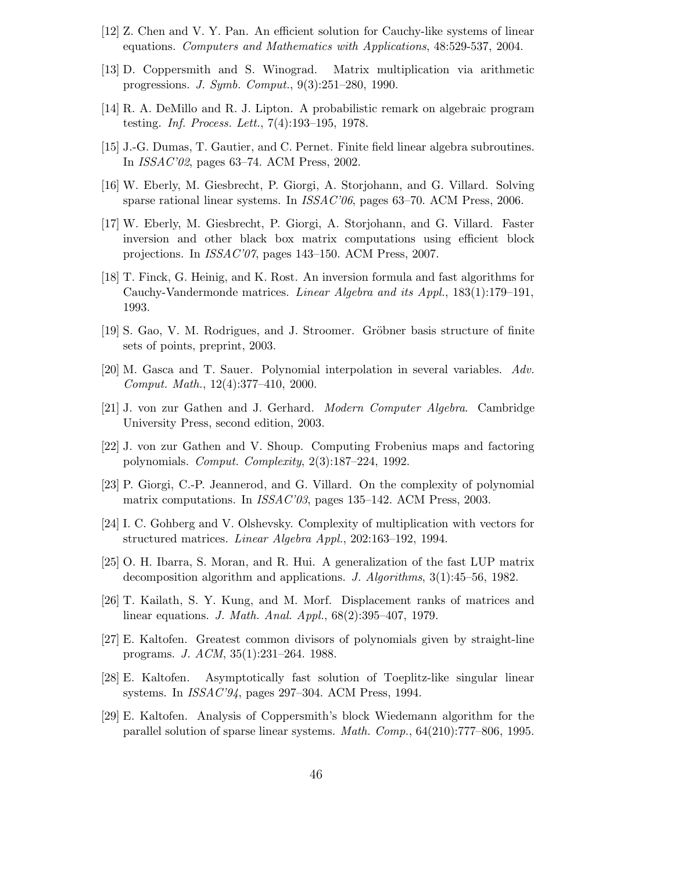- [12] Z. Chen and V. Y. Pan. An efficient solution for Cauchy-like systems of linear equations. Computers and Mathematics with Applications, 48:529-537, 2004.
- [13] D. Coppersmith and S. Winograd. Matrix multiplication via arithmetic progressions. J. Symb. Comput., 9(3):251–280, 1990.
- [14] R. A. DeMillo and R. J. Lipton. A probabilistic remark on algebraic program testing. Inf. Process. Lett., 7(4):193–195, 1978.
- [15] J.-G. Dumas, T. Gautier, and C. Pernet. Finite field linear algebra subroutines. In ISSAC'02, pages 63–74. ACM Press, 2002.
- [16] W. Eberly, M. Giesbrecht, P. Giorgi, A. Storjohann, and G. Villard. Solving sparse rational linear systems. In ISSAC'06, pages 63–70. ACM Press, 2006.
- [17] W. Eberly, M. Giesbrecht, P. Giorgi, A. Storjohann, and G. Villard. Faster inversion and other black box matrix computations using efficient block projections. In ISSAC'07, pages 143–150. ACM Press, 2007.
- [18] T. Finck, G. Heinig, and K. Rost. An inversion formula and fast algorithms for Cauchy-Vandermonde matrices. Linear Algebra and its Appl., 183(1):179–191, 1993.
- [19] S. Gao, V. M. Rodrigues, and J. Stroomer. Gröbner basis structure of finite sets of points, preprint, 2003.
- [20] M. Gasca and T. Sauer. Polynomial interpolation in several variables. Adv. Comput. Math., 12(4):377–410, 2000.
- [21] J. von zur Gathen and J. Gerhard. Modern Computer Algebra. Cambridge University Press, second edition, 2003.
- [22] J. von zur Gathen and V. Shoup. Computing Frobenius maps and factoring polynomials. Comput. Complexity, 2(3):187–224, 1992.
- [23] P. Giorgi, C.-P. Jeannerod, and G. Villard. On the complexity of polynomial matrix computations. In *ISSAC*'03, pages 135–142. ACM Press, 2003.
- [24] I. C. Gohberg and V. Olshevsky. Complexity of multiplication with vectors for structured matrices. Linear Algebra Appl., 202:163–192, 1994.
- [25] O. H. Ibarra, S. Moran, and R. Hui. A generalization of the fast LUP matrix decomposition algorithm and applications. J. Algorithms, 3(1):45–56, 1982.
- [26] T. Kailath, S. Y. Kung, and M. Morf. Displacement ranks of matrices and linear equations. J. Math. Anal. Appl., 68(2):395–407, 1979.
- [27] E. Kaltofen. Greatest common divisors of polynomials given by straight-line programs. J. ACM, 35(1):231–264. 1988.
- [28] E. Kaltofen. Asymptotically fast solution of Toeplitz-like singular linear systems. In ISSAC'94, pages 297–304. ACM Press, 1994.
- [29] E. Kaltofen. Analysis of Coppersmith's block Wiedemann algorithm for the parallel solution of sparse linear systems. Math. Comp., 64(210):777–806, 1995.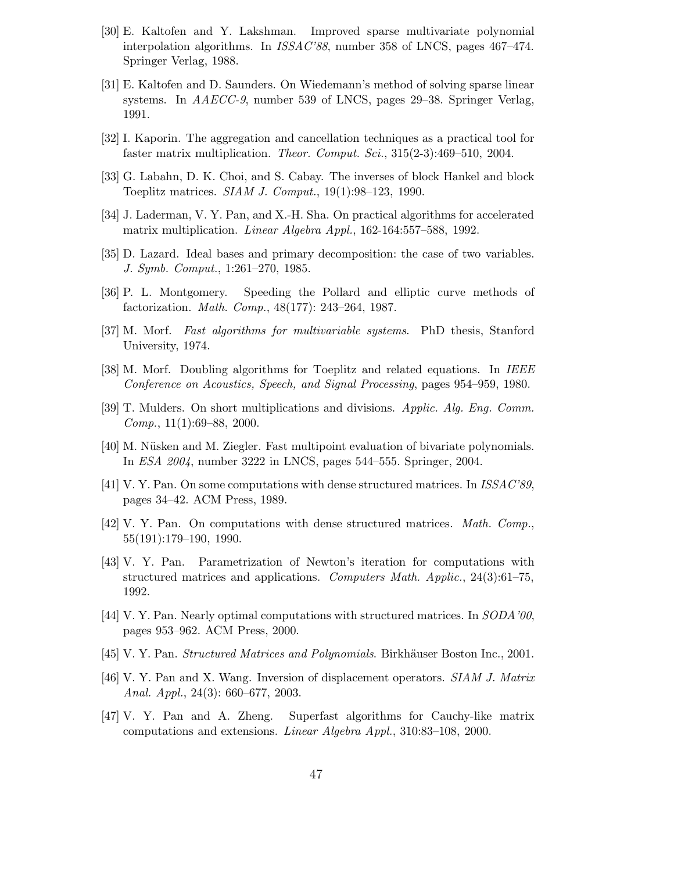- [30] E. Kaltofen and Y. Lakshman. Improved sparse multivariate polynomial interpolation algorithms. In *ISSAC*'88, number 358 of LNCS, pages 467–474. Springer Verlag, 1988.
- [31] E. Kaltofen and D. Saunders. On Wiedemann's method of solving sparse linear systems. In AAECC-9, number 539 of LNCS, pages 29–38. Springer Verlag, 1991.
- [32] I. Kaporin. The aggregation and cancellation techniques as a practical tool for faster matrix multiplication. Theor. Comput. Sci., 315(2-3):469–510, 2004.
- [33] G. Labahn, D. K. Choi, and S. Cabay. The inverses of block Hankel and block Toeplitz matrices. SIAM J. Comput., 19(1):98–123, 1990.
- [34] J. Laderman, V. Y. Pan, and X.-H. Sha. On practical algorithms for accelerated matrix multiplication. *Linear Algebra Appl.*, 162-164:557–588, 1992.
- [35] D. Lazard. Ideal bases and primary decomposition: the case of two variables. J. Symb. Comput., 1:261–270, 1985.
- [36] P. L. Montgomery. Speeding the Pollard and elliptic curve methods of factorization. Math. Comp., 48(177): 243–264, 1987.
- [37] M. Morf. Fast algorithms for multivariable systems. PhD thesis, Stanford University, 1974.
- [38] M. Morf. Doubling algorithms for Toeplitz and related equations. In IEEE Conference on Acoustics, Speech, and Signal Processing, pages 954–959, 1980.
- [39] T. Mulders. On short multiplications and divisions. Applic. Alg. Eng. Comm. Comp.,  $11(1):69-88$ ,  $2000$ .
- [40] M. Nüsken and M. Ziegler. Fast multipoint evaluation of bivariate polynomials. In ESA 2004, number 3222 in LNCS, pages 544–555. Springer, 2004.
- [41] V. Y. Pan. On some computations with dense structured matrices. In ISSAC'89, pages 34–42. ACM Press, 1989.
- [42] V. Y. Pan. On computations with dense structured matrices. Math. Comp., 55(191):179–190, 1990.
- [43] V. Y. Pan. Parametrization of Newton's iteration for computations with structured matrices and applications. Computers Math. Applic.,  $24(3):61-75$ , 1992.
- [44] V. Y. Pan. Nearly optimal computations with structured matrices. In SODA'00, pages 953–962. ACM Press, 2000.
- [45] V. Y. Pan. *Structured Matrices and Polynomials*. Birkhäuser Boston Inc., 2001.
- [46] V. Y. Pan and X. Wang. Inversion of displacement operators. SIAM J. Matrix Anal. Appl., 24(3): 660–677, 2003.
- [47] V. Y. Pan and A. Zheng. Superfast algorithms for Cauchy-like matrix computations and extensions. Linear Algebra Appl., 310:83–108, 2000.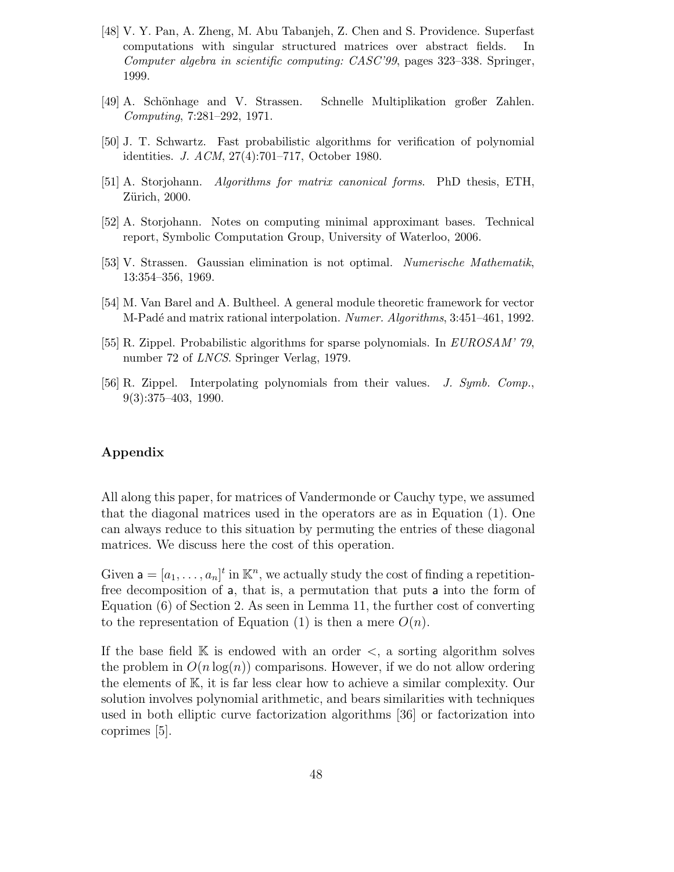- [48] V. Y. Pan, A. Zheng, M. Abu Tabanjeh, Z. Chen and S. Providence. Superfast computations with singular structured matrices over abstract fields. In Computer algebra in scientific computing: CASC'99, pages 323–338. Springer, 1999.
- [49] A. Schönhage and V. Strassen. Schnelle Multiplikation großer Zahlen. Computing, 7:281–292, 1971.
- [50] J. T. Schwartz. Fast probabilistic algorithms for verification of polynomial identities. J. ACM, 27(4):701–717, October 1980.
- [51] A. Storjohann. Algorithms for matrix canonical forms. PhD thesis, ETH, Zürich, 2000.
- [52] A. Storjohann. Notes on computing minimal approximant bases. Technical report, Symbolic Computation Group, University of Waterloo, 2006.
- [53] V. Strassen. Gaussian elimination is not optimal. Numerische Mathematik, 13:354–356, 1969.
- [54] M. Van Barel and A. Bultheel. A general module theoretic framework for vector M-Padé and matrix rational interpolation. Numer. Algorithms, 3:451–461, 1992.
- [55] R. Zippel. Probabilistic algorithms for sparse polynomials. In EUROSAM' 79, number 72 of LNCS. Springer Verlag, 1979.
- [56] R. Zippel. Interpolating polynomials from their values. J. Symb. Comp., 9(3):375–403, 1990.

# Appendix

All along this paper, for matrices of Vandermonde or Cauchy type, we assumed that the diagonal matrices used in the operators are as in Equation (1). One can always reduce to this situation by permuting the entries of these diagonal matrices. We discuss here the cost of this operation.

Given  $\mathbf{a} = [a_1, \ldots, a_n]^t$  in  $\mathbb{K}^n$ , we actually study the cost of finding a repetitionfree decomposition of a, that is, a permutation that puts a into the form of Equation (6) of Section 2. As seen in Lemma 11, the further cost of converting to the representation of Equation (1) is then a mere  $O(n)$ .

If the base field  $\mathbb K$  is endowed with an order  $\lt$ , a sorting algorithm solves the problem in  $O(n \log(n))$  comparisons. However, if we do not allow ordering the elements of K, it is far less clear how to achieve a similar complexity. Our solution involves polynomial arithmetic, and bears similarities with techniques used in both elliptic curve factorization algorithms [36] or factorization into coprimes [5].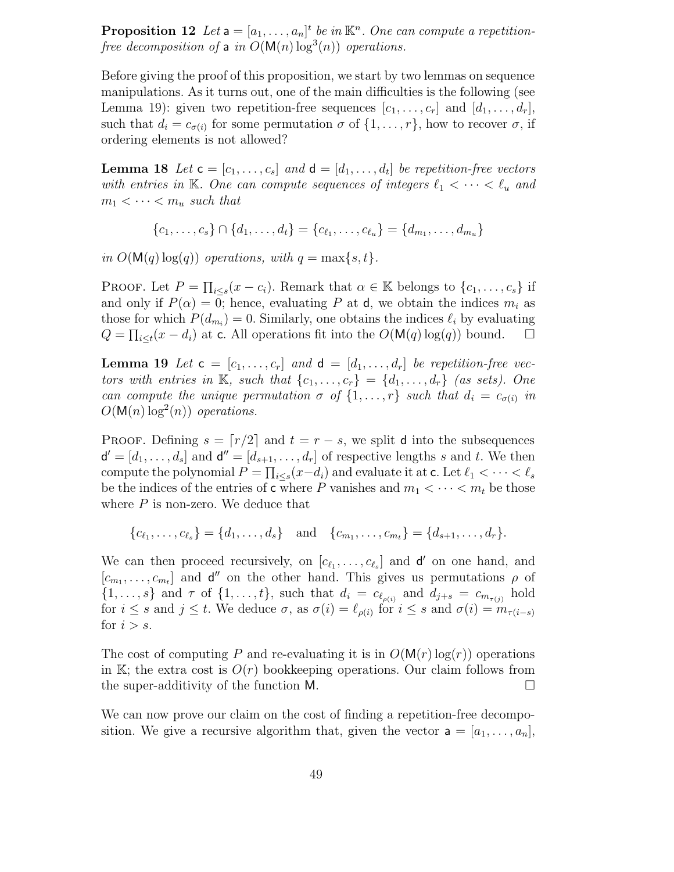**Proposition 12** Let  $a = [a_1, \ldots, a_n]^t$  be in  $\mathbb{K}^n$ . One can compute a repetitionfree decomposition of a in  $O(M(n) \log^3(n))$  operations.

Before giving the proof of this proposition, we start by two lemmas on sequence manipulations. As it turns out, one of the main difficulties is the following (see Lemma 19): given two repetition-free sequences  $[c_1, \ldots, c_r]$  and  $[d_1, \ldots, d_r]$ , such that  $d_i = c_{\sigma(i)}$  for some permutation  $\sigma$  of  $\{1, \ldots, r\}$ , how to recover  $\sigma$ , if ordering elements is not allowed?

**Lemma 18** Let  $\mathbf{c} = [c_1, \ldots, c_s]$  and  $\mathbf{d} = [d_1, \ldots, d_t]$  be repetition-free vectors with entries in K. One can compute sequences of integers  $\ell_1 < \cdots < \ell_u$  and  $m_1 < \cdots < m_u$  such that

 ${c_1, \ldots, c_s} \cap {d_1, \ldots, d_t} = {c_{\ell_1}, \ldots, c_{\ell_u}} = {d_{m_1}, \ldots, d_{m_u}}$ 

in  $O(M(q) \log(q))$  operations, with  $q = \max\{s, t\}.$ 

PROOF. Let  $P = \prod_{i \leq s} (x - c_i)$ . Remark that  $\alpha \in \mathbb{K}$  belongs to  $\{c_1, \ldots, c_s\}$  if and only if  $P(\alpha) = 0$ ; hence, evaluating P at d, we obtain the indices  $m_i$  as those for which  $P(d_{m_i}) = 0$ . Similarly, one obtains the indices  $\ell_i$  by evaluating  $Q = \prod_{i \leq t} (x - d_i)$  at c. All operations fit into the  $O(\mathsf{M}(q) \log(q))$  bound.  $\Box$ 

**Lemma 19** Let  $\mathbf{c} = [c_1, \ldots, c_r]$  and  $\mathbf{d} = [d_1, \ldots, d_r]$  be repetition-free vectors with entries in K, such that  $\{c_1, \ldots, c_r\} = \{d_1, \ldots, d_r\}$  (as sets). One can compute the unique permutation  $\sigma$  of  $\{1, \ldots, r\}$  such that  $d_i = c_{\sigma(i)}$  in  $O(M(n) \log^2(n))$  operations.

PROOF. Defining  $s = \lfloor r/2 \rfloor$  and  $t = r - s$ , we split d into the subsequences  $\mathsf{d}' = [d_1, \ldots, d_s]$  and  $\mathsf{d}'' = [d_{s+1}, \ldots, d_r]$  of respective lengths s and t. We then compute the polynomial  $P = \prod_{i \leq s} (x - d_i)$  and evaluate it at c. Let  $\ell_1 < \cdots < \ell_s$ be the indices of the entries of c where P vanishes and  $m_1 < \cdots < m_t$  be those where  $P$  is non-zero. We deduce that

 ${c_{\ell_1}, \ldots, c_{\ell_s}} = {d_1, \ldots, d_s} \text{ and } {c_{m_1}, \ldots, c_{m_t}} = {d_{s+1}, \ldots, d_r}.$ 

We can then proceed recursively, on  $[c_{\ell_1}, \ldots, c_{\ell_s}]$  and  $\mathsf{d}'$  on one hand, and  $[c_{m_1}, \ldots, c_{m_t}]$  and  $\mathbf{d}''$  on the other hand. This gives us permutations  $\rho$  of  $\{1,\ldots,s\}$  and  $\tau$  of  $\{1,\ldots,t\}$ , such that  $d_i = c_{\ell_{\rho(i)}}$  and  $d_{j+s} = c_{m_{\tau(j)}}$  hold for  $i \leq s$  and  $j \leq t$ . We deduce  $\sigma$ , as  $\sigma(i) = \ell_{\rho(i)}$  for  $i \leq s$  and  $\sigma(i) = m_{\tau(i-s)}$ for  $i > s$ .

The cost of computing P and re-evaluating it is in  $O(M(r)\log(r))$  operations in K; the extra cost is  $O(r)$  bookkeeping operations. Our claim follows from the super-additivity of the function M.

We can now prove our claim on the cost of finding a repetition-free decomposition. We give a recursive algorithm that, given the vector  $a = [a_1, \ldots, a_n],$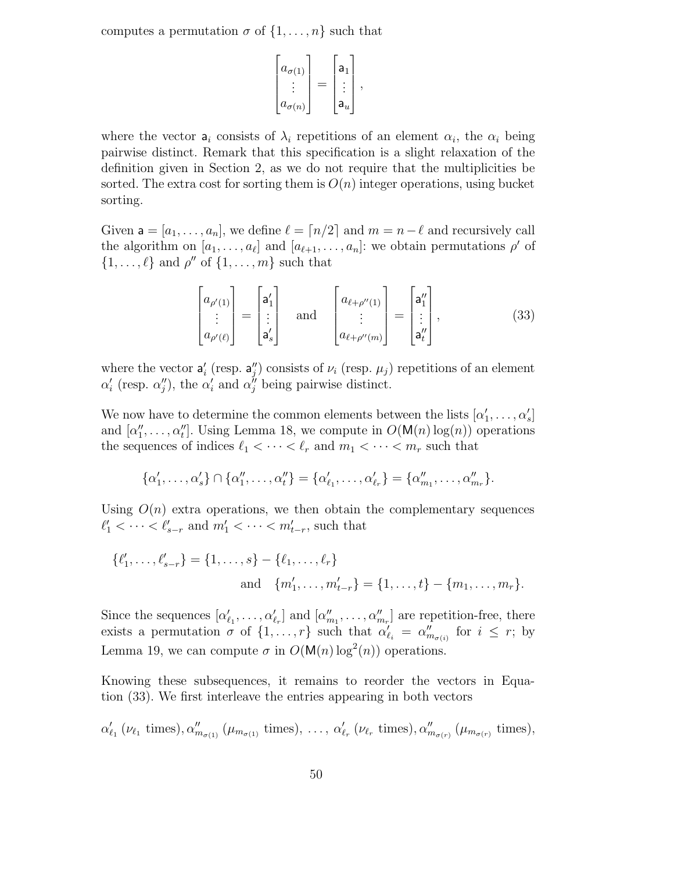computes a permutation  $\sigma$  of  $\{1, \ldots, n\}$  such that

$$
\begin{bmatrix} a_{\sigma(1)} \\ \vdots \\ a_{\sigma(n)} \end{bmatrix} = \begin{bmatrix} a_1 \\ \vdots \\ a_u \end{bmatrix},
$$

where the vector  $a_i$  consists of  $\lambda_i$  repetitions of an element  $\alpha_i$ , the  $\alpha_i$  being pairwise distinct. Remark that this specification is a slight relaxation of the definition given in Section 2, as we do not require that the multiplicities be sorted. The extra cost for sorting them is  $O(n)$  integer operations, using bucket sorting.

Given  $a = [a_1, \ldots, a_n]$ , we define  $\ell = [n/2]$  and  $m = n-\ell$  and recursively call the algorithm on  $[a_1, \ldots, a_\ell]$  and  $[a_{\ell+1}, \ldots, a_n]$ : we obtain permutations  $\rho'$  of  $\{1, \ldots, \ell\}$  and  $\rho''$  of  $\{1, \ldots, m\}$  such that

$$
\begin{bmatrix} a_{\rho'(1)} \\ \vdots \\ a_{\rho'(\ell)} \end{bmatrix} = \begin{bmatrix} a'_1 \\ \vdots \\ a'_s \end{bmatrix} \quad \text{and} \quad \begin{bmatrix} a_{\ell+\rho''(1)} \\ \vdots \\ a_{\ell+\rho''(m)} \end{bmatrix} = \begin{bmatrix} a''_1 \\ \vdots \\ a''_t \end{bmatrix}, \tag{33}
$$

where the vector  $a'_i$  (resp.  $a''_j$ ) consists of  $\nu_i$  (resp.  $\mu_j$ ) repetitions of an element  $\alpha'_{i}$  (resp.  $\alpha''_{j}$ ), the  $\alpha'_{i}$  and  $\alpha''_{j}$  being pairwise distinct.

We now have to determine the common elements between the lists  $[\alpha'_1, \ldots, \alpha'_s]$ and  $[\alpha''_1, \ldots, \alpha''_t]$ . Using Lemma 18, we compute in  $O(\mathsf{M}(n) \log(n))$  operations the sequences of indices  $\ell_1 < \cdots < \ell_r$  and  $m_1 < \cdots < m_r$  such that

$$
\{\alpha'_1, \ldots, \alpha'_s\} \cap \{\alpha''_1, \ldots, \alpha''_t\} = \{\alpha'_{\ell_1}, \ldots, \alpha'_{\ell_r}\} = \{\alpha''_{m_1}, \ldots, \alpha''_{m_r}\}.
$$

Using  $O(n)$  extra operations, we then obtain the complementary sequences  $\ell'_1 < \cdots < \ell'_{s-r}$  and  $m'_1 < \cdots < m'_{t-r}$ , such that

$$
\{\ell'_1, \ldots, \ell'_{s-r}\} = \{1, \ldots, s\} - \{\ell_1, \ldots, \ell_r\}
$$
  
and 
$$
\{m'_1, \ldots, m'_{t-r}\} = \{1, \ldots, t\} - \{m_1, \ldots, m_r\}.
$$

Since the sequences  $[\alpha'_{\ell_1}, \ldots, \alpha'_{\ell_r}]$  and  $[\alpha''_{m_1}, \ldots, \alpha''_{m_r}]$  are repetition-free, there exists a permutation  $\sigma$  of  $\{1, \ldots, r\}$  such that  $\alpha'_{\ell_i} = \alpha''_{m_{\sigma(i)}}$  for  $i \leq r$ ; by Lemma 19, we can compute  $\sigma$  in  $O(M(n) \log^2(n))$  operations.

Knowing these subsequences, it remains to reorder the vectors in Equation (33). We first interleave the entries appearing in both vectors

$$
\alpha'_{\ell_1} (\nu_{\ell_1} \text{ times}), \alpha''_{m_{\sigma(1)}} (\mu_{m_{\sigma(1)}} \text{ times}), \ldots, \alpha'_{\ell_r} (\nu_{\ell_r} \text{ times}), \alpha''_{m_{\sigma(r)}} (\mu_{m_{\sigma(r)}} \text{ times}),
$$